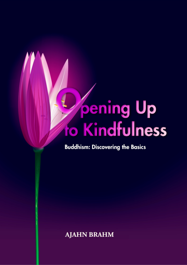# **pening Up** fo Kindfulness

#### **Buddhism: Discovering the Basics**

**AJAHN BRAHM**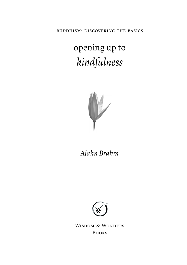buddhism: discovering the basics

## opening up to *kindfulness*



*Ajahn Brahm*



WISDOM & WONDERS BOOKS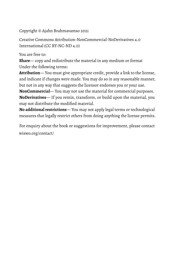Copyright © Ajahn Brahmavamso 2021

Creative Commons Attribution-NonCommercial-NoDerivatives 4.0 International (CC BY-NC-ND 4.0)

You are free to:

**Share**— copy and redistribute the material in any medium or format Under the following terms:

**Attribution**— You must give appropriate credit, provide a link to the license, and indicate if changes were made. You may do so in any reasonable manner, but not in any way that suggests the licensor endorses you or your use.

**NonCommercial**— You may not use the material for commercial purposes. **NoDerivatives**— If you remix, transform, or build upon the material, you may not distribute the modified material.

**No additional restrictions**— You may not apply legal terms or technological measures that legally restrict others from doing anything the license permits.

For enquiry about the book or suggestions for improvement, please contact [wiswo.org/contact/](https://wiswo.org/contact/)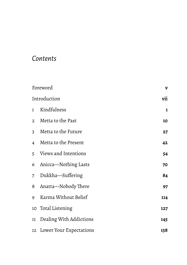### *Contents*

| Foreword                |                            | V   |
|-------------------------|----------------------------|-----|
| Introduction            |                            | vii |
| 1                       | Kindfulness                | 1   |
| 2                       | Metta to the Past          | 10  |
| 3                       | Metta to the Future        | 27  |
| $\overline{\mathbf{4}}$ | Metta to the Present       | 42  |
| 5                       | Views and Intentions       | 54  |
| 6                       | Anicca-Nothing Lasts       | 70  |
| 7                       | Dukkha-Suffering           | 84  |
| 8                       | Anatta-Nobody There        | 97  |
| 9                       | Karma Without Belief       | 114 |
| 10                      | Total Listening            | 127 |
| 11                      | Dealing With Addictions    | 145 |
|                         | 12 Lower Your Expectations | 158 |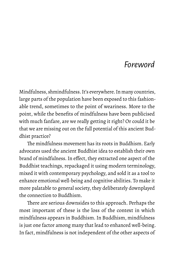## *Foreword*

<span id="page-4-0"></span>Mindfulness, shmindfulness. It's everywhere. In many countries, large parts of the population have been exposed to this fashionable trend, sometimes to the point of weariness. More to the point, while the benefits of mindfulness have been publicised with much fanfare, are we really getting it right? Or could it be that we are missing out on the full potential of this ancient Buddhist practice?

The mindfulness movement has its roots in Buddhism. Early advocates used the ancient Buddhist idea to establish their own brand of mindfulness. In effect, they extracted one aspect of the Buddhist teachings, repackaged it using modern terminology, mixed it with contemporary psychology, and sold it as a tool to enhance emotional well-being and cognitive abilities. To make it more palatable to general society, they deliberately downplayed the connection to Buddhism.

There are serious downsides to this approach. Perhaps the most important of these is the loss of the context in which mindfulness appears in Buddhism. In Buddhism, mindfulness is just one factor among many that lead to enhanced well-being. In fact, mindfulness is not independent of the other aspects of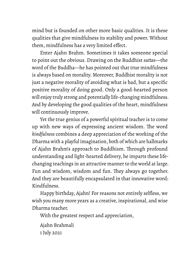mind but is founded on other more basic qualities. It is these qualities that give mindfulness its stability and power. Without them, mindfulness has a very limited effect.

Enter Ajahn Brahm. Sometimes it takes someone special to point out the obvious. Drawing on the Buddhist *suttas*—the word of the Buddha—he has pointed out that true mindfulness is always based on morality. Moreover, Buddhist morality is not just a negative morality of avoiding what is bad, but a specific positive morality of doing good. Only a good-hearted person will enjoy truly strong and potentially life-changing mindfulness. And by developing the good qualities of the heart, mindfulness will continuously improve.

Yet the true genius of a powerful spiritual teacher is to come up with new ways of expressing ancient wisdom. The word *kindfulness* combines a deep appreciation of the working of the Dharma with a playful imagination, both of which are hallmarks of Ajahn Brahm's approach to Buddhism. Through profound understanding and light-hearted delivery, he imparts these lifechanging teachings in an attractive manner to the world at large. Fun and wisdom, wisdom and fun. They always go together. And they are beautifully encapsulated in that innovative word: Kindfulness.

Happy birthday, Ajahn! For reasons not entirely selfless, we wish you many more years as a creative, inspirational, and wise Dharma teacher.

With the greatest respect and appreciation,

Ajahn Brahmali 1 July 2021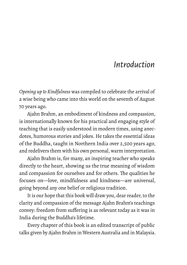## *Introduction*

<span id="page-6-0"></span>*Opening up to Kindfulness* was compiled to celebrate the arrival of a wise being who came into this world on the seventh of August 70 years ago.

Ajahn Brahm, an embodiment of kindness and compassion, is internationally known for his practical and engaging style of teaching that is easily understood in modern times, using anecdotes, humorous stories and jokes. He takes the essential ideas of the Buddha, taught in Northern India over 2,500 years ago, and redelivers them with his own personal, warm interpretation.

Ajahn Brahm is, for many, an inspiring teacher who speaks directly to the heart, showing us the true meaning of wisdom and compassion for ourselves and for others. The qualities he focuses on—love, mindfulness and kindness—are universal, going beyond any one belief or religious tradition.

It is our hope that this book will draw you, dear reader, to the clarity and compassion of the message Ajahn Brahm's teachings convey: freedom from suffering is as relevant today as it was in India during the Buddha's lifetime.

Every chapter of this book is an edited transcript of public talks given by Ajahn Brahm in Western Australia and in Malaysia.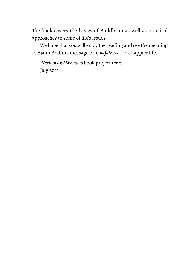The book covers the basics of Buddhism as well as practical approaches to some of life's issues.

We hope that you will enjoy the reading and see the meaning in Ajahn Brahm's message of '*kindfulness*' for a happier life.

*Wisdom and Wonders* book project team July 2021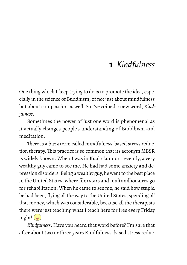## **1** *Kindfulness*

<span id="page-8-0"></span>One thing which I keep trying to do is to promote the idea, especially in the science of Buddhism, of not just about mindfulness but about compassion as well. So I've coined a new word, *Kindfulness*.

Sometimes the power of just one word is phenomenal as it actually changes people's understanding of Buddhism and meditation.

There is a buzz term called mindfulness-based stress reduction therapy. This practice is so common that its acronym MBSR is widely known. When I was in Kuala Lumpur recently, a very wealthy guy came to see me. He had had some anxiety and depression disorders. Being a wealthy guy, he went to the best place in the United States, where film stars and multimillionaires go for rehabilitation. When he came to see me, he said how stupid he had been, flying all the way to the United States, spending all that money, which was considerable, because all the therapists there were just teaching what I teach here for free every Friday night! $\left(\frac{1}{2}\right)$ 

*Kindfulness*. Have you heard that word before? I'm sure that after about two or three years Kindfulness-based stress reduc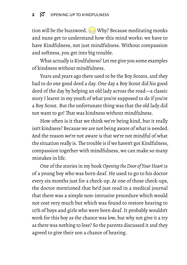tion will be the buzzword.  $\implies$  Why? Because meditating monks and nuns get to understand how this mind works: we have to have Kindfulness, not just mindfulness. Without compassion and softness, you get into big trouble.

What actually is Kindfulness? Let me give you some examples of kindness without mindfulness.

Years and years ago there used to be the Boy Scouts, and they had to do one good deed a day. One day a Boy Scout did his good deed of the day by helping an old lady across the road—a classic story I learnt in my youth of what you're supposed to do if you're a Boy Scout. But the unfortunate thing was that the old lady did not want to go! That was kindness without mindfulness.

How often is it that we think we're being kind, but it really isn't kindness? Because we are not being aware of what is needed. And the reason we're not aware is that we're not mindful of what the situation really is.The trouble is if we haven't got Kindfulness, compassion together with mindfulness, we can make so many mistakes in life.

One of the stories in my book *Opening the Door of Your Heart* is of a young boy who was born deaf. He used to go to his doctor every six months just for a check-up. At one of those check-ups, the doctor mentioned that he'd just read in a medical journal that there was a simple non-intrusive procedure which would not cost very much but which was found to restore hearing to 10% of boys and girls who were born deaf. It probably wouldn't work for this boy as the chance was low, but why not give it a try as there was nothing to lose? So the parents discussed it and they agreed to give their son a chance of hearing.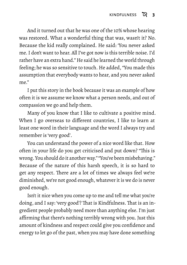And it turned out that he was one of the 10% whose hearing was restored. What a wonderful thing that was, wasn't it? No. Because the kid really complained. He said: 'You never asked me. I don't want to hear. All I've got now is this terrible noise. I'd rather have an extra hand." He said he learned the world through feeling; he was so sensitive to touch. He added, "You made this assumption that everybody wants to hear, and you never asked me."

I put this story in the book because it was an example of how often it is we assume we know what a person needs, and out of compassion we go and help them.

Many of you know that I like to cultivate a positive mind. When I go overseas to different countries, I like to learn at least one word in their language and the word I always try and remember is 'very good'.

You can understand the power of a nice word like that. How often in your life do you get criticised and put down? "This is wrong. You should do it another way." "You've been misbehaving." Because of the nature of this harsh speech, it is so hard to get any respect. There are a lot of times we always feel we're diminished, we're not good enough, whatever it is we do is never good enough.

Isn't it nice when you come up to me and tell me what you're doing, and I say: 'very good'? That is Kindfulness. That is an ingredient people probably need more than anything else. I'm just affirming that there's nothing terribly wrong with you. Just this amount of kindness and respect could give you confidence and energy to let go of the past, when you may have done something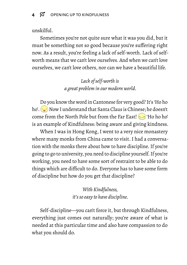#### unskilful.

Sometimes you're not quite sure what it was you did, but it must be something not so good because you're suffering right now. As a result, you're feeling a lack of self-worth. Lack of selfworth means that we can't love ourselves. And when we can't love ourselves, we can't love others, nor can we have a beautiful life.

> *Lack of self-worth is a great problem in our modern world.*

Do you know the word in Cantonese for very good? It's 'Ho ho ho'.  $\sim$  Now I understand that Santa Claus is Chinese; he doesn't come from the North Pole but from the Far East!  $\approx$  'Ho ho ho' is an example of Kindfulness: being aware and giving kindness.

When I was in Hong Kong, I went to a very nice monastery where many monks from China came to visit. I had a conversation with the monks there about how to have discipline. If you're going to go to university, you need to discipline yourself. If you're working, you need to have some sort of restraint to be able to do things which are difficult to do. Everyone has to have some form of discipline but how do you get that discipline?

> *With Kindfulness, it's so easy to have discipline.*

Self-discipline—you can't force it, but through Kindfulness, everything just comes out naturally; you're aware of what is needed at this particular time and also have compassion to do what you should do.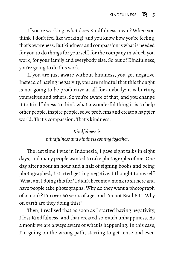If you're working, what does Kindfulness mean? When you think 'I don't feel like working!' and you know how you're feeling, that's awareness. But kindness and compassion is what is needed for you to do things for yourself, for the company in which you work, for your family and everybody else. So out of Kindfulness, you're going to do this work.

If you are just aware without kindness, you get negative. Instead of having negativity, you are mindful that this thought is not going to be productive at all for anybody; it is hurting yourselves and others. So you're aware of that, and you change it to Kindfulness to think what a wonderful thing it is to help other people, inspire people, solve problems and create a happier world. That's compassion. That's kindness.

#### *Kindfulness is*

#### *mindfulness and kindness coming together.*

The last time I was in Indonesia, I gave eight talks in eight days, and many people wanted to take photographs of me. One day after about an hour and a half of signing books and being photographed, I started getting negative. I thought to myself: "What am I doing this for? I didn't become a monk to sit here and have people take photographs. Why do they want a photograph of a monk? I'm over 60 years of age, and I'm not Brad Pitt! Why on earth are they doing this?"

Then, I realised that as soon as I started having negativity, I lost Kindfulness, and that created so much unhappiness. As a monk we are always aware of what is happening. In this case, I'm going on the wrong path, starting to get tense and even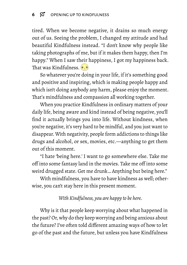tired. When we become negative, it drains so much energy out of us. Seeing the problem, I changed my attitude and had beautiful Kindfulness instead. "I don't know why people like taking photographs of me, but if it makes them happy, then I'm happy." When I saw their happiness, I got my happiness back. That was Kindfulness.  $\circ$ ,  $\circ$ 

So whatever you're doing in your life, if it's something good and positive and inspiring, which is making people happy and which isn't doing anybody any harm, please enjoy the moment. That's mindfulness and compassion all working together.

When you practice Kindfulness in ordinary matters of your daily life, being aware and kind instead of being negative, you'll find it actually brings you into life. Without kindness, when you're negative, it's very hard to be mindful, and you just want to disappear. With negativity, people form addictions to things like drugs and alcohol, or sex, movies, etc.—anything to get them out of this moment.

"I hate 'being here.' I want to go somewhere else. Take me off into some fantasy land in the movies. Take me off into some weird drugged state. Get me drunk… Anything but being here."

With mindfulness, you have to have kindness as well; otherwise, you can't stay here in this present moment.

*With Kindfulness, you are happy to be here.*

Why is it that people keep worrying about what happened in the past? Or, why do they keep worrying and being anxious about the future? I've often told different amazing ways of how to let go of the past and the future, but unless you have Kindfulness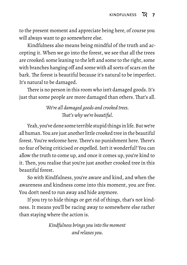to the present moment and appreciate being here, of course you will always want to go somewhere else.

Kindfulness also means being mindful of the truth and accepting it. When we go into the forest, we see that all the trees are crooked: some leaning to the left and some to the right, some with branches hanging off and some with all sorts of scars on the bark. The forest is beautiful because it's natural to be imperfect. It's natural to be damaged.

There is no person in this room who isn't damaged goods. It's just that some people are more damaged than others. That's all.

> *We're all damaged goods and crooked trees. That's why we're beautiful.*

Yeah, you've done some terrible stupid things in life. But we're all human. You are just another little crooked tree in the beautiful forest. You're welcome here. There's no punishment here. There's no fear of being criticised or expelled. Isn't it wonderful? You can allow the truth to come up, and once it comes up, you're kind to it. Then, you realise that you're just another crooked tree in this beautiful forest.

So with Kindfulness, you're aware and kind, and when the awareness and kindness come into this moment, you are free. You don't need to run away and hide anymore.

If you try to hide things or get rid of things, that's not kindness. It means you'll be racing away to somewhere else rather than staying where the action is.

> *Kindfulness brings you into the moment and relaxes you.*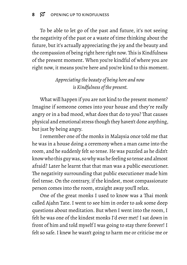To be able to let go of the past and future, it's not seeing the negativity of the past or a waste of time thinking about the future, but it's actually appreciating the joy and the beauty and the compassion of being right here right now.This is Kindfulness of the present moment. When you're kindful of where you are right now, it means you're here and you're kind to this moment.

#### *Appreciating the beauty of being here and now is Kindfulness of the present.*

What will happen if you are not kind to the present moment? Imagine if someone comes into your house and they're really angry or in a bad mood, what does that do to you? That causes physical and emotional stress though they haven't done anything, but just by being angry.

I remember one of the monks in Malaysia once told me that he was in a house doing a ceremony when a man came into the room, and he suddenly felt so tense. He was puzzled as he didn't know who this guy was, so why was he feeling so tense and almost afraid? Later he learnt that that man was a public executioner. The negativity surrounding that public executioner made him feel tense. On the contrary, if the kindest, most compassionate person comes into the room, straight away you'll relax.

One of the great monks I used to know was a Thai monk called Ajahn Tate. I went to see him in order to ask some deep questions about meditation. But when I went into the room, I felt he was one of the kindest monks I'd ever met! I sat down in front of him and told myself I was going to stay there forever! I felt so safe. I knew he wasn't going to harm me or criticise me or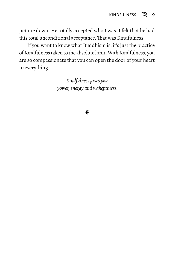put me down. He totally accepted who I was. I felt that he had this total unconditional acceptance. That was Kindfulness.

If you want to know what Buddhism is, it's just the practice of Kindfulness taken to the absolute limit.With Kindfulness, you are so compassionate that you can open the door of your heart to everything.

> *Kindfulness gives you power, energy and wakefulness.*

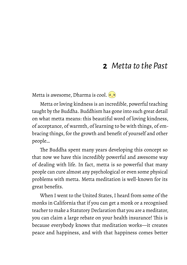## **2** *Metta to the Past*

<span id="page-17-0"></span>Metta is awesome, Dharma is cool.  $\circ$ ,  $\circ$ 

Metta or loving kindness is an incredible, powerful teaching taught by the Buddha. Buddhism has gone into such great detail on what metta means: this beautiful word of loving kindness, of acceptance, of warmth, of learning to be with things, of embracing things, for the growth and benefit of yourself and other people…

The Buddha spent many years developing this concept so that now we have this incredibly powerful and awesome way of dealing with life. In fact, metta is so powerful that many people can cure almost any psychological or even some physical problems with metta. Metta meditation is well-known for its great benefits.

When I went to the United States, I heard from some of the monks in California that if you can get a monk or a recognised teacher to make a Statutory Declaration that you are a meditator, you can claim a large rebate on your health insurance! This is because everybody knows that meditation works—it creates peace and happiness, and with that happiness comes better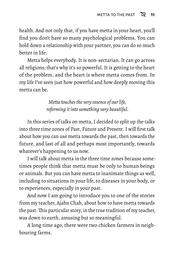health. And not only that, if you have metta in your heart, you'll find you don't have so many psychological problems. You can hold down a relationship with your partner, you can do so much better in life.

Metta helps everybody. It is non-sectarian. It can go across all religions; that's why it's so powerful. It is getting to the heart of the problem, and the heart is where metta comes from. In my life I've seen just how powerful and how deeply moving this metta can be.

> *Metta touches the very essence of our life, reforming it into something very beautiful.*

In this series of talks on metta, I decided to split up the talks into three time zones of Past, Future and Present. I will first talk about how you can use metta towards the past, then towards the future, and last of all and perhaps most importantly, towards whatever's happening to us now.

I will talk about metta in the three time zones because sometimes people think that metta must be only to human beings or animals. But you can have metta to inanimate things as well, including to situations in your life, to diseases in your body, or to experiences, especially in your past.

And now I am going to introduce you to one of the stories from my teacher, Ajahn Chah, about how to have metta towards the past.This particular story, in the true tradition of my teacher, was down to earth, amusing but so meaningful.

A long time ago, there were two chicken farmers in neighbouring farms.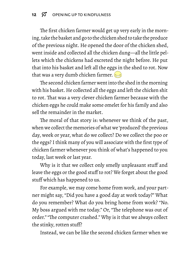The first chicken farmer would get up very early in the morning, take the basket and go to the chicken shed to take the produce of the previous night. He opened the door of the chicken shed, went inside and collected all the chicken dung—all the little pellets which the chickens had excreted the night before. He put that into his basket and left all the eggs in the shed to rot. Now that was a very dumb chicken farmer.

The second chicken farmer went into the shed in the morning with his basket. He collected all the eggs and left the chicken shit to rot. That was a very clever chicken farmer because with the chicken eggs he could make some omelet for his family and also sell the remainder in the market.

The moral of that story is: whenever we think of the past, when we collect the memories of what we 'produced' the previous day, week or year, what do we collect? Do we collect the poo or the eggs? I think many of you will associate with the first type of chicken farmer whenever you think of what's happened to you today, last week or last year.

Why is it that we collect only smelly unpleasant stuff and leave the eggs or the good stuff to rot? We forget about the good stuff which has happened to us.

For example, we may come home from work, and your partner might say, "Did you have a good day at work today?" What do you remember? What do you bring home from work? "No. My boss argued with me today." Or, "The telephone was out of order." "The computer crashed." Why is it that we always collect the stinky, rotten stuff?

Instead, we can be like the second chicken farmer when we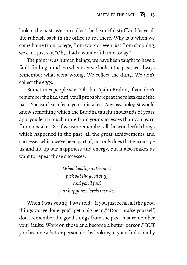look at the past. We can collect the beautiful stuff and leave all the rubbish back in the office to rot there. Why is it when we come home from college, from work or even just from shopping, we can't just say, "Oh, I had a wonderful time today."

The point is: as human beings, we have been taught to have a fault-finding mind. So whenever we look at the past, we always remember what went wrong. We collect the dung. We don't collect the eggs.

Sometimes people say: "Oh, but Ajahn Brahm, if you don't remember the bad stuff, you'll probably repeat the mistakes of the past. You can learn from your mistakes." Any psychologist would know something which the Buddha taught thousands of years ago: you learn much more from your successes than you learn from mistakes. So if we can remember all the wonderful things which happened in the past, all the great achievements and successes which we've been part of, not only does that encourage us and lift up our happiness and energy, but it also makes us want to repeat those successes.

> *When looking at the past, pick out the good stuff, and you'll find your happiness levels increase.*

When I was young, I was told: "If you just recall all the good things you've done, you'll get a big head." "Don't praise yourself, don't remember the good things from the past, just remember your faults. Work on those and become a better person." BUT you become a better person not by looking at your faults but by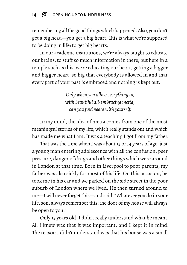remembering all the good things which happened. Also, you don't get a big head—you get a big heart. This is what we're supposed to be doing in life: to get big hearts.

In our academic institutions, we're always taught to educate our brains, to stuff so much information in there, but here in a temple such as this, we're educating our heart, getting a bigger and bigger heart, so big that everybody is allowed in and that every part of your past is embraced and nothing is kept out.

> *Only when you allow everything in, with beautiful all-embracing metta, can you find peace with yourself.*

In my mind, the idea of metta comes from one of the most meaningful stories of my life, which really stands out and which has made me what I am. It was a teaching I got from my father.

That was the time when I was about 13 or 14 years of age, just a young man entering adolescence with all the confusion, peer pressure, danger of drugs and other things which were around in London at that time. Born in Liverpool to poor parents, my father was also sickly for most of his life. On this occasion, he took me in his car and we parked on the side street in the poor suburb of London where we lived. He then turned around to me—I will never forget this—and said, "Whatever you do in your life, son, always remember this: the door of my house will always be open to you."

Only 13 years old, I didn't really understand what he meant. All I knew was that it was important, and I kept it in mind. The reason I didn't understand was that his house was a small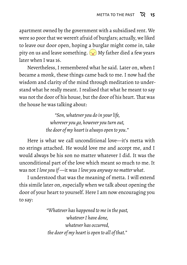apartment owned by the government with a subsidised rent. We were so poor that we weren't afraid of burglars; actually, we liked to leave our door open, hoping a burglar might come in, take pity on us and leave something.  $\sim$  My father died a few years later when I was 16.

Nevertheless, I remembered what he said. Later on, when I became a monk, these things came back to me. I now had the wisdom and clarity of the mind through meditation to understand what he really meant. I realised that what he meant to say was not the door of his house, but the door of his heart. That was the house he was talking about:

> *"Son, whatever you do in your life, wherever you go, however you turn out, the door of my heart is always open to you."*

Here is what we call unconditional love—it's metta with no strings attached. He would love me and accept me, and I would always be his son no matter whatever I did. It was the unconditional part of the love which meant so much to me. It was not *I love you if* —it was *I love you anyway no matter what*.

I understood that was the meaning of metta. I will extend this simile later on, especially when we talk about opening the door of your heart to yourself. Here I am now encouraging you to say:

> *"Whatever has happened to me in the past, whatever I have done, whatever has occurred, the door of my heart is open to all of that."*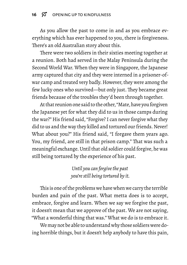As you allow the past to come in and as you embrace everything which has ever happened to you, there is forgiveness. There's an old Australian story about this.

There were two soldiers in their sixties meeting together at a reunion. Both had served in the Malay Peninsula during the Second World War. When they were in Singapore, the Japanese army captured that city and they were interned in a prisoner-ofwar camp and treated very badly. However, they were among the few lucky ones who survived—but only just. They became great friends because of the troubles they'd been through together.

At that reunion one said to the other, "Mate, have you forgiven the Japanese yet for what they did to us in those camps during the war?" His friend said, "Forgive? I can never forgive what they did to us and the way they killed and tortured our friends. Never! What about you?" His friend said, "I forgave them years ago. You, my friend, are still in that prison camp." That was such a meaningful exchange. Until that old soldier could forgive, he was still being tortured by the experience of his past.

> *Until you can forgive the past you're still being tortured by it.*

This is one of the problems we have when we carry the terrible burden and pain of the past. What metta does is to accept, embrace, forgive and learn. When we say we forgive the past, it doesn't mean that we approve of the past. We are not saying, "What a wonderful thing that was." What we do is to embrace it.

We may not be able to understand why those soldiers were doing horrible things, but it doesn't help anybody to have this pain,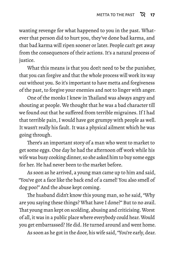wanting revenge for what happened to you in the past. Whatever that person did to hurt you, they've done bad karma, and that bad karma will ripen sooner or later. People can't get away from the consequences of their actions. It's a natural process of justice.

What this means is that you don't need to be the punisher, that you can forgive and that the whole process will work its way out without you. So it's important to have metta and forgiveness of the past, to forgive your enemies and not to linger with anger.

One of the monks I knew in Thailand was always angry and shouting at people. We thought that he was a bad character till we found out that he suffered from terrible migraines. If I had that terrible pain, I would have got grumpy with people as well. It wasn't really his fault. It was a physical ailment which he was going through.

There's an important story of a man who went to market to get some eggs. One day he had the afternoon off work while his wife was busy cooking dinner, so she asked him to buy some eggs for her. He had never been to the market before.

As soon as he arrived, a young man came up to him and said, "You've got a face like the back end of a camel! You also smell of dog poo!" And the abuse kept coming.

The husband didn't know this young man, so he said, "Why are you saying these things? What have I done?" But to no avail. That young man kept on scolding, abusing and criticising. Worst of all, it was in a public place where everybody could hear. Would you get embarrassed? He did. He turned around and went home.

As soon as he got in the door, his wife said, "You're early, dear.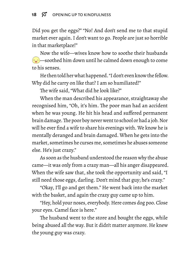Did you get the eggs?" "No! And don't send me to that stupid market ever again. I don't want to go. People are just so horrible in that marketplace!"

Now the wife—wives know how to soothe their husbands  $\sim$  soothed him down until he calmed down enough to come to his senses.

He then told her what happened. "I don't even know the fellow. Why did he carry on like that? I am so humiliated!"

The wife said, "What did he look like?"

When the man described his appearance, straightaway she recognised him, "Oh, it's him. The poor man had an accident when he was young. He hit his head and suffered permanent brain damage.The poor boy never went to school or had a job. Nor will he ever find a wife to share his evenings with. We know he is mentally deranged and brain damaged. When he gets into the market, sometimes he curses me, sometimes he abuses someone else. He's just crazy."

As soon as the husband understood the reason why the abuse came—it was only from a crazy man—all his anger disappeared. When the wife saw that, she took the opportunity and said, "I still need those eggs, darling. Don't mind that guy; he's crazy."

"Okay, I'll go and get them." He went back into the market with the basket, and again the crazy guy came up to him.

"Hey, hold your noses, everybody. Here comes dog poo. Close your eyes. Camel face is here."

The husband went to the store and bought the eggs, while being abused all the way. But it didn't matter anymore. He knew the young guy was crazy.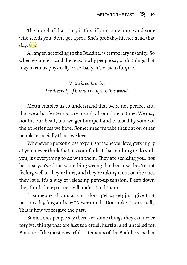The moral of that story is this: if you come home and your wife scolds you, don't get upset. She's probably hit her head that  $day.$ 

All anger, according to the Buddha, is temporary insanity. So when we understand the reason why people say or do things that may harm us physically or verbally, it's easy to forgive.

> *Metta is embracing the diversity of human beings in this world.*

Metta enables us to understand that we're not perfect and that we all suffer temporary insanity from time to time. We may not hit our head, but we get bumped and bruised by some of the experiences we have. Sometimes we take that out on other people, especially those we love.

Whenever a person close to you, someone you love, gets angry at you, never think that it's your fault. It has nothing to do with you; it's everything to do with them. They are scolding you, not because you've done something wrong, but because they're not feeling well or they're hurt, and they're taking it out on the ones they love. It's a way of releasing pent-up tension. Deep down they think their partner will understand them.

If someone shouts at you, don't get upset; just give that person a big hug and say: "Never mind." Don't take it personally. This is how we forgive the past.

Sometimes people say there are some things they can never forgive, things that are just too cruel, hurtful and uncalled for. But one of the most powerful statements of the Buddha was that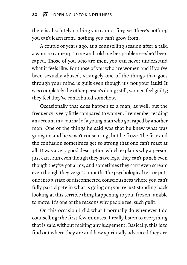#### 20  $\%$  OPENING UP TO KINDFULNESS

there is absolutely nothing you cannot forgive. There's nothing you can't learn from, nothing you can't grow from.

A couple of years ago, at a counselling session after a talk, a woman came up to me and told me her problem—she'd been raped. Those of you who are men, you can never understand what it feels like. For those of you who are women and if you've been sexually abused, strangely one of the things that goes through your mind is guilt even though it's not your fault! It was completely the other person's doing; still, women feel guilty; they feel they've contributed somehow.

Occasionally that does happen to a man, as well, but the frequency is very little compared to women. I remember reading an account in a journal of a young man who got raped by another man. One of the things he said was that he knew what was going on and he wasn't consenting, but he froze. The fear and the confusion sometimes get so strong that one can't react at all. It was a very good description which explains why a person just can't run even though they have legs, they can't punch even though they've got arms, and sometimes they can't even scream even though they've got a mouth. The psychological terror puts one into a state of disconnected consciousness where you can't fully participate in what is going on; you're just standing back looking at this terrible thing happening to you, frozen, unable to move. It's one of the reasons why people feel such guilt.

On this occasion I did what I normally do whenever I do counselling: the first few minutes, I really listen to everything that is said without making any judgement. Basically, this is to find out where they are and how spiritually advanced they are.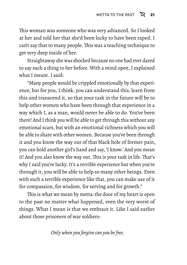This woman was someone who was very advanced. So I looked at her and told her that she'd been lucky to have been raped. I can't say that to many people. This was a teaching technique to get very deep inside of her.

Straightaway she was shocked because no one had ever dared to say such a thing to her before. With a mind open, I explained what I meant. I said:

"Many people would be crippled emotionally by that experience, but for you, I think, you can understand this, learn from this and transcend it, so that your task in the future will be to help other women who have been through that experience in a way which I, as a man, would never be able to do. You've been there! And I think you will be able to get through this without any emotional scars, but with an emotional richness which you will be able to share with other women. Because you've been through it and you know the way out of that black hole of former pain, you can hold another girl's hand and say, 'I know.' And you mean it! And you also know the way out. This is your task in life. That's why I said you're lucky. It's a terrible experience but when you're through it, you will be able to help so many other beings. Even with such a terrible experience like that, you can make use of it for compassion, for wisdom, for serving and for growth."

This is what we mean by metta: the door of my heart is open to the past no matter what happened, even the very worst of things. What I mean is that we embrace it. Like I said earlier about those prisoners of war soldiers:

*Only when you forgive can you be free.*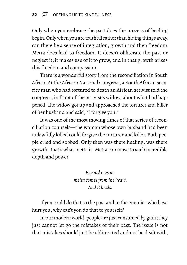Only when you embrace the past does the process of healing begin.Only when you are truthful rather than hiding things away, can there be a sense of integration, growth and then freedom. Metta does lead to freedom. It doesn't obliterate the past or neglect it; it makes use of it to grow, and in that growth arises this freedom and compassion.

There is a wonderful story from the reconciliation in South Africa. At the African National Congress, a South African security man who had tortured to death an African activist told the congress, in front of the activist's widow, about what had happened. The widow got up and approached the torturer and killer of her husband and said, "I forgive you."

It was one of the most moving times of that series of reconciliation counsels—the woman whose own husband had been unlawfully killed could forgive the torturer and killer. Both people cried and sobbed. Only then was there healing, was there growth. That's what metta is. Metta can move to such incredible depth and power.

> *Beyond reason, metta comes from the heart. And it heals.*

If you could do that to the past and to the enemies who have hurt you, why can't you do that to yourself?

In our modern world, people are just consumed by guilt; they just cannot let go the mistakes of their past. The issue is not that mistakes should just be obliterated and not be dealt with,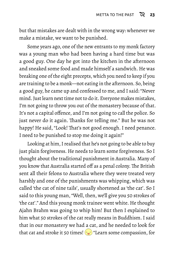but that mistakes are dealt with in the wrong way: whenever we make a mistake, we want to be punished.

Some years ago, one of the new entrants to my monk factory was a young man who had been having a hard time but was a good guy. One day he got into the kitchen in the afternoon and sneaked some food and made himself a sandwich. He was breaking one of the eight precepts, which you need to keep if you are training to be a monk—not eating in the afternoon. So, being a good guy, he came up and confessed to me, and I said: "Never mind. Just learn next time not to do it. Everyone makes mistakes, I'm not going to throw you out of the monastery because of that. It's not a capital offence, and I'm not going to call the police. So just never do it again. Thanks for telling me." But he was not happy! He said, "Look! That's not good enough. I need penance. I need to be punished to stop me doing it again!"

Looking at him, I realised that he's not going to be able to buy just plain forgiveness. He needs to learn some forgiveness. So I thought about the traditional punishment in Australia. Many of you know that Australia started off as a penal colony. The British sent all their felons to Australia where they were treated very harshly and one of the punishments was whipping, which was called 'the cat of nine tails', usually shortened as 'the cat'. So I said to this young man, "Well, then, we'll give you 50 strokes of 'the cat'." And this young monk trainee went white. He thought Ajahn Brahm was going to whip him! But then I explained to him what 50 strokes of the cat really means in Buddhism. I said that in our monastery we had a cat, and he needed to look for that cat and stroke it 50 times!  $\odot$  "Learn some compassion, for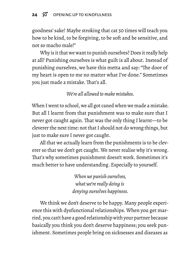goodness' sake! Maybe stroking that cat 50 times will teach you how to be kind, to be forgiving, to be soft and be sensitive, and not so macho male!"

Why is it that we want to punish ourselves? Does it really help at all? Punishing ourselves is what guilt is all about. Instead of punishing ourselves, we have this metta and say: "The door of my heart is open to me no matter what I've done." Sometimes you just made a mistake. That's all.

*We're all allowed to make mistakes.*

When I went to school, we all got caned when we made a mistake. But all I learnt from that punishment was to make sure that I never got caught again. That was the only thing I learnt—to be cleverer the next time: not that I should not do wrong things, but just to make sure I never got caught.

All that we actually learn from the punishments is to be cleverer so that we don't get caught. We never realise why it's wrong. That's why sometimes punishment doesn't work. Sometimes it's much better to have understanding. Especially to yourself.

> *When we punish ourselves, what we're really doing is denying ourselves happiness.*

We think we don't deserve to be happy. Many people experience this with dysfunctional relationships. When you get married, you can't have a good relationship with your partner because basically you think you don't deserve happiness; you seek punishment. Sometimes people bring on sicknesses and diseases as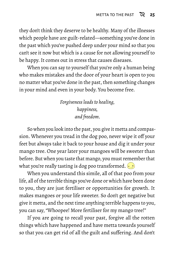they don't think they deserve to be healthy. Many of the illnesses which people have are guilt-related—something you've done in the past which you've pushed deep under your mind so that you can't see it now but which is a cause for not allowing yourself to be happy. It comes out in stress that causes diseases.

When you can say to yourself that you're only a human being who makes mistakes and the door of your heart is open to you no matter what you've done in the past, then something changes in your mind and even in your body. You become free.

> *Forgiveness leads to healing, happiness, and freedom.*

So when you look into the past, you give it metta and compassion. Whenever you tread in the dog poo, never wipe it off your feet but always take it back to your house and dig it under your mango tree. One year later your mangoes will be sweeter than before. But when you taste that mango, you must remember that what you're really tasting is dog poo transformed.

When you understand this simile, all of that poo from your life, all of the terrible things you've done or which have been done to you, they are just fertiliser or opportunities for growth. It makes mangoes or your life sweeter. So don't get negative but give it metta, and the next time anything terrible happens to you, you can say, "Whoopee! More fertiliser for my mango tree!"

If you are going to recall your past, forgive all the rotten things which have happened and have metta towards yourself so that you can get rid of all the guilt and suffering. And don't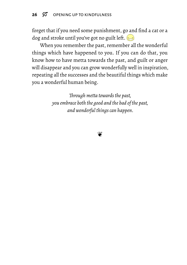#### 26  $\varnothing$  OPENING UP TO KINDFULNESS

forget that if you need some punishment, go and find a cat or a dog and stroke until you've got no guilt left.

When you remember the past, remember all the wonderful things which have happened to you. If you can do that, you know how to have metta towards the past, and guilt or anger will disappear and you can grow wonderfully well in inspiration, repeating all the successes and the beautiful things which make you a wonderful human being.

> *Through metta towards the past, you embrace both the good and the bad of the past, and wonderful things can happen.*

> > ❦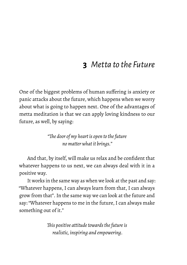## **3** *Metta to the Future*

<span id="page-34-0"></span>One of the biggest problems of human suffering is anxiety or panic attacks about the future, which happens when we worry about what is going to happen next. One of the advantages of metta meditation is that we can apply loving kindness to our future, as well, by saying:

> *"The door of my heart is open to the future no matter what it brings."*

And that, by itself, will make us relax and be confident that whatever happens to us next, we can always deal with it in a positive way.

It works in the same way as when we look at the past and say: "Whatever happens, I can always learn from that, I can always grow from that". In the same way we can look at the future and say: "Whatever happens to me in the future, I can always make something out of it."

> *This positive attitude towards the future is realistic, inspiring and empowering.*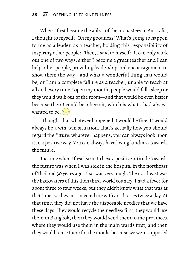When I first became the abbot of the monastery in Australia, I thought to myself: "Oh my goodness! What's going to happen to me as a leader, as a teacher, holding this responsibility of inspiring other people?" Then, I said to myself: "It can only work out one of two ways: either I become a great teacher and I can help other people, providing leadership and encouragement to show them the way—and what a wonderful thing that would be, or I am a complete failure as a teacher, unable to teach at all and every time I open my mouth, people would fall asleep or they would walk out of the room—and that would be even better because then I could be a hermit, which is what I had always wanted to be.  $\approx$ 

I thought that whatever happened it would be fine. It would always be a win-win situation. That's actually how you should regard the future: whatever happens, you can always look upon it in a positive way. You can always have loving kindness towards the future.

The time when I first learnt to have a positive attitude towards the future was when I was sick in the hospital in the northeast of Thailand 30 years ago. That was very tough. The northeast was the backwaters of this then third-world country. I had a fever for about three to four weeks, but they didn't know what that was at that time, so they just injected me with antibiotics twice a day. At that time, they did not have the disposable needles that we have these days. They would recycle the needles: first, they would use them in Bangkok, then they would send them to the provinces, where they would use them in the main wards first, and then they would reuse them for the monks because we were supposed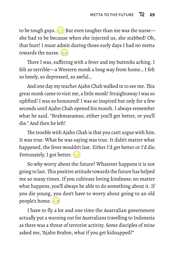to be tough guys.  $\overline{(*)}$  But even tougher than me was the nurse she had to be because when she injected us, she stabbed! Oh, that hurt! I must admit during those early days I had no metta towards the nurse.

There I was, suffering with a fever and my buttocks aching. I felt so terrible—a Western monk a long way from home… I felt so lonely, so depressed, so awful…

And one day my teacher Ajahn Chah walked in to see me.This great monk came to visit me, a little monk! Straightaway I was so uplifted! I was so honoured! I was so inspired but only for a few seconds until Ajahn Chah opened his mouth. I always remember what he said. "Brahmavamso, either you'll get better, or you'll die." And then he left!

The trouble with Ajahn Chah is that you can't argue with him. It was true. What he was saying was true. It didn't matter what happened, the fever wouldn't last. Either I'd get better or I'd die. Fortunately, I got better.  $\left(\cdot\right)$ 

So why worry about the future? Whatever happens it is not going to last.This positive attitude towards the future has helped me so many times. If you cultivate loving kindness: no matter what happens, you'll always be able to do something about it. If you die young, you don't have to worry about going to an old people's home.  $\cdot$ 

I have to fly a lot and one time the Australian government actually put a warning out for Australians travelling to Indonesia as there was a threat of terrorist activity. Some disciples of mine asked me, "Ajahn Brahm, what if you get kidnapped?"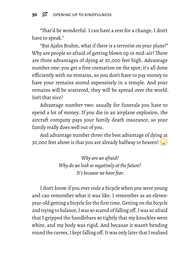"That'd be wonderful. I can have a rest for a change. I don't have to speak."

"But Ajahn Brahm, what if there is a terrorist on your plane?" Why are people so afraid of getting blown up in mid-air? There are three advantages of dying at 30,000 feet high. Advantage number one: you get a free cremation on the spot; it's all done efficiently with no remains, so you don't have to pay money to have your remains stored expensively in a temple. And your remains will be scattered, they will be spread over the world. Isn't that nice?

Advantage number two: usually for funerals you have to spend a lot of money. If you die in an airplane explosion, the aircraft company pays your family death insurance, so your family really does well out of you.

And advantage number three: the best advantage of dying at 30,000 feet above is that you are already halfway to heaven!  $\left(\bullet\right)$ 

> *Why are we afraid? Why do we look so negatively at the future? It's because we have fear.*

I don't know if you ever rode a bicycle when you were young and can remember what it was like. I remember as an elevenyear-old getting a bicycle for the first time. Getting on the bicycle and trying to balance, I was so scared of falling off. I was so afraid that I gripped the handlebars so tightly that my knuckles went white, and my body was rigid. And because it wasn't bending round the curves, I kept falling off. It was only later that I realised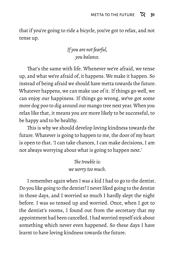that if you're going to ride a bicycle, you've got to relax, and not tense up.

### *If you are not fearful, you balance.*

That's the same with life. Whenever we're afraid, we tense up, and what we're afraid of, it happens. We make it happen. So instead of being afraid we should have metta towards the future. Whatever happens, we can make use of it. If things go well, we can enjoy our happiness. If things go wrong, we've got some more dog poo to dig around our mango tree next year. When you relax like that, it means you are more likely to be successful, to be happy and to be healthy.

This is why we should develop loving kindness towards the future. Whatever is going to happen to me, the door of my heart is open to that. 'I can take chances, I can make decisions, I am not always worrying about what is going to happen next.'

> *The trouble is: we worry too much.*

I remember again when I was a kid I had to go to the dentist. Do you like going to the dentist? I never liked going to the dentist in those days, and I worried so much I hardly slept the night before. I was so tensed up and worried. Once, when I got to the dentist's rooms, I found out from the secretary that my appointment had been cancelled. I had worried myself sick about something which never even happened. So these days I have learnt to have loving kindness towards the future.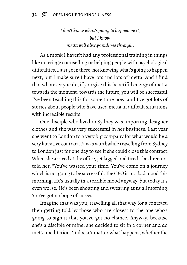### *I don't know what's going to happen next, but I know metta will always pull me through.*

As a monk I haven't had any professional training in things like marriage counselling or helping people with psychological difficulties. I just go in there, not knowing what's going to happen next, but I make sure I have lots and lots of metta. And I find that whatever you do, if you give this beautiful energy of metta towards the moment, towards the future, you will be successful. I've been teaching this for some time now, and I've got lots of stories about people who have used metta in difficult situations with incredible results.

One disciple who lived in Sydney was importing designer clothes and she was very successful in her business. Last year she went to London to a very big company for what would be a very lucrative contract. It was worthwhile travelling from Sydney to London just for one day to see if she could close this contract. When she arrived at the office, jet lagged and tired, the directors told her, "You've wasted your time. You've come on a journey which is not going to be successful. The CEO is in a bad mood this morning. He's usually in a terrible mood anyway, but today it's even worse. He's been shouting and swearing at us all morning. You've got no hope of success."

Imagine that was you, travelling all that way for a contract, then getting told by those who are closest to the one who's going to sign it that you've got no chance. Anyway, because she's a disciple of mine, she decided to sit in a corner and do metta meditation. 'It doesn't matter what happens, whether the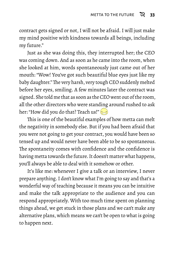contract gets signed or not, I will not be afraid. I will just make my mind positive with kindness towards all beings, including my future."

Just as she was doing this, they interrupted her; the CEO was coming down. And as soon as he came into the room, when she looked at him, words spontaneously just came out of her mouth: "Wow! You've got such beautiful blue eyes just like my baby daughter."The very harsh, very tough CEO suddenly melted before her eyes, smiling. A few minutes later the contract was signed. She told me that as soon as the CEO went out of the room, all the other directors who were standing around rushed to ask her: "How did you do that? Teach us!"

This is one of the beautiful examples of how metta can melt the negativity in somebody else. But if you had been afraid that you were not going to get your contract, you would have been so tensed up and would never have been able to be so spontaneous. The spontaneity comes with confidence and the confidence is having metta towards the future. It doesn't matter what happens, you'll always be able to deal with it somehow or other.

It's like me: whenever I give a talk or an interview, I never prepare anything. I don't know what I'm going to say and that's a wonderful way of teaching because it means you can be intuitive and make the talk appropriate to the audience and you can respond appropriately. With too much time spent on planning things ahead, we get stuck in those plans and we can't make any alternative plans, which means we can't be open to what is going to happen next.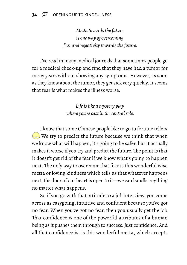*Metta towards the future is one way of overcoming fear and negativity towards the future.*

I've read in many medical journals that sometimes people go for a medical check-up and find that they have had a tumor for many years without showing any symptoms. However, as soon as they know about the tumor, they get sick very quickly. It seems that fear is what makes the illness worse.

> *Life is like a mystery play where you're cast in the central role.*

I know that some Chinese people like to go to fortune tellers.  $\epsilon$  We try to predict the future because we think that when we know what will happen, it's going to be safer, but it actually makes it worse if you try and predict the future. The point is that it doesn't get rid of the fear if we know what's going to happen next. The only way to overcome that fear is this wonderful wise metta or loving kindness which tells us that whatever happens next, the door of our heart is open to it—we can handle anything no matter what happens.

So if you go with that attitude to a job interview, you come across as easygoing, intuitive and confident because you've got no fear. When you've got no fear, then you usually get the job. That confidence is one of the powerful attributes of a human being as it pushes them through to success. Just confidence. And all that confidence is, is this wonderful metta, which accepts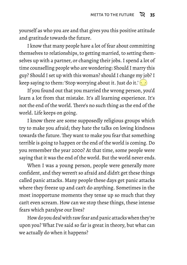yourself as who you are and that gives you this positive attitude and gratitude towards the future.

I know that many people have a lot of fear about committing themselves to relationships, to getting married, to setting themselves up with a partner, or changing their jobs. I spend a lot of time counselling people who are wondering: Should I marry this guy? Should I set up with this woman? should I change my job? I keep saying to them: 'Stop worrying about it. Just do it.' $\langle \cdot \cdot \cdot \rangle$ 

If you found out that you married the wrong person, you'd learn a lot from that mistake. It's all learning experience. It's not the end of the world. There's no such thing as the end of the world. Life keeps on going.

I know there are some supposedly religious groups which try to make you afraid; they hate the talks on loving kindness towards the future. They want to make you fear that something terrible is going to happen or the end of the world is coming. Do you remember the year 2000? At that time, some people were saying that it was the end of the world. But the world never ends.

When I was a young person, people were generally more confident, and they weren't so afraid and didn't get these things called panic attacks. Many people these days get panic attacks where they freeze up and can't do anything. Sometimes in the most inopportune moments they tense up so much that they can't even scream. How can we stop these things, these intense fears which paralyse our lives?

How do you deal with raw fear and panic attacks when they're upon you? What I've said so far is great in theory, but what can we actually do when it happens?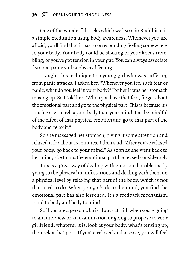One of the wonderful tricks which we learn in Buddhism is a simple meditation using body awareness. Whenever you are afraid, you'll find that it has a corresponding feeling somewhere in your body. Your body could be shaking or your knees trembling, or you've got tension in your gut. You can always associate fear and panic with a physical feeling.

I taught this technique to a young girl who was suffering from panic attacks. I asked her: "Whenever you feel such fear or panic, what do you feel in your body?" For her it was her stomach tensing up. So I told her: "When you have that fear, forget about the emotional part and go to the physical part.This is because it's much easier to relax your body than your mind. Just be mindful of the effect of that physical emotion and go to that part of the body and relax it."

So she massaged her stomach, giving it some attention and relaxed it for about 15 minutes. I then said, "After you've relaxed your body, go back to your mind." As soon as she went back to her mind, she found the emotional part had eased considerably.

This is a great way of dealing with emotional problems: by going to the physical manifestations and dealing with them on a physical level by relaxing that part of the body, which is not that hard to do. When you go back to the mind, you find the emotional part has also lessened. It's a feedback mechanism: mind to body and body to mind.

So if you are a person who is always afraid, when you're going to an interview or an examination or going to propose to your girlfriend, whatever it is, look at your body: what's tensing up, then relax that part. If you're relaxed and at ease, you will feel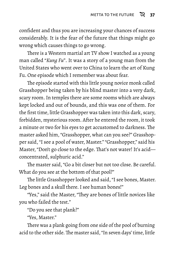confident and thus you are increasing your chances of success considerably. It is the fear of the future that things might go wrong which causes things to go wrong.

There is a Western martial art TV show I watched as a young man called "*Kung Fu*". It was a story of a young man from the United States who went over to China to learn the art of Kung Fu. One episode which I remember was about fear.

The episode started with this little young novice monk called Grasshopper being taken by his blind master into a very dark, scary room. In temples there are some rooms which are always kept locked and out of bounds, and this was one of them. For the first time, little Grasshopper was taken into this dark, scary, forbidden, mysterious room. After he entered the room, it took a minute or two for his eyes to get accustomed to darkness. The master asked him, "Grasshopper, what can you see?" Grasshopper said, "I see a pool of water, Master." "Grasshopper," said his Master, "Don't go close to the edge. That's not water! It's acid concentrated, sulphuric acid."

The master said, "Go a bit closer but not too close. Be careful. What do you see at the bottom of that pool?"

The little Grasshopper looked and said, "I see bones, Master. Leg bones and a skull there. I see human bones!"

"Yes," said the Master, "They are bones of little novices like you who failed the test."

"Do you see that plank?"

"Yes, Master."

There was a plank going from one side of the pool of burning acid to the other side. The master said, "In seven days' time, little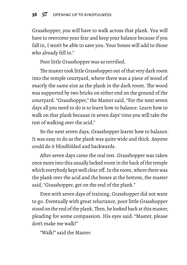Grasshopper, you will have to walk across that plank. You will have to overcome your fear and keep your balance because if you fall in, I won't be able to save you. Your bones will add to those who already fell in."

Poor little Grasshopper was so terrified.

The master took little Grasshopper out of that very dark room into the temple courtyard, where there was a piece of wood of exactly the same size as the plank in the dark room. The wood was supported by two bricks on either end on the ground of the courtyard. "Grasshopper," the Master said, "For the next seven days all you need to do is to learn how to balance. Learn how to walk on that plank because in seven days' time you will take the test of walking over the acid."

So the next seven days, Grasshopper learnt how to balance. It was easy to do as the plank was quite wide and thick. Anyone could do it blindfolded and backwards.

After seven days came the real test. Grasshopper was taken once more into this usually locked room in the back of the temple which everybody kept well clear off. In the room, where there was the plank over the acid and the bones at the bottom, the master said, "Grasshopper, get on the end of the plank."

Even with seven days of training, Grasshopper did not want to go. Eventually with great reluctance, poor little Grasshopper stood on the end of the plank.Then, he looked back at this master, pleading for some compassion. His eyes said: "Master, please don't make me walk!"

"Walk!" said the Master.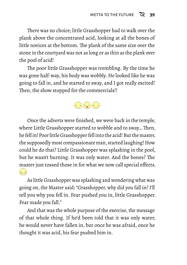There was no choice; little Grasshopper had to walk over the plank above the concentrated acid, looking at all the bones of little novices at the bottom. The plank of the same size over the stone in the courtyard was not as long or as thin as the plank over the pool of acid!

The poor little Grasshopper was trembling. By the time he was gone half-way, his body was wobbly. He looked like he was going to fall in, and he started to sway, and I got really excited! Then, the show stopped for the commercials!!



Once the adverts were finished, we were back in the temple, where Little Grasshopper started to wobble and to sway… Then, he fell in! Poor little Grasshopper fell into the acid! But the master, the supposedly most compassionate man, started laughing! How could he do that? Little Grasshopper was splashing in the pool, but he wasn't burning. It was only water. And the bones? The master just tossed those in for what we now call special effects.  $\left( \begin{matrix} 1 \\ -1 \end{matrix} \right)$ 

As little Grasshopper was splashing and wondering what was going on, the Master said: "Grasshopper, why did you fall in? I'll tell you why you fell in. Fear pushed you in, little Grasshopper. Fear made you fall."

And that was the whole purpose of the exercise, the message of that whole thing. If he'd been told that it was only water, he would never have fallen in, but once he was afraid, once he thought it was acid, his fear pushed him in.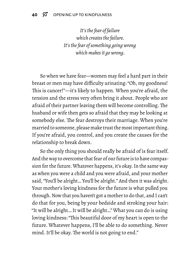#### **40**  $\varnothing$  OPENING UP TO KINDFULNESS

*It's the fear of failure which creates the failure. It's the fear of something going wrong which makes it go wrong.*

So when we have fear—women may feel a hard part in their breast or men may have difficulty urinating: "Oh, my goodness! This is cancer!"—it's likely to happen. When you're afraid, the tension and the stress very often bring it about. People who are afraid of their partner leaving them will become controlling. The husband or wife then gets so afraid that they may be looking at somebody else. The fear destroys their marriage. When you're married to someone, please make trust the most important thing. If you're afraid, you control, and you create the causes for the relationship to break down.

So the only thing you should really be afraid of is fear itself. And the way to overcome that fear of our future is to have compassion for the future. Whatever happens, it's okay. In the same way as when you were a child and you were afraid, and your mother said, "You'll be alright… You'll be alright." And then it was alright. Your mother's loving kindness for the future is what pulled you through. Now that you haven't got a mother to do that, and I can't do that for you, being by your bedside and stroking your hair: "It will be alright… It will be alright…" What you can do is using loving kindness: "This beautiful door of my heart is open to the future. Whatever happens, I'll be able to do something. Never mind. It'll be okay. The world is not going to end."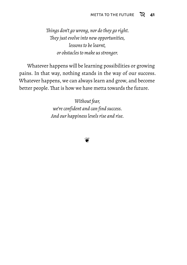*Things don't go wrong, nor do they go right. They just evolve into new opportunities, lessons to be learnt, or obstacles to make us stronger.*

Whatever happens will be learning possibilities or growing pains. In that way, nothing stands in the way of our success. Whatever happens, we can always learn and grow, and become better people. That is how we have metta towards the future.

> *Without fear, we're confident and can find success. And our happiness levels rise and rise.*

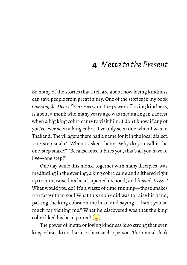## **4** *Metta to the Present*

So many of the stories that I tell are about how loving kindness can save people from great injury. One of the stories in my book *Opening the Door of Your Heart,* on the power of loving kindness, is about a monk who many years ago was meditating in a forest when a big king cobra came to visit him. I don't know if any of you've ever seen a king cobra. I've only seen one when I was in Thailand.The villagers there had a name for it in the local dialect: 'one-step snake'. When I asked them: "Why do you call it the one-step snake?" "Because once it bites you, that's all you have to live—one step!"

One day while this monk, together with many disciples, was meditating in the evening, a king cobra came and slithered right up to him, raised its head, opened its hood, and hissed '*Sssss…*' What would you do? It's a waste of time running—those snakes run faster than you! What this monk did was to raise his hand, patting the king cobra on the head and saying, "Thank you so much for visiting me." What he discovered was that the king cobra liked his head patted!  $\left(\frac{1}{2}\right)$ 

The power of metta or loving kindness is so strong that even king cobras do not harm or hurt such a person. The animals look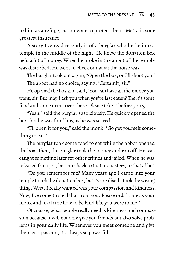to him as a refuge, as someone to protect them. Metta is your greatest insurance.

A story I've read recently is of a burglar who broke into a temple in the middle of the night. He knew the donation box held a lot of money. When he broke in the abbot of the temple was disturbed. He went to check out what the noise was.

The burglar took out a gun, "Open the box, or I'll shoot you." The abbot had no choice, saying, "Certainly, sir."

He opened the box and said, "You can have all the money you want, sir. But may I ask you when you've last eaten? There's some food and some drink over there. Please take it before you go."

"Yeah!" said the burglar suspiciously. He quickly opened the box, but he was fumbling as he was scared.

"I'll open it for you," said the monk, "Go get yourself something to eat."

The burglar took some food to eat while the abbot opened the box. Then, the burglar took the money and ran off. He was caught sometime later for other crimes and jailed. When he was released from jail, he came back to that monastery, to that abbot.

"Do you remember me? Many years ago I came into your temple to rob the donation box, but I've realised I took the wrong thing. What I really wanted was your compassion and kindness. Now, I've come to steal that from you. Please ordain me as your monk and teach me how to be kind like you were to me."

Of course, what people really need is kindness and compassion because it will not only give you friends but also solve problems in your daily life. Whenever you meet someone and give them compassion, it's always so powerful.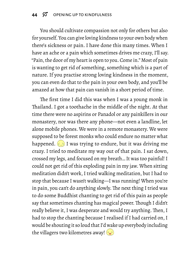You should cultivate compassion not only for others but also for yourself. You can give loving kindness to your own body when there's sickness or pain. I have done this many times. When I have an ache or a pain which sometimes drives me crazy, I'll say. "Pain, the door of my heart is open to you. Come in." Most of pain is wanting to get rid of something, something which is a part of nature. If you practise strong loving kindness in the moment, you can even do that to the pain in your own body, and you'll be amazed at how that pain can vanish in a short period of time.

The first time I did this was when I was a young monk in Thailand. I got a toothache in the middle of the night. At that time there were no aspirins or Panadol or any painkillers in our monastery, nor was there any phone—not even a landline, let alone mobile phones. We were in a remote monastery. We were supposed to be forest monks who could endure no matter what happened.  $\left(\frac{1}{2}\right)$  I was trying to endure, but it was driving me crazy. I tried to meditate my way out of that pain. I sat down, crossed my legs, and focused on my breath… It was too painful! I could not get rid of this exploding pain in my jaw. When sitting meditation didn't work, I tried walking meditation, but I had to stop that because I wasn't walking—I was running! When you're in pain, you can't do anything slowly. The next thing I tried was to do some Buddhist chanting to get rid of this pain as people say that sometimes chanting has magical power. Though I didn't really believe it, I was desperate and would try anything. Then, I had to stop the chanting because I realised if I had carried on, I would be shouting it so loud that I'd wake up everybody including the villagers two kilometres away!  $\left(\frac{1}{2}\right)$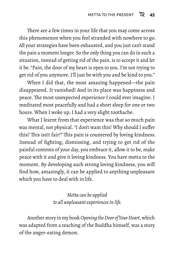There are a few times in your life that you may come across this phenomenon when you feel stranded with nowhere to go. All your strategies have been exhausted, and you just can't stand the pain a moment longer. So the only thing you can do in such a situation, instead of getting rid of the pain, is to accept it and let it be. "Pain, the door of my heart is open to you. I'm not trying to get rid of you anymore. I'll just be with you and be kind to you."

When I did that, the most amazing happened—the pain disappeared. It vanished! And in its place was happiness and peace. The most unexpected experience I could ever imagine. I meditated most peacefully and had a short sleep for one or two hours. When I woke up, I had a very slight toothache.

What I learnt from that experience was that so much pain was mental, not physical. "I don't want this! Why should I suffer this? This isn't fair!" This pain is countered by loving kindness. Instead of fighting, dismissing, and trying to get rid of the painful contents of your day, you embrace it, allow it to be, make peace with it and give it loving kindness. You have metta to the moment. By developing such strong loving kindness, you will find how, amazingly, it can be applied to anything unpleasant which you have to deal with in life.

> *Metta can be applied to all unpleasant experiences in life.*

Another story in my book*OpeningtheDoor of Your Heart*, which was adapted from a teaching of the Buddha himself, was a story of the anger-eating demon.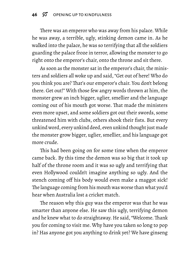There was an emperor who was away from his palace. While he was away, a terrible, ugly, stinking demon came in. As he walked into the palace, he was so terrifying that all the soldiers guarding the palace froze in terror, allowing the monster to go right onto the emperor's chair, onto the throne and sit there.

As soon as the monster sat in the emperor's chair, the ministers and soldiers all woke up and said, "Get out of here! Who do you think you are? That's our emperor's chair. You don't belong there. Get out!" With those few angry words thrown at him, the monster grew an inch bigger, uglier, smellier and the language coming out of his mouth got worse. That made the ministers even more upset, and some soldiers got out their swords, some threatened him with clubs, others shook their fists. But every unkind word, every unkind deed, even unkind thought just made the monster grow bigger, uglier, smellier, and his language got more crude.

This had been going on for some time when the emperor came back. By this time the demon was so big that it took up half of the throne room and it was so ugly and terrifying that even Hollywood couldn't imagine anything so ugly. And the stench coming off his body would even make a maggot sick! The language coming from his mouth was worse than what you'd hear when Australia lost a cricket match.

The reason why this guy was the emperor was that he was smarter than anyone else. He saw this ugly, terrifying demon and he knew what to do straightaway. He said, "Welcome. Thank you for coming to visit me. Why have you taken so long to pop in? Has anyone got you anything to drink yet? We have ginseng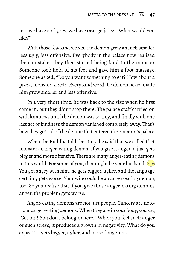tea, we have earl grey, we have orange juice… What would you  $like$ ?"

With those few kind words, the demon grew an inch smaller, less ugly, less offensive. Everybody in the palace now realised their mistake. They then started being kind to the monster. Someone took hold of his feet and gave him a foot massage. Someone asked, "Do you want something to eat? How about a pizza, monster-sized?" Every kind word the demon heard made him grow smaller and less offensive.

In a very short time, he was back to the size when he first came in, but they didn't stop there. The palace staff carried on with kindness until the demon was so tiny, and finally with one last act of kindness the demon vanished completely away. That's how they got rid of the demon that entered the emperor's palace.

When the Buddha told the story, he said that we called that monster an anger-eating demon. If you give it anger, it just gets bigger and more offensive. There are many anger-eating demons in this world. For some of you, that might be your husband. You get angry with him, he gets bigger, uglier, and the language certainly gets worse. Your wife could be an anger-eating demon, too. So you realise that if you give those anger-eating demons anger, the problem gets worse.

Anger-eating demons are not just people. Cancers are notorious anger-eating demons. When they are in your body, you say, "Get out! You don't belong in here!" When you feel such anger or such stress, it produces a growth in negativity. What do you expect? It gets bigger, uglier, and more dangerous.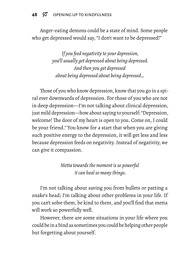Anger-eating demons could be a state of mind. Some people who get depressed would say, "I don't want to be depressed!"

> *If you feed negativity to your depression, you'll usually get depressed about being depressed. And then you get depressed about being depressed about being depressed…*

Those of you who know depression, know that you go in a spiral ever downwards of depression. For those of you who are not in deep depression—I'm not talking about clinical depression, just mild depression—how about saying to yourself: "Depression, welcome! The door of my heart is open to you. Come on, I could be your friend." You know for a start that when you are giving such positive energy to the depression, it will get less and less because depression feeds on negativity. Instead of negativity, we can give it compassion.

> *Metta towards the moment is so powerful it can heal so many things.*

I'm not talking about saving you from bullets or patting a snake's head; I'm talking about other problems in your life. If you can't solve them, be kind to them, and you'll find that metta will work so powerfully well.

However, there are some situations in your life where you could be in a bind as sometimes you could be helping other people but forgetting about yourself.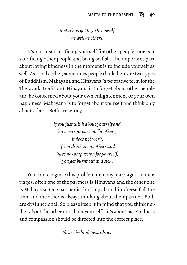### *Metta has got to go to oneself as well as others.*

It's not just sacrificing yourself for other people, nor is it sacrificing other people and being selfish. The important part about loving kindness in the moment is to include yourself as well. As I said earlier, sometimes people think there are two types of Buddhism: Mahayana and Hinayana (a pejorative term for the Theravada tradition). Hinayana is to forget about other people and be concerned about your own enlightenment or your own happiness. Mahayana is to forget about yourself and think only about others. Both are wrong!

> *If you just think about yourself and have no compassion for others, it does not work. If you think about others and have no compassion for yourself, you get burnt out and sick.*

You can recognise this problem in many marriages. In marriages, often one of the partners is Hinayana and the other one is Mahayana. One partner is thinking about him/herself all the time and the other is always thinking about their partner. Both are dysfunctional. So please keep it in mind that you think neither about the other nor about yourself—it's about **us**. Kindness and compassion should be directed into the correct place.

*Please be kind towards us.*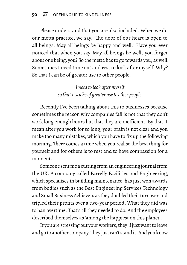Please understand that you are also included. When we do our metta practice, we say, "The door of our heart is open to all beings. May all beings be happy and well." Have you ever noticed that when you say 'May all beings be well,' you forget about one being: you? So the metta has to go towards you, as well. Sometimes I need time out and rest to look after myself. Why? So that I can be of greater use to other people.

> *I need to look after myself so that I can be of greater use to other people.*

Recently I've been talking about this to businesses because sometimes the reason why companies fail is not that they don't work long enough hours but that they are inefficient. By that, I mean after you work for so long, your brain is not clear and you make too many mistakes, which you have to fix up the following morning. There comes a time when you realise the best thing for yourself and for others is to rest and to have compassion for a moment.

Someone sent me a cutting from an engineering journal from the UK. A company called Farrelly Facilities and Engineering, which specialises in building maintenance, has just won awards from bodies such as the Best Engineering Services Technology and Small Business Achievers as they doubled their turnover and tripled their profits over a two-year period. What they did was to ban overtime. That's all they needed to do. And the employees described themselves as 'among the happiest on this planet'.

If you are stressing out your workers, they'll just want to leave and go to another company.They just can't stand it. And you know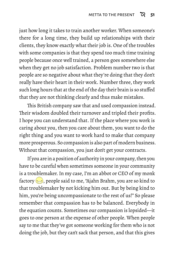just how long it takes to train another worker. When someone's there for a long time, they build up relationships with their clients, they know exactly what their job is. One of the troubles with some companies is that they spend too much time training people because once well trained, a person goes somewhere else when they get no job satisfaction. Problem number two is that people are so negative about what they're doing that they don't really have their heart in their work. Number three, they work such long hours that at the end of the day their brain is so stuffed that they are not thinking clearly and thus make mistakes.

This British company saw that and used compassion instead. Their wisdom doubled their turnover and tripled their profits. I hope you can understand that. If the place where you work is caring about you, then you care about them, you want to do the right thing and you want to work hard to make that company more prosperous. So compassion is also part of modern business. Without that compassion, you just don't get your contracts.

If you are in a position of authority in your company, then you have to be careful when sometimes someone in your community is a troublemaker. In my case, I'm an abbot or CEO of my monk factory  $\Longleftrightarrow$ , people said to me, "Ajahn Brahm, you are so kind to that troublemaker by not kicking him out. But by being kind to him, you're being uncompassionate to the rest of us!" So please remember that compassion has to be balanced. Everybody in the equation counts. Sometimes our compassion is lopsided—it goes to one person at the expense of other people. When people say to me that they've got someone working for them who is not doing the job, but they can't sack that person, and that this gives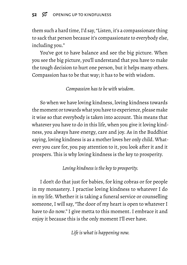them such a hard time, I'd say, "Listen, it's a compassionate thing to sack that person because it's compassionate to everybody else, including you."

You've got to have balance and see the big picture. When you see the big picture, you'll understand that you have to make the tough decision to hurt one person, but it helps many others. Compassion has to be that way; it has to be with wisdom.

*Compassion has to be with wisdom.*

So when we have loving kindness, loving kindness towards the moment or towards what you have to experience, please make it wise so that everybody is taken into account. This means that whatever you have to do in this life, when you give it loving kindness, you always have energy, care and joy. As in the Buddhist saying, loving kindness is as a mother loves her only child. Whatever you care for, you pay attention to it, you look after it and it prospers. This is why loving kindness is the key to prosperity.

*Loving kindness is the key to prosperity.*

I don't do that just for babies, for king cobras or for people in my monastery. I practise loving kindness to whatever I do in my life. Whether it is taking a funeral service or counselling someone, I will say, "The door of my heart is open to whatever I have to do now." I give metta to this moment. I embrace it and enjoy it because this is the only moment I'll ever have.

*Life is what is happening now.*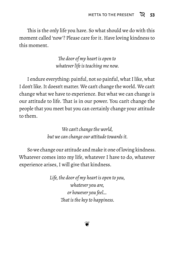This is the only life you have. So what should we do with this moment called 'now'? Please care for it. Have loving kindness to this moment.

> *The door of my heart is open to whatever life is teaching me now.*

I endure everything: painful, not so painful, what I like, what I don't like. It doesn't matter. We can't change the world. We can't change what we have to experience. But what we can change is our attitude to life. That is in our power. You can't change the people that you meet but you can certainly change your attitude to them.

> *We can't change the world, but we can change our attitude towards it.*

So we change our attitude and make it one of loving kindness. Whatever comes into my life, whatever I have to do, whatever experience arises, I will give that kindness.

> *Life, the door of my heart is open to you, whatever you are, or however you feel… That is the key to happiness.*

> > ❦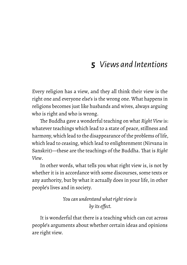# **5** *Views and Intentions*

Every religion has a view, and they all think their view is the right one and everyone else's is the wrong one. What happens in religions becomes just like husbands and wives, always arguing who is right and who is wrong.

The Buddha gave a wonderful teaching on what *Right View* is: whatever teachings which lead to a state of peace, stillness and harmony, which lead to the disappearance of the problems of life, which lead to ceasing, which lead to enlightenment (Nirvana in Sanskrit)—these are the teachings of the Buddha. That is *Right View*.

In other words, what tells you what right view is, is not by whether it is in accordance with some discourses, some texts or any authority, but by what it actually does in your life, in other people's lives and in society.

> *You can understand what right view is by its effect.*

It is wonderful that there is a teaching which can cut across people's arguments about whether certain ideas and opinions are right view.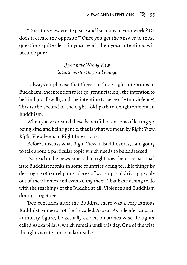"Does this view create peace and harmony in your world? Or, does it create the opposite?" Once you get the answer to those questions quite clear in your head, then your intentions will become pure.

> *If you have Wrong View, intentions start to go all wrong.*

I always emphasise that there are three right intentions in Buddhism: the intention to let go (renunciation), the intention to be kind (no ill-will), and the intention to be gentle (no violence). This is the second of the eight-fold path to enlightenment in Buddhism.

When you've created these beautiful intentions of letting go, being kind and being gentle, that is what we mean by Right View. Right View leads to Right Intentions.

Before I discuss what Right View in Buddhism is, I am going to talk about a particular topic which needs to be addressed.

I've read in the newspapers that right now there are nationalistic Buddhist monks in some countries doing terrible things by destroying other religions' places of worship and driving people out of their homes and even killing them. That has nothing to do with the teachings of the Buddha at all. Violence and Buddhism don't go together.

Two centuries after the Buddha, there was a very famous Buddhist emperor of India called Asoka. As a leader and an authority figure, he actually carved on stones wise thoughts, called Asoka pillars, which remain until this day. One of the wise thoughts written on a pillar reads: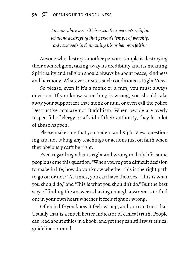*"Anyone who even criticises another person's religion, let alone destroying that person's temple of worship, only succeeds in demeaning his or her own faith."*

Anyone who destroys another person's temple is destroying their own religion, taking away its credibility and its meaning. Spirituality and religion should always be about peace, kindness and harmony. Whatever creates such conditions is Right View.

So please, even if it's a monk or a nun, you must always question. If you know something is wrong, you should take away your support for that monk or nun, or even call the police. Destructive acts are not Buddhism. When people are overly respectful of clergy or afraid of their authority, they let a lot of abuse happen.

Please make sure that you understand Right View, questioning and not taking any teachings or actions just on faith when they obviously can't be right.

Even regarding what is right and wrong in daily life, some people ask me this question: "When you've got a difficult decision to make in life, how do you know whether this is the right path to go on or not?" At times, you can have theories, "This is what you should do," and "This is what you shouldn't do." But the best way of finding the answer is having enough awareness to find out in your own heart whether it feels right or wrong.

Often in life you know it feels wrong, and you can trust that. Usually that is a much better indicator of ethical truth. People can read about ethics in a book, and yet they can still twist ethical guidelines around.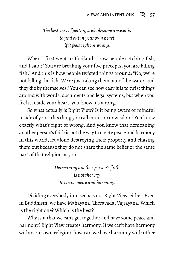### *The best way of getting a wholesome answer is to find out in your own heart if it feels right or wrong.*

When I first went to Thailand, I saw people catching fish, and I said: "You are breaking your five precepts, you are killing fish." And this is how people twisted things around: "No, we're not killing the fish. We're just taking them out of the water, and they die by themselves." You can see how easy it is to twist things around with words, documents and legal systems, but when you feel it inside your heart, you know it's wrong.

So what actually is Right View? Is it being aware or mindful inside of you—this thing you call intuition or wisdom? You know exactly what's right or wrong. And you know that demeaning another person's faith is not the way to create peace and harmony in this world, let alone destroying their property and chasing them out because they do not share the same belief or the same part of that religion as you.

> *Demeaning another person's faith is not the way to create peace and harmony.*

Dividing everybody into sects is not Right View, either. Even in Buddhism, we have Mahayana, Theravada, Vajrayana. Which is the right one? Which is the best?

Why is it that we can't get together and have some peace and harmony? Right View creates harmony. If we can't have harmony within our own religion, how can we have harmony with other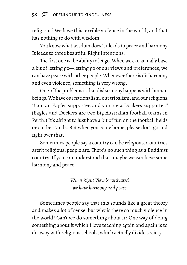religions? We have this terrible violence in the world, and that has nothing to do with wisdom.

You know what wisdom does? It leads to peace and harmony. It leads to three beautiful Right Intentions.

The first one is the ability to let go. When we can actually have a bit of letting go—letting go of our views and preferences, we can have peace with other people.Whenever there is disharmony and even violence, something is very wrong.

One of the problems is that disharmony happens with human beings. We have our nationalism, our tribalism, and our religions. "I am an Eagles supporter, and you are a Dockers supporter." (Eagles and Dockers are two big Australian football teams in Perth.) It's alright to just have a bit of fun on the football fields or on the stands. But when you come home, please don't go and fight over that.

Sometimes people say a country can be religious. Countries aren't religious; people are. There's no such thing as a Buddhist country. If you can understand that, maybe we can have some harmony and peace.

> *When Right View is cultivated, we have harmony and peace.*

Sometimes people say that this sounds like a great theory and makes a lot of sense, but why is there so much violence in the world? Can't we do something about it? One way of doing something about it which I love teaching again and again is to do away with religious schools, which actually divide society.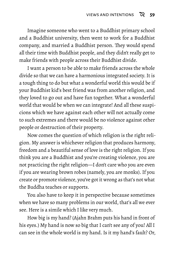Imagine someone who went to a Buddhist primary school and a Buddhist university, then went to work for a Buddhist company, and married a Buddhist person. They would spend all their time with Buddhist people, and they didn't really get to make friends with people across their Buddhist divide.

I want a person to be able to make friends across the whole divide so that we can have a harmonious integrated society. It is a tough thing to do but what a wonderful world this would be if your Buddhist kid's best friend was from another religion, and they loved to go out and have fun together. What a wonderful world that would be when we can integrate! And all these suspicions which we have against each other will not actually come to such extremes and there would be no violence against other people or destruction of their property.

Now comes the question of which religion is the right religion. My answer is whichever religion that produces harmony, freedom and a beautiful sense of love is the right religion. If you think you are a Buddhist and you're creating violence, you are not practicing the right religion—I don't care who you are even if you are wearing brown robes (namely, you are monks). If you create or promote violence, you've got it wrong as that's not what the Buddha teaches or supports.

You also have to keep it in perspective because sometimes when we have so many problems in our world, that's all we ever see. Here is a simile which I like very much.

How big is my hand? (Ajahn Brahm puts his hand in front of his eyes.) My hand is now so big that I can't see any of you! All I can see in the whole world is my hand. Is it my hand's fault? Or,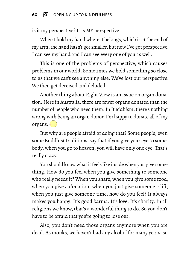is it my perspective? It is MY perspective.

When I hold my hand where it belongs, which is at the end of my arm, the hand hasn't got smaller, but now I've got perspective. I can see my hand and I can see every one of you as well.

This is one of the problems of perspective, which causes problems in our world. Sometimes we hold something so close to us that we can't see anything else. We've lost our perspective. We then get deceived and deluded.

Another thing about Right View is an issue on organ donation. Here in Australia, there are fewer organs donated than the number of people who need them. In Buddhism, there's nothing wrong with being an organ donor. I'm happy to donate all of my organs.  $\cdot \cdot \cdot$ 

But why are people afraid of doing that? Some people, even some Buddhist traditions, say that if you give your eye to somebody, when you go to heaven, you will have only one eye. That's really crazy.

You should know what it feels like inside when you give something. How do you feel when you give something to someone who really needs it? When you share, when you give some food, when you give a donation, when you just give someone a lift, when you just give someone time, how do you feel? It always makes you happy! It's good karma. It's love. It's charity. In all religions we know, that's a wonderful thing to do. So you don't have to be afraid that you're going to lose out.

Also, you don't need those organs anymore when you are dead. As monks, we haven't had any alcohol for many years, so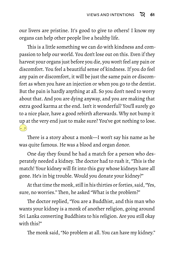our livers are pristine. It's good to give to others! I know my organs can help other people live a healthy life.

This is a little something we can do with kindness and compassion to help our world. You don't lose out on this. Even if they harvest your organs just before you die, you won't feel any pain or discomfort. You feel a beautiful sense of kindness. If you do feel any pain or discomfort, it will be just the same pain or discomfort as when you have an injection or when you go to the dentist. But the pain is hardly anything at all. So you don't need to worry about that. And you are dying anyway, and you are making that extra good karma at the end. Isn't it wonderful? You'll surely go to a nice place, have a good rebirth afterwards. Why not bump it up at the very end just to make sure? You've got nothing to lose.  $(-, -)$ 

There is a story about a monk—I won't say his name as he was quite famous. He was a blood and organ donor.

One day they found he had a match for a person who desperately needed a kidney. The doctor had to rush it, "This is the match! Your kidney will fit into this guy whose kidneys have all gone. He's in big trouble. Would you donate your kidney?"

At that time the monk, still in his thirties or forties, said, "Yes, sure, no worries." Then, he asked "What is the problem?"

The doctor replied, "You are a Buddhist, and this man who wants your kidney is a monk of another religion, going around Sri Lanka converting Buddhists to his religion. Are you still okay with this?"

The monk said, "No problem at all. You can have my kidney."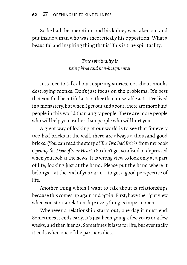So he had the operation, and his kidney was taken out and put inside a man who was theoretically his opposition. What a beautiful and inspiring thing that is! This is true spirituality.

> *True spirituality is being kind and non-judgmental.*

It is nice to talk about inspiring stories, not about monks destroying monks. Don't just focus on the problems. It's best that you find beautiful acts rather than miserable acts. I've lived in a monastery, but when I get out and about, there are more kind people in this world than angry people. There are more people who will help you, rather than people who will hurt you.

A great way of looking at our world is to see that for every two bad bricks in the wall, there are always a thousand good bricks. (You can read the story of *The Two Bad Bricks* from my book *Opening the Door of Your Heart*.) So don't get so afraid or depressed when you look at the news. It is wrong view to look only at a part of life, looking just at the hand. Please put the hand where it belongs—at the end of your arm—to get a good perspective of life.

Another thing which I want to talk about is relationships because this comes up again and again. First, have the right view when you start a relationship: everything is impermanent.

Whenever a relationship starts out, one day it must end. Sometimes it ends early. It's just been going a few years or a few weeks, and then it ends. Sometimes it lasts for life, but eventually it ends when one of the partners dies.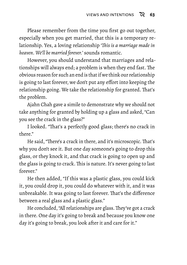Please remember from the time you first go out together, especially when you get married, that this is a temporary relationship. Yes, a loving relationship '*This is a marriage made in heaven. We'll be married forever.*' sounds romantic.

However, you should understand that marriages and relationships will always end; a problem is when they end fast. The obvious reason for such an end is that if we think our relationship is going to last forever, we don't put any effort into keeping the relationship going. We take the relationship for granted. That's the problem.

Ajahn Chah gave a simile to demonstrate why we should not take anything for granted by holding up a glass and asked, "Can you see the crack in the glass?"

I looked. "That's a perfectly good glass; there's no crack in there."

He said, "There's a crack in there, and it's microscopic. That's why you don't see it. But one day someone's going to drop this glass, or they knock it, and that crack is going to open up and the glass is going to crack. This is nature. It's never going to last forever"

He then added, "If this was a plastic glass, you could kick it, you could drop it, you could do whatever with it, and it was unbreakable. It was going to last forever. That's the difference between a real glass and a plastic glass."

He concluded, "All relationships are glass. They've got a crack in there. One day it's going to break and because you know one day it's going to break, you look after it and care for it."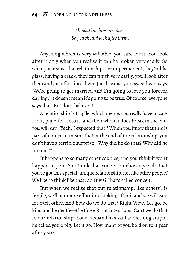*All relationships are glass. So you should look after them.*

Anything which is very valuable, you care for it. You look after it only when you realise it can be broken very easily. So when you realise that relationships are impermanent, they're like glass, having a crack, they can finish very easily, you'll look after them and put effort into them. Just because your sweetheart says, "We're going to get married and I'm going to love you forever, darling," it doesn't mean it's going to be true. Of course, everyone says that. But don't believe it.

A relationship is fragile, which means you really have to care for it, put effort into it, and then when it does break in the end, you will say, "Yeah, I expected that." When you know that this is part of nature, it means that at the end of the relationship, you don't have a terrible surprise: "Why did he do that? Why did he run out?"

It happens to so many other couples, and you think it won't happen to you? You think that you're somehow special? That you've got this special, unique relationship, not like other people? We like to think like that, don't we? That's called conceit.

But when we realise that our relationship, like others', is fragile, we'll put more effort into looking after it and we will care for each other. And how do we do that? Right View. Let go, be kind and be gentle—the three Right Intentions. Can't we do that in our relationship? Your husband has said something stupid, he called you a pig. Let it go. How many of you hold on to it year after year?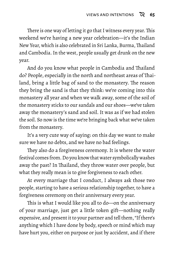There is one way of letting it go that I witness every year. This weekend we're having a new year celebration—it's the Indian New Year, which is also celebrated in Sri Lanka, Burma,Thailand and Cambodia. In the west, people usually get drunk on the new year.

And do you know what people in Cambodia and Thailand do? People, especially in the north and northeast areas of Thailand, bring a little bag of sand to the monastery. The reason they bring the sand is that they think: we're coming into this monastery all year and when we walk away, some of the soil of the monastery sticks to our sandals and our shoes—we've taken away the monastery's sand and soil. It was as if we had stolen the soil. So now is the time we're bringing back what we've taken from the monastery.

It's a very cute way of saying: on this day we want to make sure we have no debts, and we have no bad feelings.

They also do a forgiveness ceremony. It is where the water festival comes from. Do you know that water symbolically washes away the past? In Thailand, they throw water over people, but what they really mean is to give forgiveness to each other.

At every marriage that I conduct, I always ask those two people, starting to have a serious relationship together, to have a forgiveness ceremony on their anniversary every year.

This is what I would like you all to do—on the anniversary of your marriage, just get a little token gift—nothing really expensive, and present it to your partner and tell them, "If there's anything which I have done by body, speech or mind which may have hurt you, either on purpose or just by accident, and if there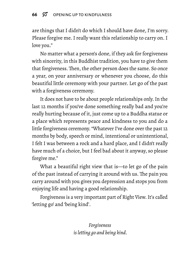are things that I didn't do which I should have done, I'm sorry. Please forgive me. I really want this relationship to carry on. I love you."

No matter what a person's done, if they ask for forgiveness with sincerity, in this Buddhist tradition, you have to give them that forgiveness. Then, the other person does the same. So once a year, on your anniversary or whenever you choose, do this beautiful little ceremony with your partner. Let go of the past with a forgiveness ceremony.

It does not have to be about people relationships only. In the last 12 months if you've done something really bad and you're really hurting because of it, just come up to a Buddha statue or a place which represents peace and kindness to you and do a little forgiveness ceremony. "Whatever I've done over the past 12 months by body, speech or mind, intentional or unintentional, I felt I was between a rock and a hard place, and I didn't really have much of a choice, but I feel bad about it anyway, so please forgive me."

What a beautiful right view that is—to let go of the pain of the past instead of carrying it around with us. The pain you carry around with you gives you depression and stops you from enjoying life and having a good relationship.

Forgiveness is a very important part of Right View. It's called 'letting go' and 'being kind'.

> *Forgiveness is letting go and being kind.*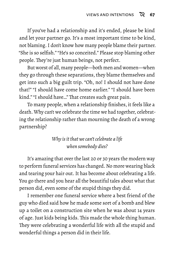If you've had a relationship and it's ended, please be kind and let your partner go. It's a most important time to be kind, not blaming. I don't know how many people blame their partner. "She is so selfish." "He's so conceited." Please stop blaming other people. They're just human beings, not perfect.

But worst of all, many people—both men and women—when they go through these separations, they blame themselves and get into such a big guilt trip. "Oh, no! I should not have done that!" "I should have come home earlier." "I should have been kind." "I should have…" That creates such great pain.

To many people, when a relationship finishes, it feels like a death. Why can't we celebrate the time we had together, celebrating the relationship rather than mourning the death of a wrong partnership?

### *Why is it that we can't celebrate a life when somebody dies?*

It's amazing that over the last 20 or 30 years the modern way to perform funeral services has changed. No more wearing black and tearing your hair out. It has become about celebrating a life. You go there and you hear all the beautiful tales about what that person did, even some of the stupid things they did.

I remember one funeral service where a best friend of the guy who died said how he made some sort of a bomb and blew up a toilet on a construction site when he was about 14 years of age. Just kids being kids. This made the whole thing human. They were celebrating a wonderful life with all the stupid and wonderful things a person did in their life.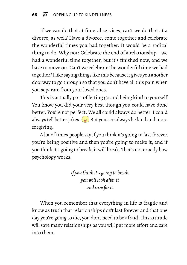If we can do that at funeral services, can't we do that at a divorce, as well? Have a divorce, come together and celebrate the wonderful times you had together. It would be a radical thing to do. Why not? Celebrate the end of a relationship—we had a wonderful time together, but it's finished now, and we have to move on. Can't we celebrate the wonderful time we had together? I like saying things like this becauseit gives you another doorway to go through so that you don't have all this pain when you separate from your loved ones.

This is actually part of letting go and being kind to yourself. You know you did your very best though you could have done better. You're not perfect. We all could always do better. I could always tell better jokes.  $\circledbullet$  But you can always be kind and more forgiving.

A lot of times people say if you think it's going to last forever, you're being positive and then you're going to make it; and if you think it's going to break, it will break. That's not exactly how psychology works.

> *If you think it's going to break, you will look after it and care for it.*

When you remember that everything in life is fragile and know as truth that relationships don't last forever and that one day you're going to die, you don't need to be afraid. This attitude will save many relationships as you will put more effort and care into them.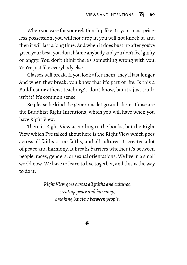When you care for your relationship like it's your most priceless possession, you will not drop it, you will not knock it, and then it will last a long time. And when it does bust up after you've given your best, you don't blame anybody and you don't feel guilty or angry. You don't think there's something wrong with you. You're just like everybody else.

Glasses will break. If you look after them, they'll last longer. And when they break, you know that it's part of life. Is this a Buddhist or atheist teaching? I don't know, but it's just truth, isn't it? It's common sense.

So please be kind, be generous, let go and share. Those are the Buddhist Right Intentions, which you will have when you have Right View.

There is Right View according to the books, but the Right View which I've talked about here is the Right View which goes across all faiths or no faiths, and all cultures. It creates a lot of peace and harmony. It breaks barriers whether it's between people, races, genders, or sexual orientations. We live in a small world now. We have to learn to live together, and this is the way to do it.

> *Right View goes across all faiths and cultures, creating peace and harmony, breaking barriers between people.*

> > ❦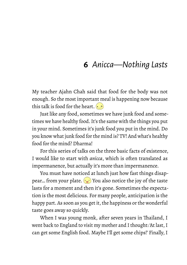## **6** *Anicca—Nothing Lasts*

My teacher Ajahn Chah said that food for the body was not enough. So the most important meal is happening now because this talk is food for the heart.  $\left( \cdot \right)$ 

Just like any food, sometimes we have junk food and sometimes we have healthy food. It's the same with the things you put in your mind. Sometimes it's junk food you put in the mind. Do you know what junk food for the mind is? TV! And what's healthy food for the mind? Dharma!

For this series of talks on the three basic facts of existence, I would like to start with *anicca*, which is often translated as impermanence, but actually it's more than impermanence.

You must have noticed at lunch just how fast things disappear... from your plate.  $\Diamond$  You also notice the joy of the taste lasts for a moment and then it's gone. Sometimes the expectation is the most delicious. For many people, anticipation is the happy part. As soon as you get it, the happiness or the wonderful taste goes away so quickly.

When I was young monk, after seven years in Thailand, I went back to England to visit my mother and I thought: 'At last, I can get some English food. Maybe I'll get some chips!' Finally, I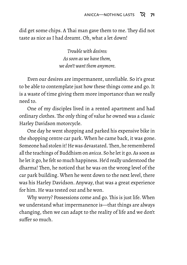did get some chips. A Thai man gave them to me. They did not taste as nice as I had dreamt. Oh, what a let down!

> *Trouble with desires: As soon as we have them, we don't want them anymore.*

Even our desires are impermanent, unreliable. So it's great to be able to contemplate just how these things come and go. It is a waste of time giving them more importance than we really need to.

One of my disciples lived in a rented apartment and had ordinary clothes. The only thing of value he owned was a classic Harley Davidson motorcycle.

One day he went shopping and parked his expensive bike in the shopping centre car park. When he came back, it was gone. Someone had stolen it! He was devastated.Then, he remembered all the teachings of Buddhism on *anicca*. So he let it go. As soon as he let it go, he felt so much happiness. He'd really understood the dharma! Then, he noticed that he was on the wrong level of the car park building. When he went down to the next level, there was his Harley Davidson. Anyway, that was a great experience for him. He was tested out and he won.

Why worry? Possessions come and go. This is just life. When we understand what impermanence is—that things are always changing, then we can adapt to the reality of life and we don't suffer so much.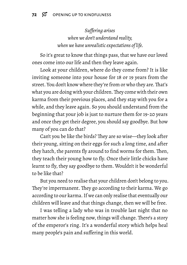*Suffering arises when we don't understand reality, when we have unrealistic expectations of life.*

So it's great to know that things pass, that we have our loved ones come into our life and then they leave again.

Look at your children, where do they come from? It is like inviting someone into your house for 18 or 19 years from the street. You don't know where they're from or who they are.That's what you are doing with your children.They come with their own karma from their previous places, and they stay with you for a while, and they leave again. So you should understand from the beginning that your job is just to nurture them for 19-20 years and once they get their degree, you should say goodbye. But how many of you can do that?

Can't you be like the birds? They are so wise—they look after their young, sitting on their eggs for such a long time, and after they hatch, the parents fly around to find worms for them. Then, they teach their young how to fly. Once their little chicks have learnt to fly, they say goodbye to them. Wouldn't it be wonderful to be like that?

But you need to realise that your children don't belong to you. They're impermanent. They go according to their karma. We go according to our karma. If we can only realise that eventually our children will leave and that things change, then we will be free.

I was telling a lady who was in trouble last night that no matter how she is feeling now, things will change. There's a story of the emperor's ring. It's a wonderful story which helps heal many people's pain and suffering in this world.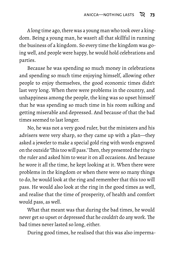A long time ago, there was a young man who took over a kingdom. Being a young man, he wasn't all that skillful in running the business of a kingdom. So every time the kingdom was going well, and people were happy, he would hold celebrations and parties.

Because he was spending so much money in celebrations and spending so much time enjoying himself, allowing other people to enjoy themselves, the good economic times didn't last very long. When there were problems in the country, and unhappiness among the people, the king was so upset himself that he was spending so much time in his room sulking and getting miserable and depressed. And because of that the bad times seemed to last longer.

No, he was not a very good ruler, but the ministers and his advisers were very sharp, so they came up with a plan—they asked a jeweler to make a special gold ring with words engraved on the outside 'This too will pass.'Then, they presented the ring to the ruler and asked him to wear it on all occasions. And because he wore it all the time, he kept looking at it. When there were problems in the kingdom or when there were so many things to do, he would look at the ring and remember that this too will pass. He would also look at the ring in the good times as well, and realise that the time of prosperity, of health and comfort would pass, as well.

What that meant was that during the bad times, he would never get so upset or depressed that he couldn't do any work.The bad times never lasted so long, either.

During good times, he realised that this was also imperma-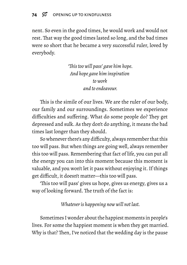nent. So even in the good times, he would work and would not rest. That way the good times lasted so long, and the bad times were so short that he became a very successful ruler, loved by everybody.

> *'This too will pass' gave him hope. And hope gave him inspiration to work and to endeavour.*

This is the simile of our lives. We are the ruler of our body, our family and our surroundings. Sometimes we experience difficulties and suffering. What do some people do? They get depressed and sulk. As they don't do anything, it means the bad times last longer than they should.

So whenever there's any difficulty, always remember that this too will pass. But when things are going well, always remember this too will pass. Remembering that fact of life, you can put all the energy you can into this moment because this moment is valuable, and you won't let it pass without enjoying it. If things get difficult, it doesn't matter—this too will pass.

'This too will pass' gives us hope, gives us energy, gives us a way of looking forward. The truth of the fact is:

*Whatever is happening now will not last.*

Sometimes I wonder about the happiest moments in people's lives. For some the happiest moment is when they get married. Why is that? Then, I've noticed that the wedding day is the pause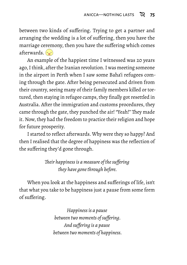between two kinds of suffering. Trying to get a partner and arranging the wedding is a lot of suffering, then you have the marriage ceremony, then you have the suffering which comes afterwards. $\left(\cdot,\cdot\right)$ 

An example of the happiest time I witnessed was 20 years ago, I think, after the Iranian revolution. I was meeting someone in the airport in Perth when I saw some Baha'i refugees coming through the gate. After being persecuted and driven from their country, seeing many of their family members killed or tortured, then staying in refugee camps, they finally got resettled in Australia. After the immigration and customs procedures, they came through the gate, they punched the air! "Yeah!" They made it. Now, they had the freedom to practice their religion and hope for future prosperity.

I started to reflect afterwards. Why were they so happy? And then I realised that the degree of happiness was the reflection of the suffering they'd gone through.

> *Their happiness is a measure of the suffering they have gone through before.*

When you look at the happiness and sufferings of life, isn't that what you take to be happiness just a pause from some form of suffering.

> *Happiness is a pause between two moments of suffering. And suffering is a pause between two moments of happiness.*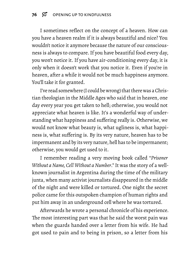I sometimes reflect on the concept of a heaven. How can you have a heaven realm if it is always beautiful and nice? You wouldn't notice it anymore because the nature of our consciousness is always to compare. If you have beautiful food every day, you won't notice it. If you have air-conditioning every day, it is only when it doesn't work that you notice it. Even if you're in heaven, after a while it would not be much happiness anymore. You'll take it for granted.

I've read somewhere (I could be wrong) that there was a Christian theologian in the Middle Ages who said that in heaven, one day every year you get taken to hell; otherwise, you would not appreciate what heaven is like. It's a wonderful way of understanding what happiness and suffering really is. Otherwise, we would not know what beauty is, what ugliness is, what happiness is, what suffering is. By its very nature, heaven has to be impermanent and by its very nature, hell has to be impermanent; otherwise, you would get used to it.

I remember reading a very moving book called "*Prisoner Without a Name, Cell Without a Number*." It was the story of a wellknown journalist in Argentina during the time of the military junta, when many activist journalists disappeared in the middle of the night and were killed or tortured. One night the secret police came for this outspoken champion of human rights and put him away in an underground cell where he was tortured.

Afterwards he wrote a personal chronicle of his experience. The most interesting part was that he said the worst pain was when the guards handed over a letter from his wife. He had got used to pain and to being in prison, so a letter from his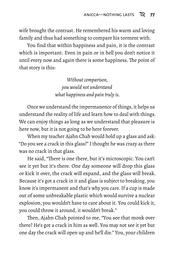wife brought the contrast. He remembered his warm and loving family and thus had something to compare his torment with.

You find that within happiness and pain, it is the contrast which is important. Even in pain or in hell you don't notice it until every now and again there is some happiness. The point of that story is this:

> *Without comparison, you would not understand what happiness and pain truly is.*

Once we understand the impermanence of things, it helps us understand the reality of life and learn how to deal with things. We can enjoy things as long as we understand that pleasure is here now, but it is not going to be here forever.

When my teacher Ajahn Chah would hold up a glass and ask: "Do you see a crack in this glass?" I thought he was crazy as there was no crack in that glass.

He said, "There is one there, but it's microscopic. You can't see it yet but it's there. One day someone will drop this glass or kick it over, the crack will expand, and the glass will break. Because it's got a crack in it and glass is subject to breaking, you know it's impermanent and that's why you care. If a cup is made out of some unbreakable plastic which would survive a nuclear explosion, you wouldn't have to care about it. You could kick it, you could throw it around, it wouldn't break."

Then, Ajahn Chah pointed to me, "You see that monk over there? He's got a crack in him as well. You may not see it yet but one day the crack will open up and he'll die." You, your children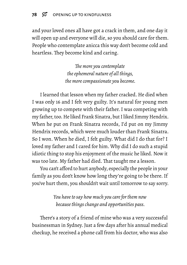and your loved ones all have got a crack in them, and one day it will open up and everyone will die, so you should care for them. People who contemplate anicca this way don't become cold and heartless. They become kind and caring.

> *The more you contemplate the ephemeral nature of all things, the more compassionate you become.*

I learned that lesson when my father cracked. He died when I was only 16 and I felt very guilty. It's natural for young men growing up to compete with their father. I was competing with my father, too. He liked Frank Sinatra, but I liked Jimmy Hendrix. When he put on Frank Sinatra records, I'd put on my Jimmy Hendrix records, which were much louder than Frank Sinatra. So I won. When he died, I felt guilty. What did I do that for? I loved my father and I cared for him. Why did I do such a stupid idiotic thing to stop his enjoyment of the music he liked. Now it was too late. My father had died. That taught me a lesson.

You can't afford to hurt anybody, especially the people in your family as you don't know how long they're going to be there. If you've hurt them, you shouldn't wait until tomorrow to say sorry.

> *You have to say how much you care for them now because things change and opportunities pass.*

There's a story of a friend of mine who was a very successful businessman in Sydney. Just a few days after his annual medical checkup, he received a phone call from his doctor, who was also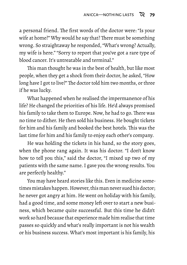a personal friend. The first words of the doctor were: "Is your wife at home?" Why would he say that? There must be something wrong. So straightaway he responded, "What's wrong? Actually, my wife is here." "Sorry to report that you've got a rare type of blood cancer. It's untreatable and terminal."

This man thought he was in the best of health, but like most people, when they get a shock from their doctor, he asked, "How long have I got to live?" The doctor told him two months, or three if he was lucky.

What happened when he realised the impermanence of his life? He changed the priorities of his life. He'd always promised his family to take them to Europe. Now, he had to go. There was no time to dither. He then sold his business. He bought tickets for him and his family and booked the best hotels. This was the last time for him and his family to enjoy each other's company.

He was holding the tickets in his hand, so the story goes, when the phone rang again. It was his doctor. "I don't know how to tell you this," said the doctor, "I mixed up two of my patients with the same name. I gave you the wrong results. You are perfectly healthy."

You may have heard stories like this. Even in medicine sometimes mistakes happen. However, this man never sued his doctor; he never got angry at him. He went on holiday with his family, had a good time, and some money left over to start a new business, which became quite successful. But this time he didn't work so hard because that experience made him realise that time passes so quickly and what's really important is not his wealth or his business success. What's most important is his family, his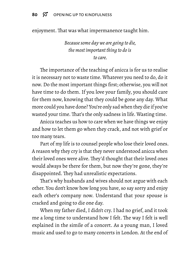enjoyment. That was what impermanence taught him.

*Because some day we are going to die, the most important thing to do is to care.*

The importance of the teaching of anicca is for us to realise it is necessary not to waste time. Whatever you need to do, do it now. Do the most important things first; otherwise, you will not have time to do them. If you love your family, you should care for them now, knowing that they could be gone any day. What more could you have done? You're only sad when they die if you've wasted your time. That's the only sadness in life. Wasting time.

Anicca teaches us how to care when we have things we enjoy and how to let them go when they crack, and not with grief or too many tears.

Part of my life is to counsel people who lose their loved ones. A reason why they cry is that they never understood anicca when their loved ones were alive. They'd thought that their loved ones would always be there for them, but now they're gone, they're disappointed. They had unrealistic expectations.

That's why husbands and wives should not argue with each other. You don't know how long you have, so say sorry and enjoy each other's company now. Understand that your spouse is cracked and going to die one day.

When my father died, I didn't cry. I had no grief, and it took me a long time to understand how I felt. The way I felt is well explained in the simile of a concert. As a young man, I loved music and used to go to many concerts in London. At the end of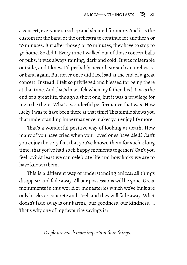a concert, everyone stood up and shouted for more. And it is the custom for the band or the orchestra to continue for another 5 or 10 minutes. But after those 5 or 10 minutes, they have to stop to go home. So did I. Every time I walked out of those concert halls or pubs, it was always raining, dark and cold. It was miserable outside, and I knew I'd probably never hear such an orchestra or band again. But never once did I feel sad at the end of a great concert. Instead, I felt so privileged and blessed for being there at that time. And that's how I felt when my father died. It was the end of a great life, though a short one, but it was a privilege for me to be there. What a wonderful performance that was. How lucky I was to have been there at that time! This simile shows you that understanding impermanence makes you enjoy life more.

That's a wonderful positive way of looking at death. How many of you have cried when your loved ones have died? Can't you enjoy the very fact that you've known them for such a long time, that you've had such happy moments together? Can't you feel joy? At least we can celebrate life and how lucky we are to have known them.

This is a different way of understanding anicca; all things disappear and fade away. All our possessions will be gone. Great monuments in this world or monasteries which we've built are only bricks or concrete and steel, and they will fade away. What doesn't fade away is our karma, our goodness, our kindness, … That's why one of my favourite sayings is:

*People are much more important than things.*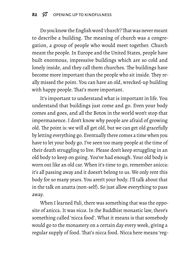Do you know the English word 'church'?That was never meant to describe a building. The meaning of church was a congregation, a group of people who would meet together. Church meant the people. In Europe and the United States, people have built enormous, impressive buildings which are so cold and lonely inside, and they call them churches. The buildings have become more important than the people who sit inside. They really missed the point. You can have an old, wrecked-up building with happy people. That's more important.

It's important to understand what is important in life. You understand that buildings just come and go. Even your body comes and goes, and all the Botox in the world won't stop that impermanence. I don't know why people are afraid of growing old. The point is: we will all get old, but we can get old gracefully by letting everything go. Eventually there comes a time when you have to let your body go. I've seen too many people at the time of their death struggling to live. Please don't keep struggling in an old body to keep on going. You've had enough. Your old body is worn out like an old car. When it's time to go, remember anicca: it's all passing away and it doesn't belong to us. We only rent this body for so many years. You aren't your body. I'll talk about that in the talk on anatta (non-self). So just allow everything to pass away.

When I learned Pali, there was something that was the opposite of anicca. It was *nicca*. In the Buddhist monastic law, there's something called 'nicca food'. What it means is that somebody would go to the monastery on a certain day every week, giving a regular supply of food. That's nicca food. Nicca here means 'reg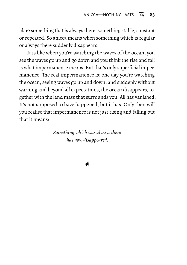ular': something that is always there, something stable, constant or repeated. So anicca means when something which is regular or always there suddenly disappears.

It is like when you're watching the waves of the ocean, you see the waves go up and go down and you think the rise and fall is what impermanence means. But that's only superficial impermanence. The real impermanence is: one day you're watching the ocean, seeing waves go up and down, and suddenly without warning and beyond all expectations, the ocean disappears, together with the land mass that surrounds you. All has vanished. It's not supposed to have happened, but it has. Only then will you realise that impermanence is not just rising and falling but that it means:

> *Something which was always there has now disappeared.*

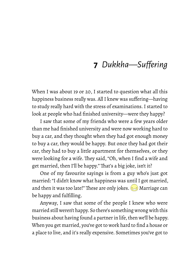# **7** *Dukkha—Suffering*

When I was about 19 or 20, I started to question what all this happiness business really was. All I knew was suffering—having to study really hard with the stress of examinations. I started to look at people who had finished university—were they happy?

I saw that some of my friends who were a few years older than me had finished university and were now working hard to buy a car, and they thought when they had got enough money to buy a car, they would be happy. But once they had got their car, they had to buy a little apartment for themselves, or they were looking for a wife. They said, "Oh, when I find a wife and get married, then I'll be happy." That's a big joke, isn't it?

One of my favourite sayings is from a guy who's just got married: "I didn't know what happiness was until I got married, and then it was too late!" These are only jokes.  $\implies$  Marriage can be happy and fulfilling.

Anyway, I saw that some of the people I knew who were married still weren't happy. So there's something wrong with this business about having found a partner in life, then we'll be happy. When you get married, you've got to work hard to find a house or a place to live, and it's really expensive. Sometimes you've got to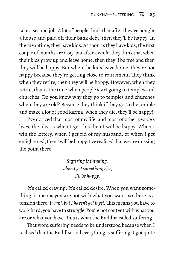take a second job. A lot of people think that after they've bought a house and paid off their bank debt, then they'll be happy. In the meantime, they have kids. As soon as they have kids, the first couple of months are okay, but after a while, they think that when their kids grow up and leave home, then they'll be free and then they will be happy. But when the kids leave home, they're not happy because they're getting close to retirement. They think when they retire, then they will be happy. However, when they retire, that is the time when people start going to temples and churches. Do you know why they go to temples and churches when they are old? Because they think if they go to the temple and make a lot of good karma, when they die, they'll be happy!

I've noticed that most of my life, and most of other people's lives, the idea is when I get this then I will be happy. When I win the lottery, when I get rid of my husband, or when I get enlightened, then I will be happy. I've realised that we are missing the point there.

> *Suffering is thinking: when I get something else, I'll be happy.*

It's called craving. It's called desire. When you want something, it means you are not with what you want, so there is a tension there.*I want, but I haven't got it yet.* This means you have to work hard, you have to struggle. You're not content with what you are or what you have. This is what the Buddha called suffering.

That word suffering needs to be understood because when I realised that the Buddha said everything is suffering, I got quite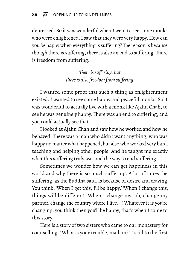depressed. So it was wonderful when I went to see some monks who were enlightened. I saw that they were very happy. How can you be happy when everything is suffering?The reason is because though there is suffering, there is also an end to suffering. There is freedom from suffering.

> *There is suffering, but there is also freedom from suffering.*

I wanted some proof that such a thing as enlightenment existed. I wanted to see some happy and peaceful monks. So it was wonderful to actually live with a monk like Ajahn Chah, to see he was genuinely happy. There was an end to suffering, and you could actually see that.

I looked at Ajahn Chah and saw how he worked and how he behaved. There was a man who didn't want anything, who was happy no matter what happened, but also who worked very hard, teaching and helping other people. And he taught me exactly what this suffering truly was and the way to end suffering.

Sometimes we wonder how we can get happiness in this world and why there is so much suffering. A lot of times the suffering, as the Buddha said, is because of desire and craving. You think: 'When I get this, I'll be happy.' 'When I change this, things will be different. When I change my job, change my partner, change the country where I live, …' Whatever it is you're changing, you think then you'll be happy, that's when I come to this story.

Here is a story of two sisters who came to our monastery for counselling. "What is your trouble, madam?" I said to the first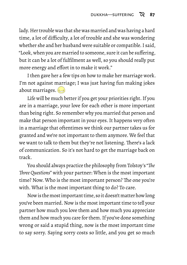lady. Her trouble was that she was married and was having a hard time, a lot of difficulty, a lot of trouble and she was wondering whether she and her husband were suitable or compatible. I said, "Look, when you are married to someone, sure it can be suffering, but it can be a lot of fulfilment as well, so you should really put more energy and effort in to make it work."

I then gave her a few tips on how to make her marriage work. I'm not against marriage; I was just having fun making jokes about marriages.

Life will be much better if you get your priorities right. If you are in a marriage, your love for each other is more important than being right. So remember why you married that person and make that person important in your eyes. It happens very often in a marriage that oftentimes we think our partner takes us for granted and we're not important to them anymore. We feel that we want to talk to them but they're not listening. There's a lack of communication. So it's not hard to get the marriage back on track.

You should always practice the philosophy from Tolstoy's "*The Three Questions*" with your partner: When is the most important time? Now. Who is the most important person? The one you're with. What is the most important thing to do? To care.

Now is the most important time, so it doesn't matter how long you've been married. Now is the most important time to tell your partner how much you love them and how much you appreciate them and how much you care for them. If you've done something wrong or said a stupid thing, now is the most important time to say sorry. Saying sorry costs so little, and you get so much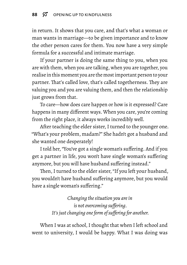in return. It shows that you care, and that's what a woman or man wants in marriage—to be given importance and to know the other person cares for them. You now have a very simple formula for a successful and intimate marriage.

If your partner is doing the same thing to you, when you are with them, when you are talking, when you are together, you realise in this moment you are the most important person to your partner. That's called love, that's called togetherness. They are valuing you and you are valuing them, and then the relationship just grows from that.

To care—how does care happen or how is it expressed? Care happens in many different ways. When you care, you're coming from the right place, it always works incredibly well.

After teaching the elder sister, I turned to the younger one. "What's your problem, madam?" She hadn't got a husband and she wanted one desperately!

I told her, "You've got a single woman's suffering. And if you get a partner in life, you won't have single woman's suffering anymore, but you will have husband suffering instead."

Then, I turned to the elder sister, "If you left your husband, you wouldn't have husband suffering anymore, but you would have a single woman's suffering."

> *Changing the situation you are in is not overcoming suffering. It's just changing one form of suffering for another.*

When I was at school, I thought that when I left school and went to university, I would be happy. What I was doing was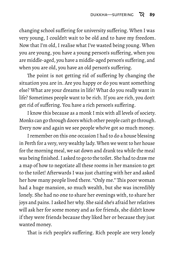changing school suffering for university suffering. When I was very young, I couldn't wait to be old and to have my freedom. Now that I'm old, I realise what I've wasted being young. When you are young, you have a young person's suffering, when you are middle-aged, you have a middle-aged person's suffering, and when you are old, you have an old person's suffering.

The point is not getting rid of suffering by changing the situation you are in. Are you happy or do you want something else? What are your dreams in life? What do you really want in life? Sometimes people want to be rich. If you are rich, you don't get rid of suffering. You have a rich person's suffering.

I know this because as a monk I mix with all levels of society. Monks can go through doors which other people can't go through. Every now and again we see people who've got so much money.

I remember on this one occasion I had to do a house blessing in Perth for a very, very wealthy lady. When we went to her house for the morning meal, we sat down and drank tea while the meal was being finished. I asked to go to the toilet. She had to draw me a map of how to negotiate all these rooms in her mansion to get to the toilet! Afterwards I was just chatting with her and asked her how many people lived there. "Only me." This poor woman had a huge mansion, so much wealth, but she was incredibly lonely. She had no one to share her evenings with, to share her joys and pains. I asked her why. She said she's afraid her relatives will ask her for some money and as for friends, she didn't know if they were friends because they liked her or because they just wanted money.

That is rich people's suffering. Rich people are very lonely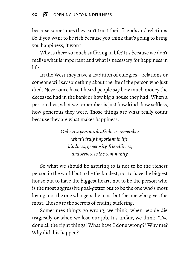#### 90  $\%$  OPENING UP TO KINDFULNESS

because sometimes they can't trust their friends and relations. So if you want to be rich because you think that's going to bring you happiness, it won't.

Why is there so much suffering in life? It's because we don't realise what is important and what is necessary for happiness in life.

In the West they have a tradition of eulogies—relations or someone will say something about the life of the person who just died. Never once have I heard people say how much money the deceased had in the bank or how big a house they had. When a person dies, what we remember is just how kind, how selfless, how generous they were. Those things are what really count because they are what makes happiness.

> *Only at a person's death do we remember what's truly important in life: kindness, generosity, friendliness, and service to the community.*

So what we should be aspiring to is not to be the richest person in the world but to be the kindest, not to have the biggest house but to have the biggest heart, not to be the person who is the most aggressive goal-getter but to be the one who's most loving, not the one who gets the most but the one who gives the most. Those are the secrets of ending suffering.

Sometimes things go wrong, we think, when people die tragically or when we lose our job. It's unfair, we think. "I've done all the right things! What have I done wrong?" Why me? Why did this happen?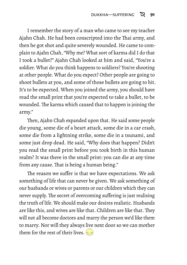I remember the story of a man who came to see my teacher Ajahn Chah. He had been conscripted into the Thai army, and then he got shot and quite severely wounded. He came to complain to Ajahn Chah, "Why me? What sort of karma did I do that I took a bullet?" Ajahn Chah looked at him and said, "You're a soldier. What do you think happens to soldiers? You're shooting at other people. What do you expect? Other people are going to shoot bullets at you, and some of those bullets are going to hit. It's to be expected. When you joined the army, you should have read the small print that you're expected to take a bullet, to be wounded. The karma which caused that to happen is joining the army."

Then, Ajahn Chah expanded upon that. He said some people die young, some die of a heart attack, some die in a car crash, some die from a lightning strike, some die in a tsunami, and some just drop dead. He said, "Why does that happen? Didn't you read the small print before you took birth in this human realm? It was there in the small print: you can die at any time from any cause. That is being a human being."

The reason we suffer is that we have expectations. We ask something of life that can never be given. We ask something of our husbands or wives or parents or our children which they can never supply. The secret of overcoming suffering is just realising the truth of life. We should make our desires realistic. Husbands are like this, and wives are like that. Children are like that. They will not all become doctors and marry the person we'd like them to marry. Nor will they always live next door so we can mother them for the rest of their lives.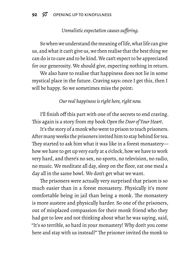#### *Unrealistic expectation causes suffering.*

So when we understand the meaning of life, what life can give us, and what it can't give us, we then realise that the best thing we can do is to care and to be kind.We can't expect to be appreciated for our generosity. We should give, expecting nothing in return.

We also have to realise that happiness does not lie in some mystical place in the future. Craving says: once I get this, then I will be happy. So we sometimes miss the point:

*Our real happiness is right here, right now.*

I'll finish off this part with one of the secrets to end craving. This again is a story from my book *Open the Door of Your Heart*.

It's the story of a monk who went to prison to teach prisoners. After many weeks the prisoners invited him to stay behind for tea. They started to ask him what it was like in a forest monastery how we have to get up very early at 4 o'clock, how we have to work very hard, and there's no sex, no sports, no television, no radio, no music. We meditate all day, sleep on the floor, eat one meal a day all in the same bowl. We don't get what we want.

The prisoners were actually very surprised that prison is so much easier than in a forest monastery. Physically it's more comfortable being in jail than being a monk. The monastery is more austere and physically harder. So one of the prisoners, out of misplaced compassion for their monk friend who they had got to love and not thinking about what he was saying, said, "It's so terrible, so hard in your monastery! Why don't you come here and stay with us instead?" The prisoner invited the monk to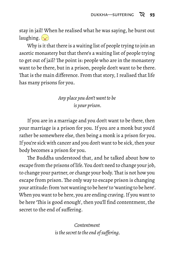stay in jail! When he realised what he was saying, he burst out laughing.  $\left(\frac{1}{2}\right)$ 

Why is it that there is a waiting list of people trying to join an ascetic monastery but that there's a waiting list of people trying to get out of jail? The point is: people who are in the monastery want to be there, but in a prison, people don't want to be there. That is the main difference. From that story, I realised that life has many prisons for you.

### *Any place you don't want to be is your prison.*

If you are in a marriage and you don't want to be there, then your marriage is a prison for you. If you are a monk but you'd rather be somewhere else, then being a monk is a prison for you. If you're sick with cancer and you don't want to be sick, then your body becomes a prison for you.

The Buddha understood that, and he talked about how to escape from the prisons of life. You don't need to change your job, to change your partner, or change your body.That is not how you escape from prison. The only way to escape prison is changing your attitude: from 'not wanting to be here' to 'wanting to be here'. When you want to be here, you are ending craving. If you want to be here 'This is good enough', then you'll find contentment, the secret to the end of suffering.

> *Contentment is the secret to the end of suffering.*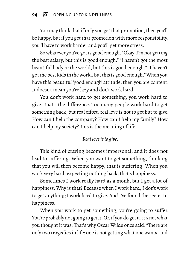You may think that if only you get that promotion, then you'll be happy, but if you get that promotion with more responsibility, you'll have to work harder and you'll get more stress.

So whatever you've got is good enough. "Okay, I'm not getting the best salary, but this is good enough." "I haven't got the most beautiful body in the world, but this is good enough." "I haven't got the best kids in the world, but this is good enough."When you have this beautiful 'good enough' attitude, then you are content. It doesn't mean you're lazy and don't work hard.

You don't work hard to get something; you work hard to give. That's the difference. Too many people work hard to get something back, but real effort, real love is not to get but to give. How can I help the company? How can I help my family? How can I help my society? This is the meaning of life.

#### *Real love is to give.*

This kind of craving becomes impersonal, and it does not lead to suffering. When you want to get something, thinking that you will then become happy, that is suffering. When you work very hard, expecting nothing back, that's happiness.

Sometimes I work really hard as a monk, but I get a lot of happiness. Why is that? Because when I work hard, I don't work to get anything; I work hard to give. And I've found the secret to happiness.

When you work to get something, you're going to suffer. You're probably not going to get it. Or, if you do get it, it's not what you thought it was. That's why Oscar Wilde once said: "There are only two tragedies in life: one is not getting what one wants, and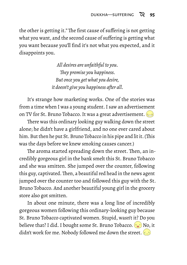the other is getting it." The first cause of suffering is not getting what you want, and the second cause of suffering is getting what you want because you'll find it's not what you expected, and it disappoints you.

> *All desires are unfaithful to you. They promise you happiness. But once you get what you desire, it doesn't give you happiness after all.*

It's strange how marketing works. One of the stories was from a time when I was a young student. I saw an advertisement on TV for St. Bruno Tobacco. It was a great advertisement.

There was this ordinary looking guy walking down the street alone; he didn't have a girlfriend, and no one ever cared about him. But then he put St. Bruno Tobacco in his pipe and lit it. (This was the days before we knew smoking causes cancer.)

The aroma started spreading down the street. Then, an incredibly gorgeous girl in the bank smelt this St. Bruno Tobacco and she was smitten. She jumped over the counter, following this guy, captivated. Then, a beautiful red head in the news agent jumped over the counter too and followed this guy with the St. Bruno Tobacco. And another beautiful young girl in the grocery store also got smitten.

In about one minute, there was a long line of incredibly gorgeous women following this ordinary-looking guy because St. Bruno Tobacco captivated women. Stupid, wasn't it? Do you believe that? I did. I bought some St. Bruno Tobacco.  $\odot$  No, it didn't work for me. Nobody followed me down the street. ((i)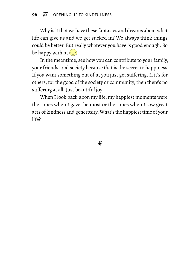Why is it that we have these fantasies and dreams about what life can give us and we get sucked in? We always think things could be better. But really whatever you have is good enough. So be happy with it.  $\cdot \cdot \cdot$ 

In the meantime, see how you can contribute to your family, your friends, and society because that is the secret to happiness. If you want something out of it, you just get suffering. If it's for others, for the good of the society or community, then there's no suffering at all. Just beautiful joy!

When I look back upon my life, my happiest moments were the times when I gave the most or the times when I saw great acts of kindness and generosity.What's the happiest time of your life?

❦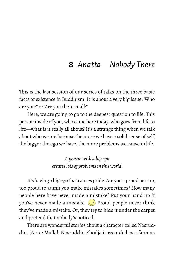# **8** *Anatta—Nobody There*

This is the last session of our series of talks on the three basic facts of existence in Buddhism. It is about a very big issue: 'Who are you?' or 'Are you there at all?'

Here, we are going to go to the deepest question to life. This person inside of you, who came here today, who goes from life to life—what is it really all about? It's a strange thing when we talk about who we are because the more we have a solid sense of self, the bigger the ego we have, the more problems we cause in life.

> *A person with a big ego creates lots of problems in this world.*

It's having a big ego that causes pride. Are you a proud person, too proud to admit you make mistakes sometimes? How many people here have never made a mistake? Put your hand up if you've never made a mistake.  $\Theta$  Proud people never think they've made a mistake. Or, they try to hide it under the carpet and pretend that nobody's noticed.

There are wonderful stories about a character called Nasruddin. (Note: Mullah Nasruddin Khodja is recorded as a famous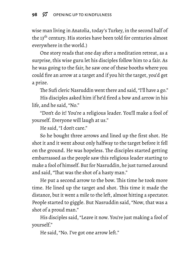wise man living in Anatolia, today's Turkey, in the second half of the 13<sup>th</sup> century. His stories have been told for centuries almost everywhere in the world.)

One story reads that one day after a meditation retreat, as a surprise, this wise guru let his disciples follow him to a fair. As he was going to the fair, he saw one of these booths where you could fire an arrow at a target and if you hit the target, you'd get a prize.

The Sufi cleric Nasruddin went there and said, "I'll have a go."

His disciples asked him if he'd fired a bow and arrow in his life, and he said, "No."

"Don't do it! You're a religious leader. You'll make a fool of yourself. Everyone will laugh at us."

He said, "I don't care."

So he bought three arrows and lined up the first shot. He shot it and it went about only halfway to the target before it fell on the ground. He was hopeless. The disciples started getting embarrassed as the people saw this religious leader starting to make a fool of himself. But for Nasruddin, he just turned around and said, "That was the shot of a hasty man."

He put a second arrow to the bow. This time he took more time. He lined up the target and shot. This time it made the distance, but it went a mile to the left, almost hitting a spectator. People started to giggle. But Nasruddin said, "Now, that was a shot of a proud man."

His disciples said, "Leave it now. You're just making a fool of yourself."

He said, "No. I've got one arrow left."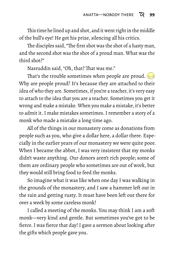This time he lined up and shot, and it went right in the middle of the bull's eye! He got his prize, silencing all his critics.

The disciples said, "The first shot was the shot of a hasty man, and the second shot was the shot of a proud man. What was the third shot?"

Nasruddin said, "Oh, that? That was me."

That's the trouble sometimes when people are proud. Why are people proud? It's because they are attached to their idea of who they are. Sometimes, if you're a teacher, it's very easy to attach to the idea that you are a teacher. Sometimes you get it wrong and make a mistake. When you make a mistake, it's better to admit it. I make mistakes sometimes. I remember a story of a monk who made a mistake a long time ago.

All of the things in our monastery come as donations from people such as you, who give a dollar here, a dollar there. Especially in the earlier years of our monastery we were quite poor. When I became the abbot, I was very insistent that my monks didn't waste anything. Our donors aren't rich people; some of them are ordinary people who sometimes are out of work, but they would still bring food to feed the monks.

So imagine what it was like when one day I was walking in the grounds of the monastery, and I saw a hammer left out in the rain and getting rusty. It must have been left out there for over a week by some careless monk!

I called a meeting of the monks. You may think I am a soft monk—very kind and gentle. But sometimes you've got to be fierce. I was fierce that day! I gave a sermon about looking after the gifts which people gave you.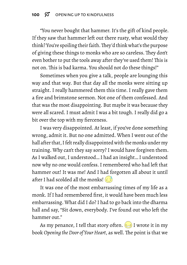"You never bought that hammer. It's the gift of kind people. If they saw that hammer left out there rusty, what would they think? You're spoiling their faith.They'd think what's the purpose of giving these things to monks who are so careless. They don't even bother to put the tools away after they've used them! This is not on. This is bad karma. You should not do these things!"

Sometimes when you give a talk, people are lounging this way and that way. But that day all the monks were sitting up straight. I really hammered them this time. I really gave them a fire and brimstone sermon. Not one of them confessed. And that was the most disappointing. But maybe it was because they were all scared. I must admit I was a bit tough. I really did go a bit over the top with my fierceness.

I was very disappointed. At least, if you've done something wrong, admit it. But no one admitted. When I went out of the hall after that, I felt really disappointed with the monks under my training. Why can't they say sorry? I would have forgiven them. As I walked out, I understood… I had an insight… I understood now why no one would confess. I remembered who had left that hammer out! It was me! And I had forgotten all about it until after I had scolded all the monks!

It was one of the most embarrassing times of my life as a monk. If I had remembered first, it would have been much less embarrassing. What did I do? I had to go back into the dharma hall and say, "Sit down, everybody. I've found out who left the hammer out."

As my penance, I tell that story often.  $\implies$  I wrote it in my book *Opening the Door of Your Heart*, as well. The point is that we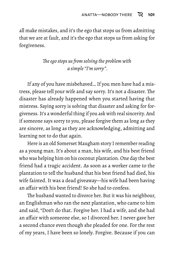all make mistakes, and it's the ego that stops us from admitting that we are at fault, and it's the ego that stops us from asking for forgiveness.

## *The ego stops us from solving the problem with a simple "I'm sorry".*

If any of you have misbehaved… If you men have had a mistress, please tell your wife and say sorry. It's not a disaster. The disaster has already happened when you started having that mistress. Saying sorry is solving that disaster and asking for forgiveness. It's a wonderful thing if you ask with real sincerity. And if someone says sorry to you, please forgive them as long as they are sincere, as long as they are acknowledging, admitting and learning not to do that again.

Here is an old Somerset Maugham story I remember reading as a young man. It's about a man, his wife, and his best friend who was helping him on his coconut plantation. One day the best friend had a tragic accident. As soon as a worker came to the plantation to tell the husband that his best friend had died, his wife fainted. It was a dead giveaway—his wife had been having an affair with his best friend! So she had to confess.

The husband wanted to divorce her. But it was his neighbour, an Englishman who ran the next plantation, who came to him and said, "Don't do that. Forgive her. I had a wife, and she had an affair with someone else, so I divorced her. I never gave her a second chance even though she pleaded for one. For the rest of my years, I have been so lonely. Forgive. Because if you can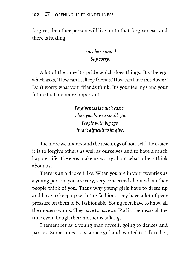forgive, the other person will live up to that forgiveness, and there is healing."

## *Don't be so proud. Say sorry.*

A lot of the time it's pride which does things. It's the ego which asks, "How can I tell my friends? How can I live this down?" Don't worry what your friends think. It's your feelings and your future that are more important.

> *Forgiveness is much easier when you have a small ego. People with big ego find it difficult to forgive.*

The more we understand the teachings of non-self, the easier it is to forgive others as well as ourselves and to have a much happier life. The egos make us worry about what others think about us.

There is an old joke I like. When you are in your twenties as a young person, you are very, very concerned about what other people think of you. That's why young girls have to dress up and have to keep up with the fashion. They have a lot of peer pressure on them to be fashionable. Young men have to know all the modern words. They have to have an iPod in their ears all the time even though their mother is talking.

I remember as a young man myself, going to dances and parties. Sometimes I saw a nice girl and wanted to talk to her,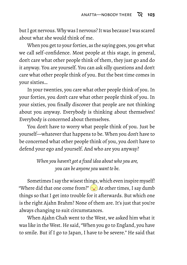but I got nervous.Why was I nervous? It was because I was scared about what she would think of me.

When you get to your forties, as the saying goes, you get what we call self-confidence. Most people at this stage, in general, don't care what other people think of them, they just go and do it anyway. You are yourself. You can ask silly questions and don't care what other people think of you. But the best time comes in your sixties…

In your twenties, you care what other people think of you. In your forties, you don't care what other people think of you. In your sixties, you finally discover that people are not thinking about you anyway. Everybody is thinking about themselves! Everybody is concerned about themselves.

You don't have to worry what people think of you. Just be yourself—whatever that happens to be. When you don't have to be concerned what other people think of you, you don't have to defend your ego and yourself. And who are you anyway?

> *When you haven't got a fixed idea about who you are, you can be anyone you want to be.*

Sometimes I say the wisest things, which even inspire myself! "Where did that one come from?"  $\left(\bullet\right)$  At other times, I say dumb things so that I get into trouble for it afterwards. But which one is the right Ajahn Brahm? None of them are. It's just that you're always changing to suit circumstances.

When Ajahn Chah went to the West, we asked him what it was like in the West. He said, "When you go to England, you have to smile. But if I go to Japan, I have to be severe." He said that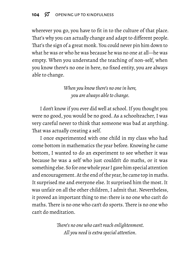wherever you go, you have to fit in to the culture of that place. That's why you can actually change and adapt to different people. That's the sign of a great monk. You could never pin him down to what he was or who he was because he was no one at all—he was empty. When you understand the teaching of non-self, when you know there's no one in here, no fixed entity, you are always able to change.

> *When you know there's no one in here, you are always able to change.*

I don't know if you ever did well at school. If you thought you were no good, you would be no good. As a schoolteacher, I was very careful never to think that someone was bad at anything. That was actually creating a self.

I once experimented with one child in my class who had come bottom in mathematics the year before. Knowing he came bottom, I wanted to do an experiment to see whether it was because he was a self who just couldn't do maths, or it was something else. So for one whole year I gave him special attention and encouragement. At the end of the year, he came top in maths. It surprised me and everyone else. It surprised him the most. It was unfair on all the other children, I admit that. Nevertheless, it proved an important thing to me: there is no one who can't do maths. There is no one who can't do sports. There is no one who can't do meditation.

> *There's no one who can't reach enlightenment. All you need is extra special attention.*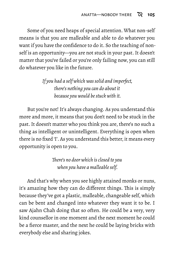Some of you need heaps of special attention. What non-self means is that you are malleable and able to do whatever you want if you have the confidence to do it. So the teaching of nonself is an opportunity—you are not stuck in your past. It doesn't matter that you've failed or you're only failing now, you can still do whatever you like in the future.

> *If you had a self which was solid and imperfect, there's nothing you can do about it because you would be stuck with it.*

But you're not! It's always changing. As you understand this more and more, it means that you don't need to be stuck in the past. It doesn't matter who you think you are, there's no such a thing as intelligent or unintelligent. Everything is open when there is no fixed 'I'. As you understand this better, it means every opportunity is open to you.

> *There's no door which is closed to you when you have a malleable self.*

And that's why when you see highly attained monks or nuns, it's amazing how they can do different things. This is simply because they've got a plastic, malleable, changeable self, which can be bent and changed into whatever they want it to be. I saw Ajahn Chah doing that so often. He could be a very, very kind counsellor in one moment and the next moment he could be a fierce master, and the next he could be laying bricks with everybody else and sharing jokes.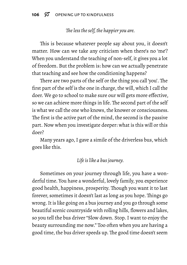### *The less the self, the happier you are.*

This is because whatever people say about you, it doesn't matter. How can we take any criticism when there's no 'me'? When you understand the teaching of non-self, it gives you a lot of freedom. But the problem is: how can we actually penetrate that teaching and see how the conditioning happens?

There are two parts of the self or the thing you call 'you'. The first part of the self is the one in charge, the will, which I call the doer. We go to school to make sure our will gets more effective, so we can achieve more things in life. The second part of the self is what we call the one who knows, the knower or consciousness. The first is the active part of the mind, the second is the passive part. Now when you investigate deeper: what is this will or this doer?

Many years ago, I gave a simile of the driverless bus, which goes like this.

#### *Life is like a bus journey.*

Sometimes on your journey through life, you have a wonderful time. You have a wonderful, lovely family, you experience good health, happiness, prosperity. Though you want it to last forever, sometimes it doesn't last as long as you hope. Things go wrong. It is like going on a bus journey and you go through some beautiful scenic countryside with rolling hills, flowers and lakes, so you tell the bus driver "Slow down. Stop. I want to enjoy the beauty surrounding me now." Too often when you are having a good time, the bus driver speeds up. The good time doesn't seem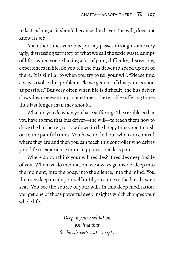to last as long as it should because the driver, the will, does not know its job.

And other times your bus journey passes through some very ugly, distressing territory or what we call the toxic waste dumps of life—when you're having a lot of pain, difficulty, distressing experiences in life. So you tell the bus driver to speed up out of there. It is similar to when you try to tell your will: "Please find a way to solve this problem. Please get out of this pain as soon as possible." But very often when life is difficult, the bus driver slows down or even stops sometimes.The terrible suffering times thus last longer than they should.

What do you do when you have suffering? The trouble is that you have to find that bus driver—the will—to teach them how to drive the bus better, to slow down in the happy times and to rush on in the painful times. You have to find out who is in control, where they are and then you can teach this controller who drives your life to experience more happiness and less pain.

Where do you think your will resides? It resides deep inside of you. When we do meditation, we always go inside, deep into the moment, into the body, into the silence, into the mind. You then see deep inside yourself until you come to the bus driver's seat. You see the source of your will. In this deep meditation, you get one of those powerful deep insights which changes your whole life.

> *Deep in your meditation you find that the bus driver's seat is empty.*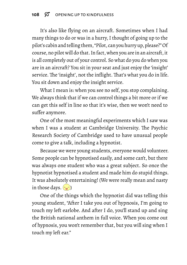It's also like flying on an aircraft. Sometimes when I had many things to do or was in a hurry, I thought of going up to the pilot's cabin and telling them, "Pilot, can you hurry up, please?"Of course, no pilot will do that. In fact, when you are in an aircraft,it is all completely out of your control. So what do you do when you are in an aircraft? You sit in your seat and just enjoy the 'insight' service. The 'insight', not the inflight. That's what you do in life. You sit down and enjoy the insight service.

What I mean is: when you see no self, you stop complaining. We always think that if we can control things a bit more or if we can get this self in line so that it's wise, then we won't need to suffer anymore.

One of the most meaningful experiments which I saw was when I was a student at Cambridge University. The Psychic Research Society of Cambridge used to have unusual people come to give a talk, including a hypnotist.

Because we were young students, everyone would volunteer. Some people can be hypnotised easily, and some can't, but there was always one student who was a great subject. So once the hypnotist hypnotised a student and made him do stupid things. It was absolutely entertaining! (We were really mean and nasty in those days.  $\left(\begin{matrix} \cdot \\ \cdot \end{matrix}\right)$ 

One of the things which the hypnotist did was telling this young student, "After I take you out of hypnosis, I'm going to touch my left earlobe. And after I do, you'll stand up and sing the British national anthem in full voice. When you come out of hypnosis, you won't remember that, but you will sing when I touch my left ear."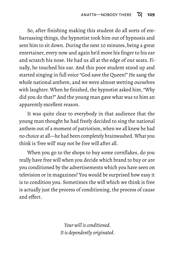So, after finishing making this student do all sorts of embarrassing things, the hypnotist took him out of hypnosis and sent him to sit down. During the next 20 minutes, being a great entertainer, every now and again he'd move his finger to his ear and scratch his nose. He had us all at the edge of our seats. Finally, he touched his ear. And this poor student stood up and started singing in full voice "God save the Queen!" He sang the whole national anthem, and we were almost wetting ourselves with laughter. When he finished, the hypnotist asked him, "Why did you do that?" And the young man gave what was to him an apparently excellent reason.

It was quite clear to everybody in that audience that the young man thought he had freely decided to sing the national anthem out of a moment of patriotism, when we all knew he had no choice at all—he had been completely brainwashed.What you think is 'free will' may not be free will after all.

When you go to the shops to buy some cornflakes, do you really have free will when you decide which brand to buy or are you conditioned by the advertisements which you have seen on television or in magazines? You would be surprised how easy it is to condition you. Sometimes the will which we think is free is actually just the process of conditioning, the process of cause and effect.

> *Your will is conditioned. It is dependently originated.*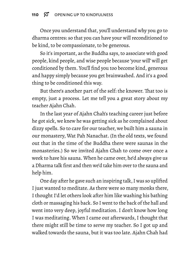Once you understand that, you'll understand why you go to dharma centres: so that you can have your will reconditioned to be kind, to be compassionate, to be generous.

So it's important, as the Buddha says, to associate with good people, kind people, and wise people because 'your will' will get conditioned by them. You'll find you too become kind, generous and happy simply because you get brainwashed. And it's a good thing to be conditioned this way.

But there's another part of the self: the knower. That too is empty, just a process. Let me tell you a great story about my teacher Ajahn Chah.

In the last year of Ajahn Chah's teaching career just before he got sick, we knew he was getting sick as he complained about dizzy spells. So to care for our teacher, we built him a sauna in our monastery, Wat Pah Nanachat. (In the old texts, we found out that in the time of the Buddha there were saunas in the monasteries.) So we invited Ajahn Chah to come over once a week to have his sauna. When he came over, he'd always give us a Dharma talk first and then we'd take him over to the sauna and help him.

One day after he gave such an inspiring talk, I was so uplifted I just wanted to meditate. As there were so many monks there, I thought I'd let others look after him like washing his bathing cloth or massaging his back. So I went to the back of the hall and went into very deep, joyful meditation. I don't know how long I was meditating. When I came out afterwards, I thought that there might still be time to serve my teacher. So I got up and walked towards the sauna, but it was too late. Ajahn Chah had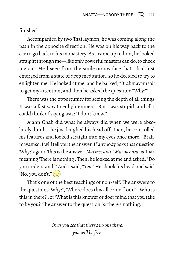finished.

Accompanied by two Thai laymen, he was coming along the path in the opposite direction. He was on his way back to the car to go back to his monastery. As I came up to him, he looked straight through me—like only powerful masters can do, to check me out. He'd seen from the smile on my face that I had just emerged from a state of deep meditation, so he decided to try to enlighten me. He looked at me, and he barked, "Brahmavamso!" to get my attention, and then he asked the question: "Why?"

There was the opportunity for seeing the depth of all things. It was a fast way to enlightenment. But I was stupid, and all I could think of saying was: "I don't know."

Ajahn Chah did what he always did when we were absolutely dumb—he just laughed his head off. Then, he controlled his features and looked straight into my eyes once more. "Brahmavamso, I will tell you the answer. If anybody asks that question 'Why?' again.This is the answer: *Mai mee arai*." *Mai mee arai* isThai, meaning 'There is nothing'.Then, he looked at me and asked, "Do you understand?" And I said, "Yes." He shook his head and said, "No, you don't." (

That's one of the best teachings of non-self. The answers to the questions 'Why?', 'Where does this all come from?', 'Who is this in there?', or 'What is this knower or doer mind that you take to be you?' The answer to the question is: there's nothing.

> *Once you see that there's no one there, you will be free.*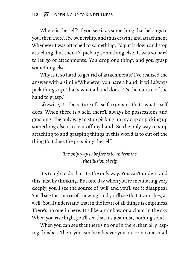Where is the self? If you see it as something that belongs to you, then there'll be ownership, and thus craving and attachment. Whenever I was attached to something, I'd put it down and stop attaching, but then I'd pick up something else. It was so hard to let go of attachments. You drop one thing, and you grasp something else.

Why is it so hard to get rid of attachments? I've realised the answer with a simile 'Whenever you have a hand, it will always pick things up. That's what a hand does. It's the nature of the hand to grasp.'

Likewise, it's the nature of a self to grasp—that's what a self does. When there is a self, there'll always be possessions and grasping. The only way to stop picking up my cup or picking up something else is to cut off my hand. So the only way to stop attaching to and grasping things in this world is to cut off the thing that does the grasping: the self.

### *The only way to be free is to undermine the illusion of self.*

It's tough to do, but it's the only way. You can't understand this, just by thinking. But one day when you're meditating very deeply, you'll see the source of 'will' and you'll see it disappear. You'll see the source of knowing, and you'll see that it vanishes, as well. You'll understand that in the heart of all things is emptiness. There's no one in here. It's like a rainbow or a cloud in the sky. When you rise high, you'll see that it's just mist, nothing solid.

When you can see that there's no one in there, then all grasping finishes. Then, you can be whoever you are or no one at all.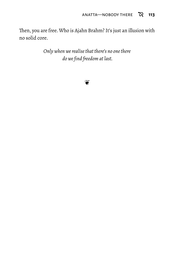Then, you are free. Who is Ajahn Brahm? It's just an illusion with no solid core.

> *Only when we realise that there's no one there do we find freedom at last.*

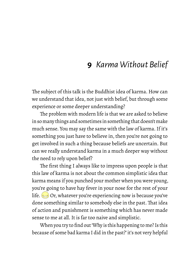# **9** *Karma Without Belief*

The subject of this talk is the Buddhist idea of karma. How can we understand that idea, not just with belief, but through some experience or some deeper understanding?

The problem with modern life is that we are asked to believe in so many things and sometimes in something that doesn't make much sense. You may say the same with the law of karma. If it's something you just have to believe in, then you're not going to get involved in such a thing because beliefs are uncertain. But can we really understand karma in a much deeper way without the need to rely upon belief?

The first thing I always like to impress upon people is that this law of karma is not about the common simplistic idea that karma means if you punched your mother when you were young, you're going to have hay fever in your nose for the rest of your life.  $\odot$  Or, whatever you're experiencing now is because you've done something similar to somebody else in the past. That idea of action and punishment is something which has never made sense to me at all. It is far too naive and simplistic.

When you try to find out 'Why is this happening to me? Is this because of some bad karma I did in the past?' it's not very helpful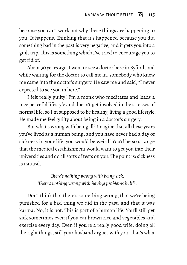because you can't work out why these things are happening to you. It happens. Thinking that it's happened because you did something bad in the past is very negative, and it gets you into a guilt trip. This is something which I've tried to encourage you to get rid of.

About 30 years ago, I went to see a doctor here in Byford, and while waiting for the doctor to call me in, somebody who knew me came into the doctor's surgery. He saw me and said, "I never expected to see you in here."

I felt really guilty! I'm a monk who meditates and leads a nice peaceful lifestyle and doesn't get involved in the stresses of normal life, so I'm supposed to be healthy, living a good lifestyle. He made me feel guilty about being in a doctor's surgery.

But what's wrong with being ill? Imagine that all these years you've lived as a human being, and you have never had a day of sickness in your life, you would be weird! You'd be so strange that the medical establishment would want to get you into their universities and do all sorts of tests on you.The point is: sickness is natural.

> *There's nothing wrong with being sick. There's nothing wrong with having problems in life.*

Don't think that there's something wrong, that we're being punished for a bad thing we did in the past, and that it was karma. No, it is not. This is part of a human life. You'll still get sick sometimes even if you eat brown rice and vegetables and exercise every day. Even if you're a really good wife, doing all the right things, still your husband argues with you. That's what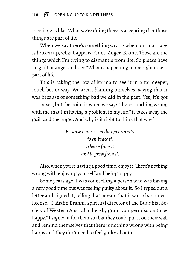marriage is like. What we're doing there is accepting that those things are part of life.

When we say there's something wrong when our marriage is broken up, what happens? Guilt. Anger. Blame. Those are the things which I'm trying to dismantle from life. So please have no guilt or anger and say: "What is happening to me right now is part of life."

This is taking the law of karma to see it in a far deeper, much better way. We aren't blaming ourselves, saying that it was because of something bad we did in the past. Yes, it's got its causes, but the point is when we say: "There's nothing wrong with me that I'm having a problem in my life," it takes away the guilt and the anger. And why is it right to think that way?

> *Because it gives you the opportunity to embrace it, to learn from it, and to grow from it.*

Also, when you're having a good time, enjoy it. There's nothing wrong with enjoying yourself and being happy.

Some years ago, I was counselling a person who was having a very good time but was feeling guilty about it. So I typed out a letter and signed it, telling that person that it was a happiness license. "I, Ajahn Brahm, spiritual director of the Buddhist Society of Western Australia, hereby grant you permission to be happy." I signed it for them so that they could put it on their wall and remind themselves that there is nothing wrong with being happy and they don't need to feel guilty about it.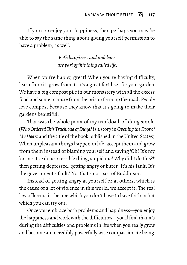If you can enjoy your happiness, then perhaps you may be able to say the same thing about giving yourself permission to have a problem, as well.

> *Both happiness and problems are part of this thing called life.*

When you're happy, great! When you're having difficulty, learn from it, grow from it. It's a great fertiliser for your garden. We have a big compost pile in our monastery with all the excess food and some manure from the prison farm up the road. People love compost because they know that it's going to make their gardens beautiful.

That was the whole point of my truckload-of-dung simile. (*WhoOrderedThis Truckload ofDung?* is a story in*OpeningtheDoor of My Heart* and the title of the book published in the United States). When unpleasant things happen in life, accept them and grow from them instead of blaming yourself and saying 'Oh! It's my karma. I've done a terrible thing, stupid me! Why did I do this?!' then getting depressed, getting angry or bitter. 'It's his fault. It's the government's fault.' No, that's not part of Buddhism.

Instead of getting angry at yourself or at others, which is the cause of a lot of violence in this world, we accept it. The real law of karma is the one which you don't have to have faith in but which you can try out.

Once you embrace both problems and happiness—you enjoy the happiness and work with the difficulties—you'll find that it's during the difficulties and problems in life when you really grow and become an incredibly powerfully wise compassionate being,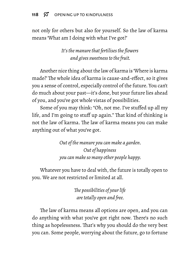#### 118  $\varnothing$  OPENING UP TO KINDFULNESS

not only for others but also for yourself. So the law of karma means 'What am I doing with what I've got?'

> *It's the manure that fertilises the flowers and gives sweetness to the fruit.*

Another nice thing about the law of karma is 'Where is karma made?' The whole idea of karma is cause-and-effect, so it gives you a sense of control, especially control of the future. You can't do much about your past—it's done, but your future lies ahead of you, and you've got whole vistas of possibilities.

Some of you may think: "Oh, not me. I've stuffed up all my life, and I'm going to stuff up again." That kind of thinking is not the law of karma. The law of karma means you can make anything out of what you've got.

> *Out of the manure you can make a garden. Out of happiness you can make so many other people happy.*

Whatever you have to deal with, the future is totally open to you. We are not restricted or limited at all.

> *The possibilities of your life are totally open and free.*

The law of karma means all options are open, and you can do anything with what you've got right now. There's no such thing as hopelessness. That's why you should do the very best you can. Some people, worrying about the future, go to fortune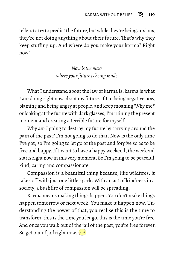tellers to try to predict the future, but while they're being anxious, they're not doing anything about their future. That's why they keep stuffing up. And where do you make your karma? Right now!

> *Now is the place where your future is being made.*

What I understand about the law of karma is: karma is what I am doing right now about my future. If I'm being negative now, blaming and being angry at people, and keep moaning 'Why me?' or looking at the future with dark glasses, I'm ruining the present moment and creating a terrible future for myself.

Why am I going to destroy my future by carrying around the pain of the past? I'm not going to do that. Now is the only time I've got, so I'm going to let go of the past and forgive so as to be free and happy. If I want to have a happy weekend, the weekend starts right now in this very moment. So I'm going to be peaceful, kind, caring and compassionate.

Compassion is a beautiful thing because, like wildfires, it takes off with just one little spark. With an act of kindness in a society, a bushfire of compassion will be spreading.

Karma means making things happen. You don't make things happen tomorrow or next week. You make it happen now. Understanding the power of that, you realise this is the time to transform, this is the time you let go, this is the time you're free. And once you walk out of the jail of the past, you're free forever. So get out of jail right now.  $\cdot \rightarrow$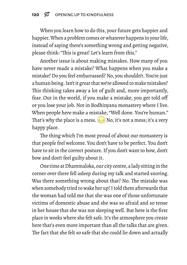When you learn how to do this, your future gets happier and happier.When a problem comes or whatever happens in your life, instead of saying there's something wrong and getting negative, please think: "This is great! Let's learn from this."

Another issue is about making mistakes. How many of you have never made a mistake? What happens when you make a mistake? Do you feel embarrassed? No, you shouldn't. You're just a human being. Isn't it great that we're allowed to make mistakes? This thinking takes away a lot of guilt and, more importantly, fear. Out in the world, if you make a mistake, you get told off or you lose your job. Not in Bodhinyana monastery where I live. When people here make a mistake, "Well done. You're human." That's why the place is a mess.  $\approx$  No, it's not a mess; it's a very happy place.

The thing which I'm most proud of about our monastery is that people feel welcome. You don't have to be perfect. You don't have to sit in the correct posture. If you don't want to bow, don't bow and don't feel guilty about it.

One time at Dhammaloka,our city centre, a lady sitting in the corner over there fell asleep during my talk and started snoring. Was there something wrong about that? No. The mistake was when somebody tried to wake her up! I told them afterwards that the woman had told me that she was one of those unfortunate victims of domestic abuse and she was so afraid and so tense in her house that she was not sleeping well. But here is the first place in weeks where she felt safe. It's the atmosphere you create here that's even more important than all the talks that are given. The fact that she felt so safe that she could lie down and actually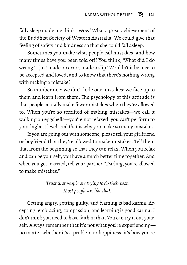fall asleep made me think, 'Wow! What a great achievement of the Buddhist Society of Western Australia! We could give that feeling of safety and kindness so that she could fall asleep.'

Sometimes you make what people call mistakes, and how many times have you been told off? You think, 'What did I do wrong? I just made an error, made a slip.' Wouldn't it be nice to be accepted and loved, and to know that there's nothing wrong with making a mistake?

So number one: we don't hide our mistakes; we face up to them and learn from them. The psychology of this attitude is that people actually make fewer mistakes when they're allowed to. When you're so terrified of making mistakes—we call it walking on eggshells—you're not relaxed, you can't perform to your highest level, and that is why you make so many mistakes.

If you are going out with someone, please tell your girlfriend or boyfriend that they're allowed to make mistakes. Tell them that from the beginning so that they can relax. When you relax and can be yourself, you have a much better time together. And when you get married, tell your partner, "Darling, you're allowed to make mistakes."

> *Trust that people are trying to do their best. Most people are like that.*

Getting angry, getting guilty, and blaming is bad karma. Accepting, embracing, compassion, and learning is good karma. I don't think you need to have faith in that. You can try it out yourself. Always remember that it's not what you're experiencing no matter whether it's a problem or happiness, it's how you're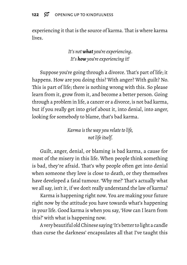experiencing it that is the source of karma. That is where karma lives.

> *It's notwhat you're experiencing. It's howyou're experiencing it!*

Suppose you're going through a divorce. That's part of life; it happens. How are you doing this? With anger? With guilt? No. This is part of life; there is nothing wrong with this. So please learn from it, grow from it, and become a better person. Going through a problem in life, a cancer or a divorce, is not bad karma, but if you really get into grief about it, into denial, into anger, looking for somebody to blame, that's bad karma.

> *Karma is the way you relate to life, not life itself.*

Guilt, anger, denial, or blaming is bad karma, a cause for most of the misery in this life. When people think something is bad, they're afraid. That's why people often get into denial when someone they love is close to death, or they themselves have developed a fatal tumour. 'Why me?' That's actually what we all say, isn't it, if we don't really understand the law of karma?

Karma is happening right now. You are making your future right now by the attitude you have towards what's happening in your life. Good karma is when you say, 'How can I learn from this?' with what is happening now.

A very beautiful old Chinese saying 'It's better to light a candle than curse the darkness' encapsulates all that I've taught this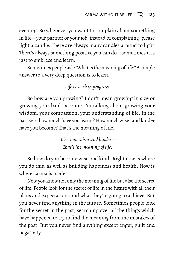evening. So whenever you want to complain about something in life—your partner or your job, instead of complaining, please light a candle. There are always many candles around to light. There's always something positive you can do—sometimes it is just to embrace and learn.

Sometimes people ask: 'What is the meaning of life?' A simple answer to a very deep question is to learn.

#### *Life is work in progress.*

So how are you growing? I don't mean growing in size or growing your bank account; I'm talking about growing your wisdom, your compassion, your understanding of life. In the past year how much have you learnt? How much wiser and kinder have you become? That's the meaning of life.

> *To become wiser and kinder— That's the meaning of life.*

So how do you become wise and kind? Right now is where you do this, as well as building happiness and health. Now is where karma is made.

Now you know not only the meaning of life but also the secret of life. People look for the secret of life in the future with all their plans and expectations and what they're going to achieve. But you never find anything in the future. Sometimes people look for the secret in the past, searching over all the things which have happened to try to find the meaning from the mistakes of the past. But you never find anything except anger, guilt and negativity.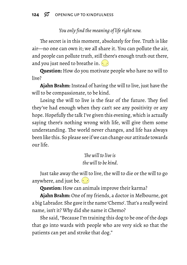# *You only find the meaning of life right now.*

The secret is in this moment, absolutely for free. Truth is like air—no one can own it; we all share it. You can pollute the air, and people can pollute truth, still there's enough truth out there, and you just need to breathe in.  $\odot$ 

**Question:** How do you motivate people who have no will to live?

**Ajahn Brahm:** Instead of having the will to live, just have the will to be compassionate, to be kind.

Losing the will to live is the fear of the future. They feel they've had enough when they can't see any positivity or any hope. Hopefully the talk I've given this evening, which is actually saying there's nothing wrong with life, will give them some understanding. The world never changes, and life has always been like this. So please see if we can change our attitude towards our life.

> *The will to live is the will to be kind.*

Just take away the will to live, the will to die or the will to go anywhere, and just be.  $\odot$ 

**Question:** How can animals improve their karma?

**Ajahn Brahm:** One of my friends, a doctor in Melbourne, got a big Labrador. She gave it the name 'Chemo'.That's a really weird name, isn't it? Why did she name it Chemo?

She said, "Because I'm training this dog to be one of the dogs that go into wards with people who are very sick so that the patients can pet and stroke that dog."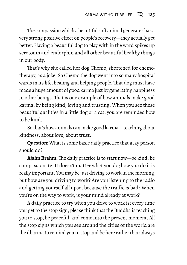The compassion which a beautiful soft animal generates has a very strong positive effect on people's recovery—they actually get better. Having a beautiful dog to play with in the ward spikes up serotonin and endorphin and all other beautiful healthy things in our body.

That's why she called her dog Chemo, shortened for chemotherapy, as a joke. So Chemo the dog went into so many hospital wards in its life, healing and helping people. That dog must have made a huge amount of good karma just by generating happiness in other beings. That is one example of how animals make good karma: by being kind, loving and trusting. When you see these beautiful qualities in a little dog or a cat, you are reminded how to be kind.

So that's how animals can make good karma—teaching about kindness, about love, about trust.

**Question:** What is some basic daily practice that a lay person should do?

**Ajahn Brahm:** The daily practice is to start now—be kind, be compassionate. It doesn't matter what you do; how you do it is really important. You may be just driving to work in the morning, but how are you driving to work? Are you listening to the radio and getting yourself all upset because the traffic is bad? When you're on the way to work, is your mind already at work?

A daily practice to try when you drive to work is: every time you get to the stop sign, please think that the Buddha is teaching you to stop, be peaceful, and come into the present moment. All the stop signs which you see around the cities of the world are the dharma to remind you to stop and be here rather than always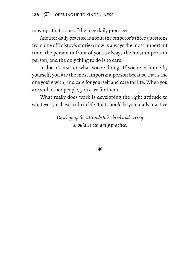moving. That's one of the nice daily practices.

Another daily practice is about the emperor's three questions from one of Tolstoy's stories: now is always the most important time, the person in front of you is always the most important person, and the only thing to do is to care.

It doesn't matter what you're doing. If you're at home by yourself, you are the most important person because that's the one you're with, and care for yourself and care for life. When you are with other people, you care for them.

What really does work is developing the right attitude to whatever you have to do in life. That should be your daily practice.

> *Developing the attitude to be kind and caring should be our daily practice.*

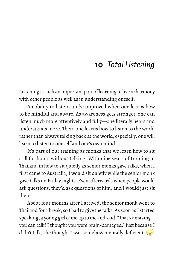# **10** *Total Listening*

Listening is such an important part of learning to live in harmony with other people as well as in understanding oneself.

An ability to listen can be improved when one learns how to be mindful and aware. As awareness gets stronger, one can listen much more attentively and fully—one literally hears and understands more. Then, one learns how to listen to the world rather than always talking back at the world; especially, one will learn to listen to oneself and one's own mind.

It's part of our training as monks that we learn how to sit still for hours without talking. With nine years of training in Thailand in how to sit quietly as senior monks gave talks, when I first came to Australia, I would sit quietly while the senior monk gave talks on Friday nights. Even afterwards when people would ask questions, they'd ask questions of him, and I would just sit there.

About four months after I arrived, the senior monk went to Thailand for a break, so I had to give the talks. As soon as I started speaking, a young girl came up to me and said, "That's amazing you can talk! I thought you were brain-damaged." Just because I didn't talk, she thought I was somehow mentally deficient.  $\left(\cdot\right)$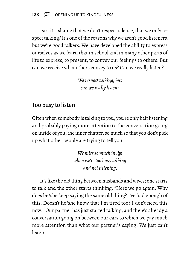Isn't it a shame that we don't respect silence, that we only respect talking? It's one of the reasons why we aren't good listeners, but we're good talkers. We have developed the ability to express ourselves as we learn that in school and in many other parts of life to express, to present, to convey our feelings to others. But can we receive what others convey to us? Can we really listen?

> *We respect talking, but can we really listen?*

# Too busy to listen

Often when somebody is talking to you, you're only half listening and probably paying more attention to the conversation going on inside of you, the inner chatter, so much so that you don't pick up what other people are trying to tell you.

> *We miss so much in life when we're too busy talking and not listening.*

It's like the old thing between husbands and wives; one starts to talk and the other starts thinking: "Here we go again. Why does he/she keep saying the same old thing? I've had enough of this. Doesn't he/she know that I'm tired too? I don't need this now!" Our partner has just started talking, and there's already a conversation going on between our ears to which we pay much more attention than what our partner's saying. We just can't listen.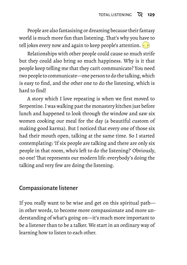People are also fantasising or dreaming because their fantasy world is much more fun than listening. That's why you have to tell jokes every now and again to keep people's attention.  $\left(\cdot\right)$ 

Relationships with other people could cause so much strife but they could also bring so much happiness. Why is it that people keep telling me that they can't communicate? You need two people to communicate—one person to do the talking, which is easy to find, and the other one to do the listening, which is hard to find!

A story which I love repeating is when we first moved to Serpentine. I was walking past the monastery kitchen just before lunch and happened to look through the window and saw six women cooking our meal for the day (a beautiful custom of making good karma). But I noticed that every one of those six had their mouth open, talking at the same time. So I started contemplating: 'If six people are talking and there are only six people in that room, who's left to do the listening?' Obviously, no one! That represents our modern life: everybody's doing the talking and very few are doing the listening.

## Compassionate listener

If you really want to be wise and get on this spiritual path in other words, to become more compassionate and more understanding of what's going on—it's much more important to be a listener than to be a talker. We start in an ordinary way of learning how to listen to each other.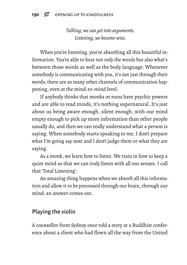*Talking, we can get into arguments. Listening, we become wise.*

When you're listening, you're absorbing all this beautiful information. You're able to hear not only the words but also what's between those words as well as the body language. Whenever somebody is communicating with you, it's not just through their words; there are so many other channels of communication happening, even at the mind-to-mind level.

If anybody thinks that monks or nuns have psychic powers and are able to read minds, it's nothing supernatural. It's just about us being aware enough, silent enough, with our mind empty enough to pick up more information than other people usually do, and then we can really understand what a person is saying. When somebody starts speaking to me, I don't prepare what I'm going say next and I don't judge them or what they are saying.

As a monk, we learn how to listen. We train in how to keep a quiet mind so that we can truly listen with all our senses. I call that 'Total Listening'.

An amazing thing happens when we absorb all this information and allow it to be processed through our brain, through our mind: an answer comes out.

## Playing the violin

A counsellor from Sydney once told a story at a Buddhist conference about a client who had flown all the way from the United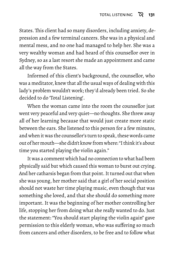States. This client had so many disorders, including anxiety, depression and a few terminal cancers. She was in a physical and mental mess, and no one had managed to help her. She was a very wealthy woman and had heard of this counsellor over in Sydney, so as a last resort she made an appointment and came all the way from the States.

Informed of this client's background, the counsellor, who was a meditator, knew that all the usual ways of dealing with this lady's problem wouldn't work; they'd already been tried. So she decided to do 'Total Listening'.

When the woman came into the room the counsellor just went very peaceful and very quiet—no thoughts. She threw away all of her learning because that would just create more static between the ears. She listened to this person for a few minutes, and when it was the counsellor's turn to speak, these words came out of her mouth—she didn't know from where: "I think it's about time you started playing the violin again."

It was a comment which had no connection to what had been physically said but which caused this woman to burst out crying. And her catharsis began from that point. It turned out that when she was young, her mother said that a girl of her social position should not waste her time playing music, even though that was something she loved, and that she should do something more important. It was the beginning of her mother controlling her life, stopping her from doing what she really wanted to do. Just the statement: "You should start playing the violin again" gave permission to this elderly woman, who was suffering so much from cancers and other disorders, to be free and to follow what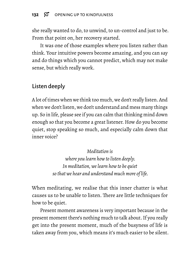### 132  $\%$  OPENING UP TO KINDFULNESS

she really wanted to do, to unwind, to un-control and just to be. From that point on, her recovery started.

It was one of those examples where you listen rather than think. Your intuitive powers become amazing, and you can say and do things which you cannot predict, which may not make sense, but which really work.

# Listen deeply

A lot of times when we think too much, we don't really listen. And when we don't listen, we don't understand and mess many things up. So in life, please see if you can calm that thinking mind down enough so that you become a great listener. How do you become quiet, stop speaking so much, and especially calm down that inner voice?

> *Meditation is where you learn how to listen deeply. In meditation, we learn how to be quiet so that we hear and understand much more of life.*

When meditating, we realise that this inner chatter is what causes us to be unable to listen. There are little techniques for how to be quiet.

Present moment awareness is very important because in the present moment there's nothing much to talk about. If you really get into the present moment, much of the busyness of life is taken away from you, which means it's much easier to be silent.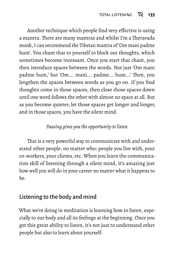Another technique which people find very effective is using a mantra. There are many mantras and whilst I'm a Theravada monk, I can recommend the Tibetan mantra of 'Om mani padme hum'. You chant that to yourself to block out thoughts, which sometimes become incessant. Once you start that chant, you then introduce spaces between the words. Not just 'Om mani padme hum,' but 'Om... mani... padme... hum...' Then, you lengthen the spaces between words as you go on. If you find thoughts come in those spaces, then close those spaces down until one word follows the other with almost no space at all. But as you become quieter, let those spaces get longer and longer, and in those spaces, you have the silent mind.

### *Pausing gives you the opportunity to listen.*

That is a very powerful way to communicate with and understand other people, no matter who: people you live with, your co-workers, your clients, etc. When you learn the communication skill of listening through a silent mind, it's amazing just how well you will do in your career no matter what it happens to be.

## Listening to the body and mind

What we're doing in meditation is learning how to listen, especially to our body and all its feelings at the beginning. Once you get this great ability to listen, it's not just to understand other people but also to learn about yourself.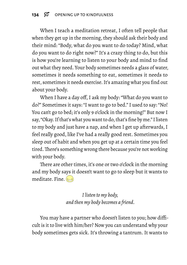When I teach a meditation retreat, I often tell people that when they get up in the morning, they should ask their body and their mind: "Body, what do you want to do today? Mind, what do you want to do right now?" It's a crazy thing to do, but this is how you're learning to listen to your body and mind to find out what they need. Your body sometimes needs a glass of water, sometimes it needs something to eat, sometimes it needs to rest, sometimes it needs exercise. It's amazing what you find out about your body.

When I have a day off, I ask my body: "What do you want to do?" Sometimes it says: "I want to go to bed." I used to say: "No! You can't go to bed; it's only 9 o'clock in the morning!" But now I say, "Okay. If that's what you want to do, that's fine by me." I listen to my body and just have a nap, and when I get up afterwards, I feel really good, like I've had a really good rest. Sometimes you sleep out of habit and when you get up at a certain time you feel tired. There's something wrong there because you're not working with your body.

There are other times, it's one or two o'clock in the morning and my body says it doesn't want to go to sleep but it wants to meditate. Fine.  $\leftarrow$ 

> *I listen to my body, and then my body becomes a friend.*

You may have a partner who doesn't listen to you; how difficult is it to live with him/her? Now you can understand why your body sometimes gets sick. It's throwing a tantrum. It wants to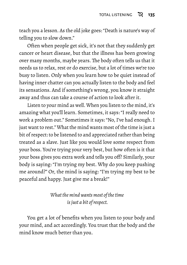teach you a lesson. As the old joke goes: "Death is nature's way of telling you to slow down."

Often when people get sick, it's not that they suddenly get cancer or heart disease, but that the illness has been growing over many months, maybe years. The body often tells us that it needs us to relax, rest or do exercise, but a lot of times we're too busy to listen. Only when you learn how to be quiet instead of having inner chatter can you actually listen to the body and feel its sensations. And if something's wrong, you know it straight away and thus can take a course of action to look after it.

Listen to your mind as well. When you listen to the mind, it's amazing what you'll learn. Sometimes, it says: "I really need to work a problem out." Sometimes it says: "No, I've had enough. I just want to rest." What the mind wants most of the time is just a bit of respect: to be listened to and appreciated rather than being treated as a slave. Just like you would love some respect from your boss. You're trying your very best, but how often is it that your boss gives you extra work and tells you off? Similarly, your body is saying: "I'm trying my best. Why do you keep pushing me around?" Or, the mind is saying: "I'm trying my best to be peaceful and happy. Just give me a break!"

> *What the mind wants most of the time is just a bit of respect.*

You get a lot of benefits when you listen to your body and your mind, and act accordingly. You trust that the body and the mind know much better than you.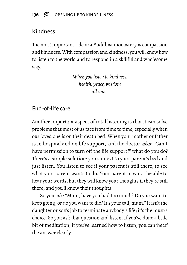# Kindness

The most important rule in a Buddhist monastery is compassion and kindness.With compassion and kindness, you will know how to listen to the world and to respond in a skillful and wholesome way.

> *When you listen to kindness, health, peace, wisdom all come.*

# End-of-life care

Another important aspect of total listening is that it can solve problems that most of us face from time to time, especially when our loved one is on their death bed. When your mother or father is in hospital and on life support, and the doctor asks: "Can I have permission to turn off the life support?" what do you do? There's a simple solution: you sit next to your parent's bed and just listen. You listen to see if your parent is still there, to see what your parent wants to do. Your parent may not be able to hear your words, but they will know your thoughts if they're still there, and you'll know their thoughts.

So you ask: "Mum, have you had too much? Do you want to keep going, or do you want to die? It's your call, mum." It isn't the daughter or son's job to terminate anybody's life; it's the mum's choice. So you ask that question and listen. If you've done a little bit of meditation, if you've learned how to listen, you can 'hear' the answer clearly.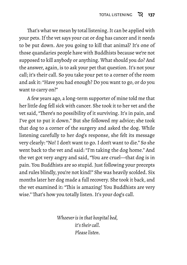That's what we mean by total listening. It can be applied with your pets. If the vet says your cat or dog has cancer and it needs to be put down. Are you going to kill that animal? It's one of those quandaries people have with Buddhists because we're not supposed to kill anybody or anything. What should you do? And the answer, again, is to ask your pet that question. It's not your call; it's their call. So you take your pet to a corner of the room and ask it: "Have you had enough? Do you want to go, or do you want to carry on?"

A few years ago, a long-term supporter of mine told me that her little dog fell sick with cancer. She took it to her vet and the vet said, "There's no possibility of it surviving. It's in pain, and I've got to put it down." But she followed my advice; she took that dog to a corner of the surgery and asked the dog. While listening carefully to her dog's response, she felt its message very clearly: "No! I don't want to go. I don't want to die." So she went back to the vet and said: "I'm taking the dog home." And the vet got very angry and said, "You are cruel—that dog is in pain. You Buddhists are so stupid. Just following your precepts and rules blindly, you're not kind!" She was heavily scolded. Six months later her dog made a full recovery. She took it back, and the vet examined it: "This is amazing! You Buddhists are very wise." That's how you totally listen. It's your dog's call.

> *Whoever is in that hospital bed, it's their call. Please listen.*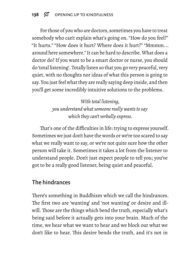For those of you who are doctors, sometimes you have to treat somebody who can't explain what's going on. "How do you feel?" "It hurts." "How does it hurt? Where does it hurt?" "Mmmm... around here somewhere." It can be hard to describe.What does a doctor do? If you want to be a smart doctor or nurse, you should do 'total listening'. Totally listen so that you go very peaceful, very quiet, with no thoughts nor ideas of what this person is going to say. You just feel what they are really saying deep inside, and then you'll get some incredibly intuitive solutions to the problems.

> *With total listening, you understand what someone really wants to say which they can't verbally express.*

That's one of the difficulties in life: trying to express yourself. Sometimes we just don't have the words or we're too scared to say what we really want to say, or we're not quite sure how the other person will take it. Sometimes it takes a lot from the listener to understand people. Don't just expect people to tell you; you've got to be a really good listener, being quiet and peaceful.

### The hindrances

There's something in Buddhism which we call the hindrances. The first two are 'wanting' and 'not wanting' or desire and illwill. Those are the things which bend the truth, especially what's being said before it actually gets into your brain. Much of the time, we hear what we want to hear and we block out what we don't like to hear. This desire bends the truth, and it's not in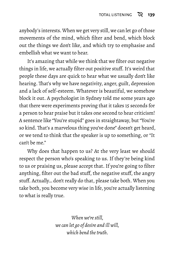anybody's interests.When we get very still, we can let go of those movements of the mind, which filter and bend, which block out the things we don't like, and which try to emphasise and embellish what we want to hear.

It's amazing that while we think that we filter out negative things in life, we actually filter out positive stuff. It's weird that people these days are quick to hear what we usually don't like hearing. That's why we have negativity, anger, guilt, depression and a lack of self-esteem. Whatever is beautiful, we somehow block it out. A psychologist in Sydney told me some years ago that there were experiments proving that it takes 15 seconds for a person to hear praise but it takes one second to hear criticism! A sentence like "You're stupid" goes in straightaway, but "You're so kind. That's a marvelous thing you've done" doesn't get heard, or we tend to think that the speaker is up to something, or "It can't be me."

Why does that happen to us? At the very least we should respect the person who's speaking to us. If they're being kind to us or praising us, please accept that. If you're going to filter anything, filter out the bad stuff, the negative stuff, the angry stuff. Actually… don't really do that, please take both. When you take both, you become very wise in life, you're actually listening to what is really true.

> *When we're still, we can let go of desire and ill will, which bend the truth.*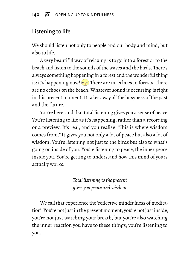### Listening to life

We should listen not only to people and our body and mind, but also to life.

A very beautiful way of relaxing is to go into a forest or to the beach and listen to the sounds of the waves and the birds.There's always something happening in a forest and the wonderful thing is: it's happening now!  $\circ$   $\circ$  There are no echoes in forests. There are no echoes on the beach. Whatever sound is occurring is right in this present moment. It takes away all the busyness of the past and the future.

You're here, and that total listening gives you a sense of peace. You're listening to life as it's happening, rather than a recording or a preview. It's real, and you realise: "This is where wisdom comes from." It gives you not only a lot of peace but also a lot of wisdom. You're listening not just to the birds but also to what's going on inside of you. You're listening to peace, the inner peace inside you. You're getting to understand how this mind of yours actually works.

> *Total listening to the present gives you peace and wisdom.*

We call that experience the 'reflective mindfulness of meditation'. You're not just in the present moment, you're not just inside, you're not just watching your breath, but you're also watching the inner reaction you have to these things; you're listening to you.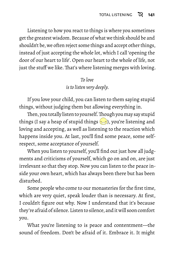Listening to how you react to things is where you sometimes get the greatest wisdom. Because of what we think should be and shouldn't be, we often reject some things and accept other things, instead of just accepting the whole lot, which I call 'opening the door of our heart to life'. Open our heart to the whole of life, not just the stuff we like. That's where listening merges with loving.

#### *To love is to listen very deeply.*

If you love your child, you can listen to them saying stupid things, without judging them but allowing everything in.

Then, you totally listen to yourself. Though you may say stupid things (I say a heap of stupid things  $\geq$ ), you're listening and loving and accepting, as well as listening to the reaction which happens inside you. At last, you'll find some peace, some selfrespect, some acceptance of yourself.

When you listen to yourself, you'll find out just how all judgments and criticisms of yourself, which go on and on, are just irrelevant so that they stop. Now you can listen to the peace inside your own heart, which has always been there but has been disturbed.

Some people who come to our monasteries for the first time, which are very quiet, speak louder than is necessary. At first, I couldn't figure out why. Now I understand that it's because they're afraid of silence. Listen to silence, and it will soon comfort you.

What you're listening to is peace and contentment—the sound of freedom. Don't be afraid of it. Embrace it. It might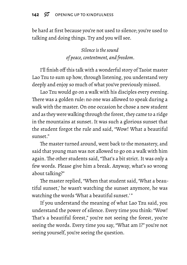be hard at first because you're not used to silence; you're used to talking and doing things. Try and you will see.

> *Silence is the sound of peace, contentment, and freedom.*

I'll finish off this talk with a wonderful story of Taoist master Lao Tzu to sum up how, through listening, you understand very deeply and enjoy so much of what you've previously missed.

Lao Tzu would go on a walk with his disciples every evening. There was a golden rule: no one was allowed to speak during a walk with the master. On one occasion he chose a new student and as they were walking through the forest, they came to a ridge in the mountains at sunset. It was such a glorious sunset that the student forgot the rule and said, "Wow! What a beautiful sunset"

The master turned around, went back to the monastery, and said that young man was not allowed to go on a walk with him again. The other students said, "That's a bit strict. It was only a few words. Please give him a break. Anyway, what's so wrong about talking?"

The master replied, "When that student said, 'What a beautiful sunset,' he wasn't watching the sunset anymore, he was watching the words 'What a beautiful sunset.'"

If you understand the meaning of what Lao Tzu said, you understand the power of silence. Every time you think: "Wow! That's a beautiful forest," you're not seeing the forest, you're seeing the words. Every time you say, "What am I?" you're not seeing yourself, you're seeing the question.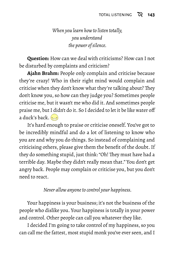*When you learn how to listen totally, you understand the power of silence.*

**Question:** How can we deal with criticisms? How can I not be disturbed by complaints and criticism?

**Ajahn Brahm:** People only complain and criticise because they're crazy! Who in their right mind would complain and criticise when they don't know what they're talking about? They don't know you, so how can they judge you? Sometimes people criticise me, but it wasn't me who did it. And sometimes people praise me, but I didn't do it. So I decided to let it be like water off a duck's back. $\approx$ 

It's hard enough to praise or criticise oneself. You've got to be incredibly mindful and do a lot of listening to know who you are and why you do things. So instead of complaining and criticising others, please give them the benefit of the doubt. If they do something stupid, just think: "Oh! They must have had a terrible day. Maybe they didn't really mean that." You don't get angry back. People may complain or criticise you, but you don't need to react.

*Never allow anyone to control your happiness.*

Your happiness is your business; it's not the business of the people who dislike you. Your happiness is totally in your power and control. Other people can call you whatever they like.

I decided I'm going to take control of my happiness, so you can call me the fattest, most stupid monk you've ever seen, and I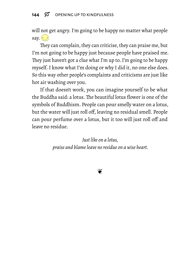#### 144  $\%$  OPENING UP TO KINDFULNESS

will not get angry. I'm going to be happy no matter what people say.  $\left(\cdot\right)$ 

They can complain, they can criticise, they can praise me, but I'm not going to be happy just because people have praised me. They just haven't got a clue what I'm up to. I'm going to be happy myself. I know what I'm doing or why I did it, no one else does. So this way other people's complaints and criticisms are just like hot air washing over you.

If that doesn't work, you can imagine yourself to be what the Buddha said: a lotus. The beautiful lotus flower is one of the symbols of Buddhism. People can pour smelly water on a lotus, but the water will just roll off, leaving no residual smell. People can pour perfume over a lotus, but it too will just roll off and leave no residue.

> *Just like on a lotus, praise and blame leave no residue on a wise heart.*

> > $\bullet$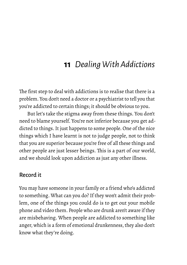# **11** *Dealing With Addictions*

The first step to deal with addictions is to realise that there is a problem. You don't need a doctor or a psychiatrist to tell you that you're addicted to certain things; it should be obvious to you.

But let's take the stigma away from these things. You don't need to blame yourself. You're not inferior because you get addicted to things. It just happens to some people. One of the nice things which I have learnt is not to judge people, not to think that you are superior because you're free of all these things and other people are just lesser beings. This is a part of our world, and we should look upon addiction as just any other illness.

#### Record it

You may have someone in your family or a friend who's addicted to something. What can you do? If they won't admit their problem, one of the things you could do is to get out your mobile phone and video them. People who are drunk aren't aware if they are misbehaving. When people are addicted to something like anger, which is a form of emotional drunkenness, they also don't know what they're doing.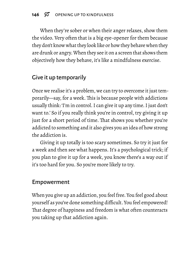When they're sober or when their anger relaxes, show them the video. Very often that is a big eye-opener for them because they don't know what they look like or how they behave when they are drunk or angry.When they see it on a screen that shows them objectively how they behave, it's like a mindfulness exercise.

### Give it up temporarily

Once we realise it's a problem, we can try to overcome it just temporarily—say, for a week. This is because people with addictions usually think: 'I'm in control. I can give it up any time. I just don't want to.' So if you really think you're in control, try giving it up just for a short period of time. That shows you whether you're addicted to something and it also gives you an idea of how strong the addiction is.

Giving it up totally is too scary sometimes. So try it just for a week and then see what happens. It's a psychological trick; if you plan to give it up for a week, you know there's a way out if it's too hard for you. So you're more likely to try.

### Empowerment

When you give up an addiction, you feel free. You feel good about yourself as you've done something difficult. You feel empowered! That degree of happiness and freedom is what often counteracts you taking up that addiction again.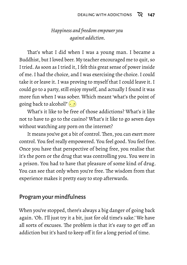#### *Happiness and freedom empower you against addiction.*

That's what I did when I was a young man. I became a Buddhist, but I loved beer. My teacher encouraged me to quit, so I tried. As soon as I tried it, I felt this great sense of power inside of me. I had the choice, and I was exercising the choice. I could take it or leave it. I was proving to myself that I could leave it. I could go to a party, still enjoy myself, and actually I found it was more fun when I was sober. Which meant 'what's the point of going back to alcohol?'

What's it like to be free of those addictions? What's it like not to have to go to the casino? What's it like to go seven days without watching any porn on the internet?

It means you've got a bit of control. Then, you can exert more control. You feel really empowered. You feel good. You feel free. Once you have that perspective of being free, you realise that it's the porn or the drug that was controlling you. You were in a prison. You had to have that pleasure of some kind of drug. You can see that only when you're free. The wisdom from that experience makes it pretty easy to stop afterwards.

#### Program your mindfulness

When you've stopped, there's always a big danger of going back again. 'Oh. I'll just try it a bit, just for old time's sake.' We have all sorts of excuses. The problem is that it's easy to get off an addiction but it's hard to keep off it for a long period of time.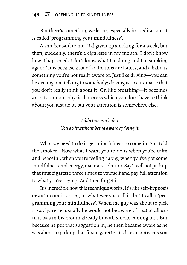But there's something we learn, especially in meditation. It is called 'programming your mindfulness'.

A smoker said to me, "I'd given up smoking for a week, but then, suddenly, there's a cigarette in my mouth! I don't know how it happened. I don't know what I'm doing and I'm smoking again." It is because a lot of addictions are habits, and a habit is something you're not really aware of. Just like driving—you can be driving and talking to somebody; driving is so automatic that you don't really think about it. Or, like breathing—it becomes an autonomous physical process which you don't have to think about; you just do it, but your attention is somewhere else.

> *Addiction is a habit. You do it without being aware of doing it.*

What we need to do is get mindfulness to come in. So I told the smoker: "Now what I want you to do is when you're calm and peaceful, when you're feeling happy, when you've got some mindfulness and energy,make a resolution. Say 'I will not pick up that first cigarette' three times to yourself and pay full attention to what you're saying. And then forget it."

It's incredible how this technique works. It's like self-hypnosis or auto-conditioning, or whatever you call it, but I call it 'programming your mindfulness'. When the guy was about to pick up a cigarette, usually he would not be aware of that at all until it was in his mouth already lit with smoke coming out. But because he put that suggestion in, he then became aware as he was about to pick up that first cigarette. It's like an antivirus you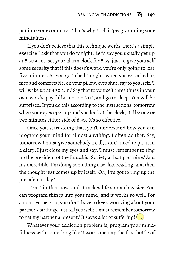put into your computer. That's why I call it 'programming your mindfulness'.

If you don't believe that this technique works, there's a simple exercise I ask that you do tonight. Let's say you usually get up at 8:30 a.m., set your alarm clock for 8:35, just to give yourself some security that if this doesn't work, you're only going to lose five minutes. As you go to bed tonight, when you're tucked in, nice and comfortable, on your pillow, eyes shut, say to yourself: 'I will wake up at 8:30 a.m.' Say that to yourself three times in your own words, pay full attention to it, and go to sleep. You will be surprised. If you do this according to the instructions, tomorrow when your eyes open up and you look at the clock, it'll be one or two minutes either side of 8:30. It's so effective.

Once you start doing that, you'll understand how you can program your mind for almost anything. I often do that. Say, tomorrow I must give somebody a call, I don't need to put it in a diary; I just close my eyes and say: 'I must remember to ring up the president of the Buddhist Society at half past nine.' And it's incredible. I'm doing something else, like reading, and then the thought just comes up by itself: 'Oh, I've got to ring up the president today.'

I trust in that now, and it makes life so much easier. You can program things into your mind, and it works so well. For a married person, you don't have to keep worrying about your partner's birthday. Just tell yourself: 'I must remember tomorrow to get my partner a present.' It saves a lot of suffering!  $\left(\cdot\right)$ 

Whatever your addiction problem is, program your mindfulness with something like 'I won't open up the first bottle of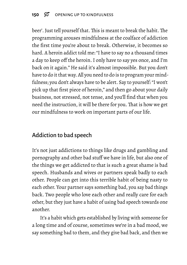beer'. Just tell yourself that. This is meant to break the habit. The programming arouses mindfulness at the coalface of addiction the first time you're about to break. Otherwise, it becomes so hard. A heroin addict told me: "I have to say no a thousand times a day to keep off the heroin. I only have to say yes once, and I'm back on it again." He said it's almost impossible. But you don't have to do it that way. All you need to do is to program your mindfulness; you don't always have to be alert. Say to yourself: "I won't pick up that first piece of heroin," and then go about your daily business, not stressed, not tense, and you'll find that when you need the instruction, it will be there for you. That is how we get our mindfulness to work on important parts of our life.

### Addiction to bad speech

It's not just addictions to things like drugs and gambling and pornography and other bad stuff we have in life, but also one of the things we get addicted to that is such a great shame is bad speech. Husbands and wives or partners speak badly to each other. People can get into this terrible habit of being nasty to each other. Your partner says something bad, you say bad things back. Two people who love each other and really care for each other, but they just have a habit of using bad speech towards one another.

It's a habit which gets established by living with someone for a long time and of course, sometimes we're in a bad mood, we say something bad to them, and they give bad back, and then we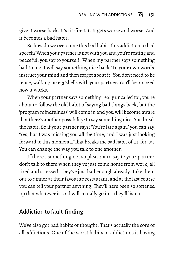give it worse back. It's tit-for-tat. It gets worse and worse. And it becomes a bad habit.

So how do we overcome this bad habit, this addiction to bad speech?When your partner is not with you and you're resting and peaceful, you say to yourself: 'When my partner says something bad to me, I will say something nice back.' In your own words, instruct your mind and then forget about it. You don't need to be tense, walking on eggshells with your partner. You'll be amazed how it works.

When your partner says something really uncalled for, you're about to follow the old habit of saying bad things back, but the 'program mindfulness' will come in and you will become aware that there's another possibility: to say something nice. You break the habit. So if your partner says: 'You're late again,' you can say: 'Yes, but I was missing you all the time, and I was just looking forward to this moment…'That breaks the bad habit of tit-for-tat. You can change the way you talk to one another.

If there's something not so pleasant to say to your partner, don't talk to them when they've just come home from work, all tired and stressed. They've just had enough already. Take them out to dinner at their favourite restaurant, and at the last course you can tell your partner anything. They'll have been so softened up that whatever is said will actually go in—they'll listen.

### Addiction to fault-finding

We've also got bad habits of thought. That's actually the core of all addictions. One of the worst habits or addictions is having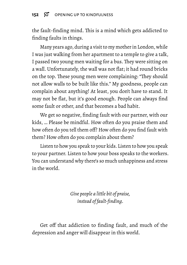#### 152  $\%$  OPENING UP TO KINDFULNESS

the fault-finding mind. This is a mind which gets addicted to finding faults in things.

Many years ago, during a visit to my mother in London, while I was just walking from her apartment to a temple to give a talk, I passed two young men waiting for a bus. They were sitting on a wall. Unfortunately, the wall was not flat; it had round bricks on the top. These young men were complaining: "They should not allow walls to be built like this." My goodness, people can complain about anything! At least, you don't have to stand. It may not be flat, but it's good enough. People can always find some fault or other, and that becomes a bad habit.

We get so negative, finding fault with our partner, with our kids, … Please be mindful. How often do you praise them and how often do you tell them off? How often do you find fault with them? How often do you complain about them?

Listen to how you speak to your kids. Listen to how you speak to your partner. Listen to how your boss speaks to the workers. You can understand why there's so much unhappiness and stress in the world.

> *Give people a little bit of praise, instead of fault-finding.*

Get off that addiction to finding fault, and much of the depression and anger will disappear in this world.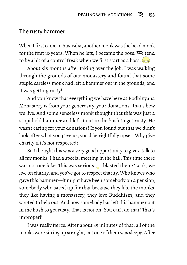#### The rusty hammer

When I first came to Australia, another monk was the head monk for the first 10 years. When he left, I became the boss. We tend to be a bit of a control freak when we first start as a boss.  $\Rightarrow$ 

About six months after taking over the job, I was walking through the grounds of our monastery and found that some stupid careless monk had left a hammer out in the grounds, and it was getting rusty!

And you know that everything we have here at Bodhinyana Monastery is from your generosity, your donations. That's how we live. And some senseless monk thought that this was just a stupid old hammer and left it out in the bush to get rusty. He wasn't caring for your donations! If you found out that we didn't look after what you gave us, you'd be rightfully upset. Why give charity if it's not respected?

So I thought this was a very good opportunity to give a talk to all my monks. I had a special meeting in the hall. This time there was not one joke. This was serious. I blasted them: 'Look, we live on charity, and you've got to respect charity.Who knows who gave this hammer—it might have been somebody on a pension, somebody who saved up for that because they like the monks, they like having a monastery, they love Buddhism, and they wanted to help out. And now somebody has left this hammer out in the bush to get rusty! That is not on. You can't do that! That's improper!'

I was really fierce. After about 45 minutes of that, all of the monks were sitting up straight, not one of them was sleepy. After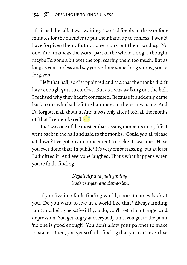I finished the talk, I was waiting. I waited for about three or four minutes for the offender to put their hand up to confess. I would have forgiven them. But not one monk put their hand up. No one! And that was the worst part of the whole thing. I thought maybe I'd gone a bit over the top, scaring them too much. But as long as you confess and say you've done something wrong, you're forgiven.

I left that hall, so disappointed and sad that the monks didn't have enough guts to confess. But as I was walking out the hall, I realised why they hadn't confessed. Because it suddenly came back to me who had left the hammer out there. It was me! And I'd forgotten all about it. And it was only after I told all the monks off that I remembered!  $\left( \frac{1}{2} \right)$ 

That was one of the most embarrassing moments in my life! I went back in the hall and said to the monks: "Could you all please sit down? I've got an announcement to make. It was me." Have you ever done that? In public? It's very embarrassing, but at least I admitted it. And everyone laughed. That's what happens when you're fault-finding.

> *Negativity and fault-finding leads to anger and depression.*

If you live in a fault-finding world, soon it comes back at you. Do you want to live in a world like that? Always finding fault and being negative? If you do, you'll get a lot of anger and depression. You get angry at everybody until you get to the point 'no one is good enough'. You don't allow your partner to make mistakes. Then, you get so fault-finding that you can't even live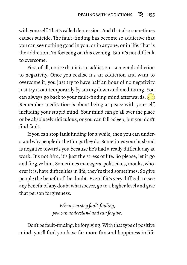with yourself. That's called depression. And that also sometimes causes suicide. The fault-finding has become so addictive that you can see nothing good in you, or in anyone, or in life. That is the addiction I'm focusing on this evening. But it's not difficult to overcome.

First of all, notice that it is an addiction—a mental addiction to negativity. Once you realise it's an addiction and want to overcome it, you just try to have half an hour of no negativity. Just try it out temporarily by sitting down and meditating. You can always go back to your fault-finding mind afterwards. Remember meditation is about being at peace with yourself, including your stupid mind. Your mind can go all over the place or be absolutely ridiculous, or you can fall asleep, but you don't find fault.

If you can stop fault finding for a while, then you can understand why people do the things they do. Sometimes your husband is negative towards you because he's had a really difficult day at work. It's not him, it's just the stress of life. So please, let it go and forgive him. Sometimes managers, politicians, monks, whoever it is, have difficulties in life, they're tired sometimes. So give people the benefit of the doubt. Even if it's very difficult to see any benefit of any doubt whatsoever, go to a higher level and give that person forgiveness.

> *When you stop fault-finding, you can understand and can forgive.*

Don't be fault-finding, be forgiving.With that type of positive mind, you'll find you have far more fun and happiness in life.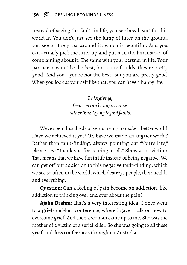Instead of seeing the faults in life, you see how beautiful this world is. You don't just see the lump of litter on the ground, you see all the grass around it, which is beautiful. And you can actually pick the litter up and put it in the bin instead of complaining about it. The same with your partner in life. Your partner may not be the best, but, quite frankly, they're pretty good. And you—you're not the best, but you are pretty good. When you look at yourself like that, you can have a happy life.

> *Be forgiving, then you can be appreciative rather than trying to find faults.*

We've spent hundreds of years trying to make a better world. Have we achieved it yet? Or, have we made an angrier world? Rather than fault-finding, always pointing out "You're late," please say: "Thank you for coming at all." Show appreciation. That means that we have fun in life instead of being negative. We can get off our addiction to this negative fault-finding, which we see so often in the world, which destroys people, their health, and everything.

**Question:** Can a feeling of pain become an addiction, like addiction to thinking over and over about the pain?

**Ajahn Brahm:** That's a very interesting idea. I once went to a grief-and-loss conference, where I gave a talk on how to overcome grief. And then a woman came up to me. She was the mother of a victim of a serial killer. So she was going to all these grief-and-loss conferences throughout Australia.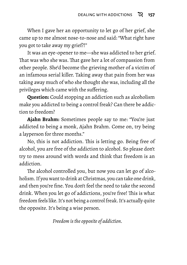When I gave her an opportunity to let go of her grief, she came up to me almost nose-to-nose and said: "What right have you got to take away my grief?!"

It was an eye-opener to me—she was addicted to her grief. That was who she was. That gave her a lot of compassion from other people. She'd become the grieving mother of a victim of an infamous serial killer. Taking away that pain from her was taking away much of who she thought she was, including all the privileges which came with the suffering.

**Question:** Could stopping an addiction such as alcoholism make you addicted to being a control freak? Can there be addiction to freedom?

**Ajahn Brahm:** Sometimes people say to me: "You're just addicted to being a monk, Ajahn Brahm. Come on, try being a layperson for three months."

No, this is not addiction. This is letting go. Being free of alcohol, you are free of the addiction to alcohol. So please don't try to mess around with words and think that freedom is an addiction.

The alcohol controlled you, but now you can let go of alcoholism. If you want to drink at Christmas, you can take one drink, and then you're fine. You don't feel the need to take the second drink. When you let go of addictions, you're free! This is what freedom feels like. It's not being a control freak. It's actually quite the opposite. It's being a wise person.

*Freedom is the opposite of addiction.*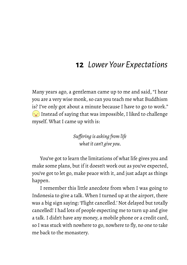## **12** *Lower Your Expectations*

Many years ago, a gentleman came up to me and said, "I hear you are a very wise monk, so can you teach me what Buddhism is? I've only got about a minute because I have to go to work."  $\sim$ ) Instead of saying that was impossible, I liked to challenge myself. What I came up with is:

> *Suffering is asking from life what it can't give you.*

You've got to learn the limitations of what life gives you and make some plans, but if it doesn't work out as you've expected, you've got to let go, make peace with it, and just adapt as things happen.

I remember this little anecdote from when I was going to Indonesia to give a talk. When I turned up at the airport, there was a big sign saying: 'Flight cancelled.' Not delayed but totally cancelled! I had lots of people expecting me to turn up and give a talk. I didn't have any money, a mobile phone or a credit card, so I was stuck with nowhere to go, nowhere to fly, no one to take me back to the monastery.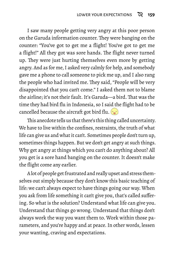I saw many people getting very angry at this poor person on the Garuda information counter. They were banging on the counter: "You've got to get me a flight! You've got to get me a flight!" All they got was sore hands. The flight never turned up. They were just hurting themselves even more by getting angry. And as for me, I asked very calmly for help, and somebody gave me a phone to call someone to pick me up, and I also rang the people who had invited me. They said, "People will be very disappointed that you can't come." I asked them not to blame the airline; it's not their fault. It's Garuda—a bird. That was the time they had bird flu in Indonesia, so I said the flight had to be cancelled because the aircraft got bird flu.  $\langle \cdot, \cdot \rangle$ 

This anecdote tells us that there's this thing called uncertainty. We have to live within the confines, restraints, the truth of what life can give us and what it can't. Sometimes people don't turn up, sometimes things happen. But we don't get angry at such things. Why get angry at things which you can't do anything about? All you get is a sore hand banging on the counter. It doesn't make the flight come any earlier.

A lot of people get frustrated and really upset and stress themselves out simply because they don't know this basic teaching of life: we can't always expect to have things going our way. When you ask from life something it can't give you, that's called suffering. So what is the solution? Understand what life can give you. Understand that things go wrong. Understand that things don't always work the way you want them to. Work within those parameters, and you're happy and at peace. In other words, lessen your wanting, craving and expectations.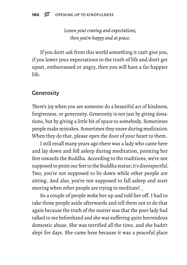*Lessen your craving and expectations, then you're happy and at peace.*

If you don't ask from this world something it can't give you, if you lower your expectations to the truth of life and don't get upset, embarrassed or angry, then you will have a far happier life.

### **Generosity**

There's joy when you see someone do a beautiful act of kindness, forgiveness, or generosity. Generosity is not just by giving donations, but by giving a little bit of space to somebody. Sometimes people make mistakes. Sometimes they snore during meditation. When they do that, please open the door of your heart to them.

I still recall many years ago there was a lady who came here and lay down and fell asleep during meditation, pointing her feet towards the Buddha. According to the traditions, we're not supposed to point our feet to the Buddha statue; it's disrespectful. Two, you're not supposed to lie down while other people are sitting. And also, you're not supposed to fall asleep and start snoring when other people are trying to meditate!

So a couple of people woke her up and told her off. I had to take those people aside afterwards and tell them not to do that again because the truth of the matter was that the poor lady had talked to me beforehand and she was suffering quite horrendous domestic abuse. She was terrified all the time, and she hadn't slept for days. She came here because it was a peaceful place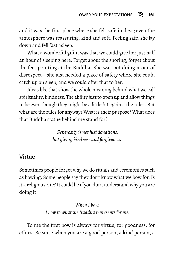and it was the first place where she felt safe in days; even the atmosphere was reassuring, kind and soft. Feeling safe, she lay down and fell fast asleep.

What a wonderful gift it was that we could give her just half an hour of sleeping here. Forget about the snoring, forget about the feet pointing at the Buddha. She was not doing it out of disrespect—she just needed a place of safety where she could catch up on sleep, and we could offer that to her.

Ideas like that show the whole meaning behind what we call spirituality: kindness.The ability just to open up and allow things to be even though they might be a little bit against the rules. But what are the rules for anyway? What is their purpose? What does that Buddha statue behind me stand for?

> *Generosity is not just donations, but giving kindness and forgiveness.*

### Virtue

Sometimes people forget why we do rituals and ceremonies such as bowing. Some people say they don't know what we bow for. Is it a religious rite? It could be if you don't understand why you are doing it.

> *When I bow, I bow to what the Buddha represents for me.*

To me the first bow is always for virtue, for goodness, for ethics. Because when you are a good person, a kind person, a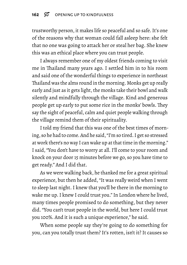trustworthy person, it makes life so peaceful and so safe. It's one of the reasons why that woman could fall asleep here: she felt that no one was going to attack her or steal her bag. She knew this was an ethical place where you can trust people.

I always remember one of my oldest friends coming to visit me in Thailand many years ago. I settled him in to his room and said one of the wonderful things to experience in northeast Thailand was the alms round in the morning. Monks get up really early and just as it gets light, the monks take their bowl and walk silently and mindfully through the village. Kind and generous people get up early to put some rice in the monks' bowls. They say the sight of peaceful, calm and quiet people walking through the village remind them of their spirituality.

I told my friend that this was one of the best times of morning, so he had to come. And he said, "I'm so tired. I get so stressed at work there's no way I can wake up at that time in the morning." I said, "You don't have to worry at all. I'll come to your room and knock on your door 15 minutes before we go, so you have time to get ready." And I did that.

As we were walking back, he thanked me for a great spiritual experience, but then he added, "It was really weird when I went to sleep last night. I knew that you'll be there in the morning to wake me up. I knew I could trust you." In London where he lived, many times people promised to do something, but they never did. "You can't trust people in the world, but here I could trust you 100%. And it is such a unique experience," he said.

When some people say they're going to do something for you, can you totally trust them? It's rotten, isn't it? It causes so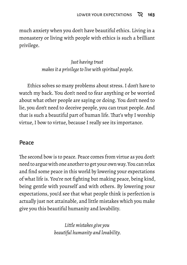much anxiety when you don't have beautiful ethics. Living in a monastery or living with people with ethics is such a brilliant privilege.

> *Just having trust makes it a privilege to live with spiritual people.*

Ethics solves so many problems about stress. I don't have to watch my back. You don't need to fear anything or be worried about what other people are saying or doing. You don't need to lie, you don't need to deceive people, you can trust people. And that is such a beautiful part of human life. That's why I worship virtue, I bow to virtue, because I really see its importance.

### Peace

The second bow is to peace. Peace comes from virtue as you don't need to argue with one another to get your own way. You can relax and find some peace in this world by lowering your expectations of what life is. You're not fighting but making peace, being kind, being gentle with yourself and with others. By lowering your expectations, you'd see that what people think is perfection is actually just not attainable, and little mistakes which you make give you this beautiful humanity and lovability.

> *Little mistakes give you beautiful humanity and lovability.*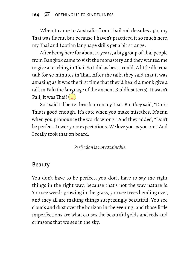When I came to Australia from Thailand decades ago, my Thai was fluent, but because I haven't practiced it so much here, my Thai and Laotian language skills get a bit strange.

After being here for about 10 years, a big group of Thai people from Bangkok came to visit the monastery and they wanted me to give a teaching in Thai. So I did as best I could. A little dharma talk for 50 minutes in Thai. After the talk, they said that it was amazing as it was the first time that they'd heard a monk give a talk in Pali (the language of the ancient Buddhist texts). It wasn't Pali, it was Thai!  $\left(\cdot\right)$ 

So I said I'd better brush up on my Thai. But they said, "Don't. This is good enough. It's cute when you make mistakes. It's fun when you pronounce the words wrong." And they added, "Don't be perfect. Lower your expectations.We love you as you are." And I really took that on board.

*Perfection is not attainable.*

### Beauty

You don't have to be perfect, you don't have to say the right things in the right way, because that's not the way nature is. You see weeds growing in the grass, you see trees bending over, and they all are making things surprisingly beautiful. You see clouds and dust over the horizon in the evening, and those little imperfections are what causes the beautiful golds and reds and crimsons that we see in the sky.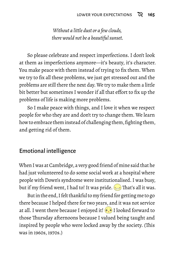*Without a little dust or a few clouds, there would not be a beautiful sunset.*

So please celebrate and respect imperfections. I don't look at them as imperfections anymore—it's beauty, it's character. You make peace with them instead of trying to fix them. When we try to fix all these problems, we just get stressed out and the problems are still there the next day. We try to make them a little bit better but sometimes I wonder if all that effort to fix up the problems of life is making more problems.

So I make peace with things, and I love it when we respect people for who they are and don't try to change them. We learn how to embrace them instead of challenging them, fighting them, and getting rid of them.

#### Emotional intelligence

When I was at Cambridge, a very good friend of mine said that he had just volunteered to do some social work at a hospital where people with Down's syndrome were institutionalised. I was busy, but if my friend went, I had to! It was pride.  $\implies$  That's all it was.

But in the end, I felt thankful to my friend for getting me to go there because I helped there for two years, and it was not service at all. I went there because I enjoyed it!  $\circ$ , I looked forward to those Thursday afternoons because I valued being taught and inspired by people who were locked away by the society. (This was in 1960s, 1970s.)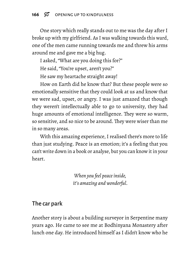One story which really stands out to me was the day after I broke up with my girlfriend. As I was walking towards this ward, one of the men came running towards me and threw his arms around me and gave me a big hug.

I asked, "What are you doing this for?"

He said, "You're upset, aren't you?"

He saw my heartache straight away!

How on Earth did he know that? But these people were so emotionally sensitive that they could look at us and know that we were sad, upset, or angry. I was just amazed that though they weren't intellectually able to go to university, they had huge amounts of emotional intelligence. They were so warm, so sensitive, and so nice to be around. They were wiser than me in so many areas.

With this amazing experience, I realised there's more to life than just studying. Peace is an emotion; it's a feeling that you can't write down in a book or analyse, but you can know it in your heart.

> *When you feel peace inside, it's amazing and wonderful.*

#### The car park

Another story is about a building surveyor in Serpentine many years ago. He came to see me at Bodhinyana Monastery after lunch one day. He introduced himself as I didn't know who he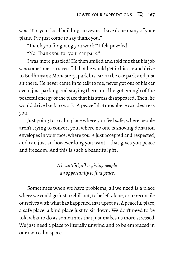was. "I'm your local building surveyor. I have done many of your plans. I've just come to say thank you."

"Thank you for giving you work?" I felt puzzled.

"No. Thank you for your car park."

I was more puzzled! He then smiled and told me that his job was sometimes so stressful that he would get in his car and drive to Bodhinyana Monastery, park his car in the car park and just sit there. He never came in to talk to me, never got out of his car even, just parking and staying there until he got enough of the peaceful energy of the place that his stress disappeared.Then, he would drive back to work. A peaceful atmosphere can destress you.

Just going to a calm place where you feel safe, where people aren't trying to convert you, where no one is shoving donation envelopes in your face, where you're just accepted and respected, and can just sit however long you want—that gives you peace and freedom. And this is such a beautiful gift.

> *A beautiful gift is giving people an opportunity to find peace.*

Sometimes when we have problems, all we need is a place where we could go just to chill out, to be left alone, or to reconcile ourselves with what has happened that upset us. A peaceful place, a safe place, a kind place just to sit down. We don't need to be told what to do as sometimes that just makes us more stressed. We just need a place to literally unwind and to be embraced in our own calm space.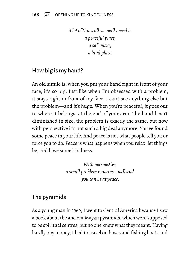*A lot of times all we really need is a peaceful place, a safe place, a kind place.*

### How big is my hand?

An old simile is: when you put your hand right in front of your face, it's so big. Just like when I'm obsessed with a problem, it stays right in front of my face, I can't see anything else but the problem—and it's huge. When you're peaceful, it goes out to where it belongs, at the end of your arm. The hand hasn't diminished in size, the problem is exactly the same, but now with perspective it's not such a big deal anymore. You've found some peace in your life. And peace is not what people tell you or force you to do. Peace is what happens when you relax, let things be, and have some kindness.

> *With perspective, a small problem remains small and you can be at peace.*

### The pyramids

As a young man in 1969, I went to Central America because I saw a book about the ancient Mayan pyramids, which were supposed to be spiritual centres, but no one knew what they meant. Having hardly any money, I had to travel on buses and fishing boats and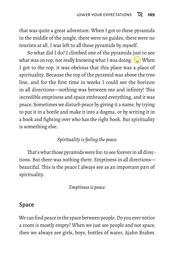that was quite a great adventure. When I got to these pyramids in the middle of the jungle, there were no guides, there were no tourists at all. I was left to all these pyramids by myself.

So what did I do? I climbed one of the pyramids just to see what was on top, not really knowing what I was doing.  $\sim$  When I got to the top, it was obvious that this place was a place of spirituality. Because the top of the pyramid was above the tree line, and for the first time in weeks I could see the horizon in all directions—nothing was between me and infinity! This incredible emptiness and space embraced everything, and it was peace. Sometimes we disturb peace by giving it a name, by trying to put it in a bottle and make it into a dogma, or by writing it in a book and fighting over who has the right book. But spirituality is something else.

#### *Spirituality is feeling the peace.*

That's what those pyramids were for: to see forever in all directions. But there was nothing there. Emptiness in all directions beautiful. This is the peace I always see as an important part of spirituality.

*Emptiness is peace.*

#### Space

We can find peace in the space between people. Do you ever notice a room is mostly empty? When we just see people and not space, then we always see girls, boys, bottles of water, Ajahn Brahm.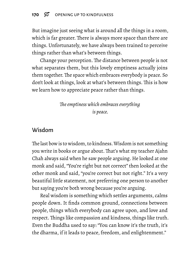But imagine just seeing what is around all the things in a room, which is far greater. There is always more space than there are things. Unfortunately, we have always been trained to perceive things rather than what's between things.

Change your perception. The distance between people is not what separates them, but this lovely emptiness actually joins them together. The space which embraces everybody is peace. So don't look at things, look at what's between things. This is how we learn how to appreciate peace rather than things.

> *The emptiness which embraces everything is peace.*

### Wisdom

The last bow is to wisdom, to kindness.Wisdom is not something you write in books or argue about. That's what my teacher Ajahn Chah always said when he saw people arguing. He looked at one monk and said, "You're right but not correct" then looked at the other monk and said, "you're correct but not right." It's a very beautiful little statement, not preferring one person to another but saying you're both wrong because you're arguing.

Real wisdom is something which settles arguments, calms people down. It finds common ground, connections between people, things which everybody can agree upon, and love and respect. Things like compassion and kindness, things like truth. Even the Buddha used to say: "You can know it's the truth, it's the dharma, if it leads to peace, freedom, and enlightenment."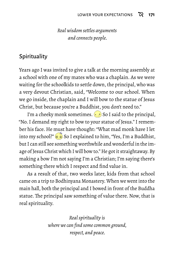#### *Real wisdom settles arguments and connects people.*

### **Spirituality**

Years ago I was invited to give a talk at the morning assembly at a school with one of my mates who was a chaplain. As we were waiting for the schoolkids to settle down, the principal, who was a very devout Christian, said, "Welcome to our school. When we go inside, the chaplain and I will bow to the statue of Jesus Christ, but because you're a Buddhist, you don't need to."

I'm a cheeky monk sometimes.  $\odot$  So I said to the principal, "No. I demand my right to bow to your statue of Jesus." I remember his face. He must have thought: "What mad monk have I let into my school?" So I explained to him, "Yes, I'm a Buddhist, but I can still see something worthwhile and wonderful in the image of Jesus Christ which I will bow to." He got it straightaway. By making a bow I'm not saying I'm a Christian; I'm saying there's something there which I respect and find value in.

As a result of that, two weeks later, kids from that school came on a trip to Bodhinyana Monastery.When we went into the main hall, both the principal and I bowed in front of the Buddha statue. The principal saw something of value there. Now, that is real spirituality.

> *Real spirituality is where we can find some common ground, respect, and peace.*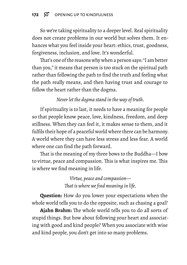So we're taking spirituality to a deeper level. Real spirituality does not create problems in our world but solves them. It enhances what you feel inside your heart: ethics, trust, goodness, forgiveness, inclusion, and love. It's wonderful.

That's one of the reasons why when a person says: "I am better than you," it means that person is too stuck on the spiritual path rather than following the path to find the truth and feeling what the path really means, and then having trust and courage to follow the heart rather than the dogma.

*Never let the dogma stand in the way of truth.*

If spirituality is to last, it needs to have a meaning for people so that people know peace, love, kindness, freedom, and deep stillness. When they can feel it, it makes sense to them, and it fulfils their hope of a peaceful world where there can be harmony. A world where they can have less stress and less fear. A world where one can find the path forward.

That is the meaning of my three bows to the Buddha—I bow to virtue, peace and compassion. This is what inspires me. This is where we find meaning in life.

> *Virtue, peace and compassion— That is where we find meaning in life.*

**Question:** How do you lower your expectations when the whole world tells you to do the opposite, such as chasing a goal?

**Ajahn Brahm:** The whole world tells you to do all sorts of stupid things. But how about following your heart and associating with good and kind people? When you associate with wise and kind people, you don't get into so many problems.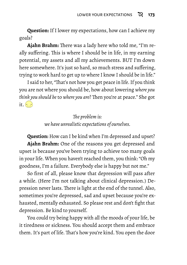**Question:** If I lower my expectations, how can I achieve my goals?

**Ajahn Brahm:** There was a lady here who told me, "I'm really suffering. This is where I should be in life, in my earning potential, my assets and all my achievements. BUT I'm down here somewhere. It's just so hard, so much stress and suffering, trying to work hard to get up to where I know I should be in life."

I said to her, "That's not how you get peace in life. If you think you are not where you should be, how about lowering *where you think you should be* to *where you are*? Then you're at peace." She got it.  $(\cdot)$ 

> *The problem is: we have unrealistic expectations of ourselves.*

**Question:** How can I be kind when I'm depressed and upset? **Ajahn Brahm:** One of the reasons you get depressed and upset is because you've been trying to achieve too many goals in your life. When you haven't reached them, you think: "Oh my goodness, I'm a failure. Everybody else is happy but not me."

So first of all, please know that depression will pass after a while. (Here I'm not talking about clinical depression.) Depression never lasts. There is light at the end of the tunnel. Also, sometimes you're depressed, sad and upset because you're exhausted, mentally exhausted. So please rest and don't fight that depression. Be kind to yourself.

You could try being happy with all the moods of your life, be it tiredness or sickness. You should accept them and embrace them. It's part of life. That's how you're kind. You open the door